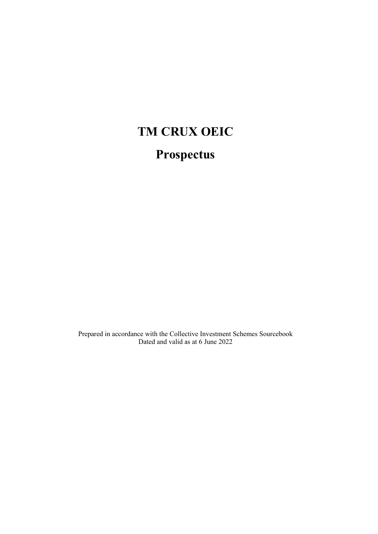# **TM CRUX OEIC Prospectus**

Prepared in accordance with the Collective Investment Schemes Sourcebook Dated and valid as at 6 June 2022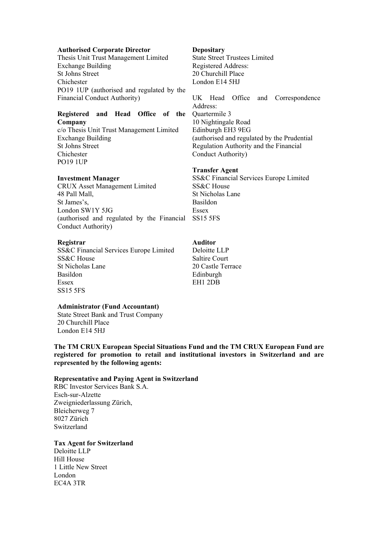#### **Authorised Corporate Director**

Thesis Unit Trust Management Limited Exchange Building St Johns Street Chichester PO19 1UP (authorised and regulated by the Financial Conduct Authority)

# **Registered and Head Office of the Company**

c/o Thesis Unit Trust Management Limited Exchange Building St Johns Street Chichester PO19 1UP

#### **Investment Manager**

CRUX Asset Management Limited 48 Pall Mall, St James's, London SW1Y 5JG (authorised and regulated by the Financial SS15 5FS Conduct Authority)

#### **Registrar**

SS&C Financial Services Europe Limited SS&C House St Nicholas Lane Basildon Essex SS15 5FS

#### **Administrator (Fund Accountant)**

State Street Bank and Trust Company 20 Churchill Place London E14 5HJ

**Depositary**

State Street Trustees Limited Registered Address: 20 Churchill Place London E14 5HJ

UK Head Office and Correspondence Address: Quartermile 3 10 Nightingale Road Edinburgh EH3 9EG (authorised and regulated by the Prudential Regulation Authority and the Financial Conduct Authority)

#### **Transfer Agent**

SS&C Financial Services Europe Limited SS&C House St Nicholas Lane Basildon Essex

# **Auditor**

Deloitte LLP Saltire Court 20 Castle Terrace Edinburgh EH1 2DB

**The TM CRUX European Special Situations Fund and the TM CRUX European Fund are registered for promotion to retail and institutional investors in Switzerland and are represented by the following agents:** 

#### **Representative and Paying Agent in Switzerland**

RBC Investor Services Bank S.A. Esch-sur-Alzette Zweigniederlassung Zürich, Bleicherweg 7 8027 Zürich Switzerland

## **Tax Agent for Switzerland**

Deloitte LLP Hill House 1 Little New Street London EC4A 3TR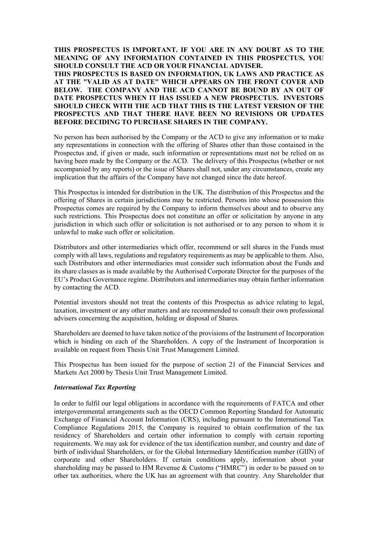**THIS PROSPECTUS IS IMPORTANT. IF YOU ARE IN ANY DOUBT AS TO THE MEANING OF ANY INFORMATION CONTAINED IN THIS PROSPECTUS, YOU SHOULD CONSULT THE ACD OR YOUR FINANCIAL ADVISER. THIS PROSPECTUS IS BASED ON INFORMATION, UK LAWS AND PRACTICE AS AT THE "VALID AS AT DATE" WHICH APPEARS ON THE FRONT COVER AND BELOW. THE COMPANY AND THE ACD CANNOT BE BOUND BY AN OUT OF DATE PROSPECTUS WHEN IT HAS ISSUED A NEW PROSPECTUS. INVESTORS SHOULD CHECK WITH THE ACD THAT THIS IS THE LATEST VERSION OF THE PROSPECTUS AND THAT THERE HAVE BEEN NO REVISIONS OR UPDATES BEFORE DECIDING TO PURCHASE SHARES IN THE COMPANY.** 

No person has been authorised by the Company or the ACD to give any information or to make any representations in connection with the offering of Shares other than those contained in the Prospectus and, if given or made, such information or representations must not be relied on as having been made by the Company or the ACD. The delivery of this Prospectus (whether or not accompanied by any reports) or the issue of Shares shall not, under any circumstances, create any implication that the affairs of the Company have not changed since the date hereof.

This Prospectus is intended for distribution in the UK. The distribution of this Prospectus and the offering of Shares in certain jurisdictions may be restricted. Persons into whose possession this Prospectus comes are required by the Company to inform themselves about and to observe any such restrictions. This Prospectus does not constitute an offer or solicitation by anyone in any jurisdiction in which such offer or solicitation is not authorised or to any person to whom it is unlawful to make such offer or solicitation.

Distributors and other intermediaries which offer, recommend or sell shares in the Funds must comply with all laws, regulations and regulatory requirements as may be applicable to them. Also, such Distributors and other intermediaries must consider such information about the Funds and its share classes as is made available by the Authorised Corporate Director for the purposes of the EU's Product Governance regime. Distributors and intermediaries may obtain further information by contacting the ACD.

Potential investors should not treat the contents of this Prospectus as advice relating to legal, taxation, investment or any other matters and are recommended to consult their own professional advisers concerning the acquisition, holding or disposal of Shares.

Shareholders are deemed to have taken notice of the provisions of the Instrument of Incorporation which is binding on each of the Shareholders. A copy of the Instrument of Incorporation is available on request from Thesis Unit Trust Management Limited.

This Prospectus has been issued for the purpose of section 21 of the Financial Services and Markets Act 2000 by Thesis Unit Trust Management Limited.

#### *International Tax Reporting*

In order to fulfil our legal obligations in accordance with the requirements of FATCA and other intergovernmental arrangements such as the OECD Common Reporting Standard for Automatic Exchange of Financial Account Information (CRS), including pursuant to the International Tax Compliance Regulations 2015, the Company is required to obtain confirmation of the tax residency of Shareholders and certain other information to comply with certain reporting requirements. We may ask for evidence of the tax identification number, and country and date of birth of individual Shareholders, or for the Global Intermediary Identification number (GIIN) of corporate and other Shareholders. If certain conditions apply, information about your shareholding may be passed to HM Revenue  $&$  Customs ("HMRC") in order to be passed on to other tax authorities, where the UK has an agreement with that country. Any Shareholder that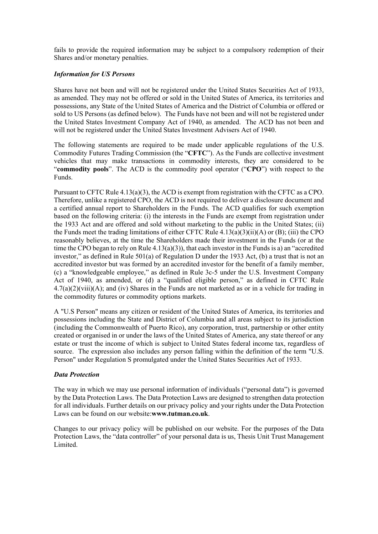fails to provide the required information may be subject to a compulsory redemption of their Shares and/or monetary penalties.

# *Information for US Persons*

Shares have not been and will not be registered under the United States Securities Act of 1933, as amended. They may not be offered or sold in the United States of America, its territories and possessions, any State of the United States of America and the District of Columbia or offered or sold to US Persons (as defined below). The Funds have not been and will not be registered under the United States Investment Company Act of 1940, as amended. The ACD has not been and will not be registered under the United States Investment Advisers Act of 1940.

The following statements are required to be made under applicable regulations of the U.S. Commodity Futures Trading Commission (the "**CFTC**"). As the Funds are collective investment vehicles that may make transactions in commodity interests, they are considered to be "**commodity pools**". The ACD is the commodity pool operator ("**CPO**") with respect to the Funds.

Pursuant to CFTC Rule 4.13(a)(3), the ACD is exempt from registration with the CFTC as a CPO. Therefore, unlike a registered CPO, the ACD is not required to deliver a disclosure document and a certified annual report to Shareholders in the Funds. The ACD qualifies for such exemption based on the following criteria: (i) the interests in the Funds are exempt from registration under the 1933 Act and are offered and sold without marketing to the public in the United States; (ii) the Funds meet the trading limitations of either CFTC Rule 4.13(a)(3)(ii)(A) or (B); (iii) the CPO reasonably believes, at the time the Shareholders made their investment in the Funds (or at the time the CPO began to rely on Rule  $4.13(a)(3)$ , that each investor in the Funds is a) an "accredited investor," as defined in Rule 501(a) of Regulation D under the 1933 Act, (b) a trust that is not an accredited investor but was formed by an accredited investor for the benefit of a family member, (c) a "knowledgeable employee," as defined in Rule 3c-5 under the U.S. Investment Company Act of 1940, as amended, or (d) a "qualified eligible person," as defined in CFTC Rule 4.7(a)(2)(viii)(A); and (iv) Shares in the Funds are not marketed as or in a vehicle for trading in the commodity futures or commodity options markets.

A "U.S Person" means any citizen or resident of the United States of America, its territories and possessions including the State and District of Columbia and all areas subject to its jurisdiction (including the Commonwealth of Puerto Rico), any corporation, trust, partnership or other entity created or organised in or under the laws of the United States of America, any state thereof or any estate or trust the income of which is subject to United States federal income tax, regardless of source. The expression also includes any person falling within the definition of the term "U.S. Person" under Regulation S promulgated under the United States Securities Act of 1933.

# *Data Protection*

The way in which we may use personal information of individuals ("personal data") is governed by the Data Protection Laws. The Data Protection Laws are designed to strengthen data protection for all individuals. Further details on our privacy policy and your rights under the Data Protection Laws can be found on our website:**www.tutman.co.uk**.

Changes to our privacy policy will be published on our website. For the purposes of the Data Protection Laws, the "data controller" of your personal data is us, Thesis Unit Trust Management Limited.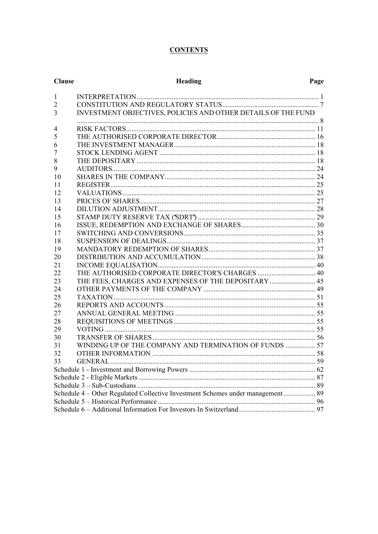# **CONTENTS**

| <b>Clause</b>                                                                   | Heading                                                       | Page |  |  |
|---------------------------------------------------------------------------------|---------------------------------------------------------------|------|--|--|
| $\mathbf{1}$                                                                    |                                                               |      |  |  |
| $\overline{2}$                                                                  |                                                               |      |  |  |
| 3                                                                               | INVESTMENT OBJECTIVES, POLICIES AND OTHER DETAILS OF THE FUND |      |  |  |
| 4                                                                               |                                                               |      |  |  |
| 5                                                                               |                                                               |      |  |  |
| 6                                                                               |                                                               |      |  |  |
| 7                                                                               |                                                               |      |  |  |
| 8                                                                               |                                                               |      |  |  |
| 9                                                                               |                                                               |      |  |  |
| 10                                                                              |                                                               |      |  |  |
| 11                                                                              |                                                               |      |  |  |
| 12                                                                              |                                                               |      |  |  |
| 13                                                                              |                                                               |      |  |  |
| 14                                                                              |                                                               |      |  |  |
| 15                                                                              |                                                               |      |  |  |
| 16                                                                              |                                                               |      |  |  |
| 17                                                                              |                                                               |      |  |  |
| 18                                                                              |                                                               |      |  |  |
| 19                                                                              |                                                               |      |  |  |
| 20                                                                              |                                                               |      |  |  |
| 21                                                                              |                                                               |      |  |  |
| 22                                                                              |                                                               |      |  |  |
| 23                                                                              | THE FEES, CHARGES AND EXPENSES OF THE DEPOSITARY  45          |      |  |  |
| 24                                                                              |                                                               |      |  |  |
| 25                                                                              |                                                               |      |  |  |
| 26                                                                              |                                                               |      |  |  |
| 27                                                                              |                                                               |      |  |  |
| 28                                                                              |                                                               |      |  |  |
| 29                                                                              |                                                               |      |  |  |
| 30                                                                              |                                                               |      |  |  |
| 31                                                                              | WINDING UP OF THE COMPANY AND TERMINATION OF FUNDS  57        |      |  |  |
| 32                                                                              |                                                               |      |  |  |
| 33                                                                              |                                                               |      |  |  |
|                                                                                 |                                                               |      |  |  |
|                                                                                 |                                                               |      |  |  |
|                                                                                 |                                                               |      |  |  |
| Schedule 4 - Other Regulated Collective Investment Schemes under management  89 |                                                               |      |  |  |
|                                                                                 |                                                               |      |  |  |
|                                                                                 |                                                               |      |  |  |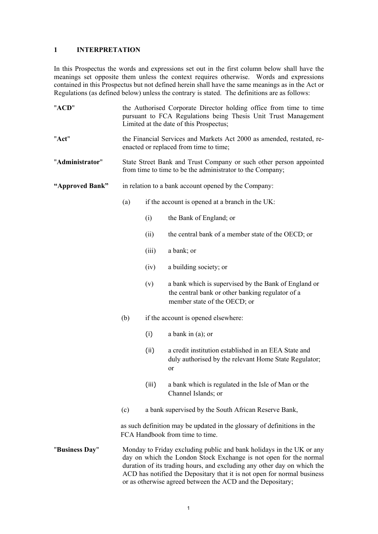# **1 INTERPRETATION**

In this Prospectus the words and expressions set out in the first column below shall have the meanings set opposite them unless the context requires otherwise. Words and expressions contained in this Prospectus but not defined herein shall have the same meanings as in the Act or Regulations (as defined below) unless the contrary is stated. The definitions are as follows:

| "ACD"           | the Authorised Corporate Director holding office from time to time<br>pursuant to FCA Regulations being Thesis Unit Trust Management<br>Limited at the date of this Prospectus; |                                                                                                                                                                                                                                                                                                                                                               |                                                                                                                                          |  |
|-----------------|---------------------------------------------------------------------------------------------------------------------------------------------------------------------------------|---------------------------------------------------------------------------------------------------------------------------------------------------------------------------------------------------------------------------------------------------------------------------------------------------------------------------------------------------------------|------------------------------------------------------------------------------------------------------------------------------------------|--|
| "Act"           | the Financial Services and Markets Act 2000 as amended, restated, re-<br>enacted or replaced from time to time;                                                                 |                                                                                                                                                                                                                                                                                                                                                               |                                                                                                                                          |  |
| "Administrator" | State Street Bank and Trust Company or such other person appointed<br>from time to time to be the administrator to the Company;                                                 |                                                                                                                                                                                                                                                                                                                                                               |                                                                                                                                          |  |
| "Approved Bank" |                                                                                                                                                                                 | in relation to a bank account opened by the Company:                                                                                                                                                                                                                                                                                                          |                                                                                                                                          |  |
|                 | (a)                                                                                                                                                                             |                                                                                                                                                                                                                                                                                                                                                               | if the account is opened at a branch in the UK:                                                                                          |  |
|                 |                                                                                                                                                                                 | (i)                                                                                                                                                                                                                                                                                                                                                           | the Bank of England; or                                                                                                                  |  |
|                 |                                                                                                                                                                                 | (ii)                                                                                                                                                                                                                                                                                                                                                          | the central bank of a member state of the OECD; or                                                                                       |  |
|                 |                                                                                                                                                                                 | (iii)                                                                                                                                                                                                                                                                                                                                                         | a bank; or                                                                                                                               |  |
|                 |                                                                                                                                                                                 | (iv)                                                                                                                                                                                                                                                                                                                                                          | a building society; or                                                                                                                   |  |
|                 |                                                                                                                                                                                 | (v)                                                                                                                                                                                                                                                                                                                                                           | a bank which is supervised by the Bank of England or<br>the central bank or other banking regulator of a<br>member state of the OECD; or |  |
|                 | (b)                                                                                                                                                                             |                                                                                                                                                                                                                                                                                                                                                               | if the account is opened elsewhere:                                                                                                      |  |
|                 |                                                                                                                                                                                 | (i)                                                                                                                                                                                                                                                                                                                                                           | a bank in (a); or                                                                                                                        |  |
|                 |                                                                                                                                                                                 | (ii)                                                                                                                                                                                                                                                                                                                                                          | a credit institution established in an EEA State and<br>duly authorised by the relevant Home State Regulator;<br>or                      |  |
|                 |                                                                                                                                                                                 | (iii)                                                                                                                                                                                                                                                                                                                                                         | a bank which is regulated in the Isle of Man or the<br>Channel Islands; or                                                               |  |
|                 | (c)                                                                                                                                                                             |                                                                                                                                                                                                                                                                                                                                                               | a bank supervised by the South African Reserve Bank,                                                                                     |  |
|                 |                                                                                                                                                                                 | as such definition may be updated in the glossary of definitions in the<br>FCA Handbook from time to time.                                                                                                                                                                                                                                                    |                                                                                                                                          |  |
| "Business Day"  |                                                                                                                                                                                 | Monday to Friday excluding public and bank holidays in the UK or any<br>day on which the London Stock Exchange is not open for the normal<br>duration of its trading hours, and excluding any other day on which the<br>ACD has notified the Depositary that it is not open for normal business<br>or as otherwise agreed between the ACD and the Depositary; |                                                                                                                                          |  |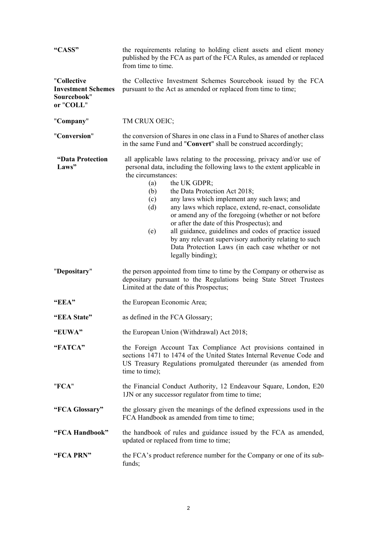| "CASS"                                                               | the requirements relating to holding client assets and client money<br>published by the FCA as part of the FCA Rules, as amended or replaced<br>from time to time.                                                                                                                                                                                                                                                                                                                                                                                                                                                                                                    |  |  |  |
|----------------------------------------------------------------------|-----------------------------------------------------------------------------------------------------------------------------------------------------------------------------------------------------------------------------------------------------------------------------------------------------------------------------------------------------------------------------------------------------------------------------------------------------------------------------------------------------------------------------------------------------------------------------------------------------------------------------------------------------------------------|--|--|--|
| "Collective<br><b>Investment Schemes</b><br>Sourcebook"<br>or "COLL" | the Collective Investment Schemes Sourcebook issued by the FCA<br>pursuant to the Act as amended or replaced from time to time;                                                                                                                                                                                                                                                                                                                                                                                                                                                                                                                                       |  |  |  |
| "Company"                                                            | TM CRUX OEIC;                                                                                                                                                                                                                                                                                                                                                                                                                                                                                                                                                                                                                                                         |  |  |  |
| "Conversion"                                                         | the conversion of Shares in one class in a Fund to Shares of another class<br>in the same Fund and "Convert" shall be construed accordingly;                                                                                                                                                                                                                                                                                                                                                                                                                                                                                                                          |  |  |  |
| "Data Protection<br>Laws"                                            | all applicable laws relating to the processing, privacy and/or use of<br>personal data, including the following laws to the extent applicable in<br>the circumstances:<br>the UK GDPR;<br>(a)<br>(b)<br>the Data Protection Act 2018;<br>any laws which implement any such laws; and<br>(c)<br>any laws which replace, extend, re-enact, consolidate<br>(d)<br>or amend any of the foregoing (whether or not before<br>or after the date of this Prospectus); and<br>all guidance, guidelines and codes of practice issued<br>(e)<br>by any relevant supervisory authority relating to such<br>Data Protection Laws (in each case whether or not<br>legally binding); |  |  |  |
| "Depositary"                                                         | the person appointed from time to time by the Company or otherwise as<br>depositary pursuant to the Regulations being State Street Trustees<br>Limited at the date of this Prospectus;                                                                                                                                                                                                                                                                                                                                                                                                                                                                                |  |  |  |
| "EEA"                                                                | the European Economic Area;                                                                                                                                                                                                                                                                                                                                                                                                                                                                                                                                                                                                                                           |  |  |  |
| "EEA State"                                                          | as defined in the FCA Glossary;                                                                                                                                                                                                                                                                                                                                                                                                                                                                                                                                                                                                                                       |  |  |  |
| "EUWA"                                                               | the European Union (Withdrawal) Act 2018;                                                                                                                                                                                                                                                                                                                                                                                                                                                                                                                                                                                                                             |  |  |  |
| "FATCA"                                                              | the Foreign Account Tax Compliance Act provisions contained in<br>sections 1471 to 1474 of the United States Internal Revenue Code and<br>US Treasury Regulations promulgated thereunder (as amended from<br>time to time);                                                                                                                                                                                                                                                                                                                                                                                                                                           |  |  |  |
| "FCA"                                                                | the Financial Conduct Authority, 12 Endeavour Square, London, E20<br>1JN or any successor regulator from time to time;                                                                                                                                                                                                                                                                                                                                                                                                                                                                                                                                                |  |  |  |
| "FCA Glossary"                                                       | the glossary given the meanings of the defined expressions used in the<br>FCA Handbook as amended from time to time;                                                                                                                                                                                                                                                                                                                                                                                                                                                                                                                                                  |  |  |  |
| "FCA Handbook"                                                       | the handbook of rules and guidance issued by the FCA as amended,<br>updated or replaced from time to time;                                                                                                                                                                                                                                                                                                                                                                                                                                                                                                                                                            |  |  |  |
| "FCA PRN"                                                            | the FCA's product reference number for the Company or one of its sub-<br>funds;                                                                                                                                                                                                                                                                                                                                                                                                                                                                                                                                                                                       |  |  |  |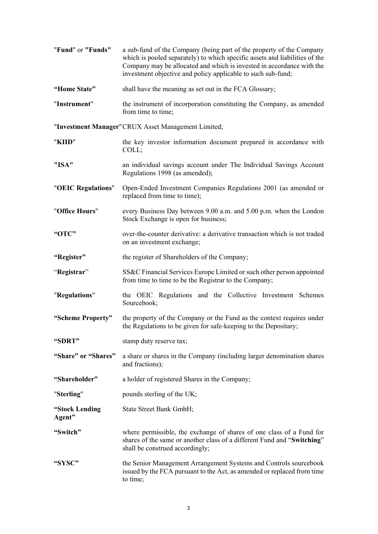| "Fund" or "Funds"        | a sub-fund of the Company (being part of the property of the Company<br>which is pooled separately) to which specific assets and liabilities of the<br>Company may be allocated and which is invested in accordance with the<br>investment objective and policy applicable to such sub-fund; |
|--------------------------|----------------------------------------------------------------------------------------------------------------------------------------------------------------------------------------------------------------------------------------------------------------------------------------------|
| "Home State"             | shall have the meaning as set out in the FCA Glossary;                                                                                                                                                                                                                                       |
| "Instrument"             | the instrument of incorporation constituting the Company, as amended<br>from time to time;                                                                                                                                                                                                   |
|                          | "Investment Manager" CRUX Asset Management Limited;                                                                                                                                                                                                                                          |
| "KIID"                   | the key investor information document prepared in accordance with<br>COLL;                                                                                                                                                                                                                   |
| "ISA"                    | an individual savings account under The Individual Savings Account<br>Regulations 1998 (as amended);                                                                                                                                                                                         |
| "OEIC Regulations"       | Open-Ended Investment Companies Regulations 2001 (as amended or<br>replaced from time to time);                                                                                                                                                                                              |
| "Office Hours"           | every Business Day between 9.00 a.m. and 5.00 p.m. when the London<br>Stock Exchange is open for business;                                                                                                                                                                                   |
| "OTC"                    | over-the-counter derivative: a derivative transaction which is not traded<br>on an investment exchange;                                                                                                                                                                                      |
| "Register"               | the register of Shareholders of the Company;                                                                                                                                                                                                                                                 |
| "Registrar"              | SS&C Financial Services Europe Limited or such other person appointed<br>from time to time to be the Registrar to the Company;                                                                                                                                                               |
| "Regulations"            | the OEIC Regulations and the Collective Investment Schemes<br>Sourcebook;                                                                                                                                                                                                                    |
| "Scheme Property"        | the property of the Company or the Fund as the context requires under<br>the Regulations to be given for safe-keeping to the Depositary;                                                                                                                                                     |
| "SDRT"                   | stamp duty reserve tax;                                                                                                                                                                                                                                                                      |
| "Share" or "Shares"      | a share or shares in the Company (including larger denomination shares<br>and fractions);                                                                                                                                                                                                    |
| "Shareholder"            | a holder of registered Shares in the Company;                                                                                                                                                                                                                                                |
| "Sterling"               | pounds sterling of the UK;                                                                                                                                                                                                                                                                   |
| "Stock Lending<br>Agent" | State Street Bank GmbH;                                                                                                                                                                                                                                                                      |
| "Switch"                 | where permissible, the exchange of shares of one class of a Fund for<br>shares of the same or another class of a different Fund and "Switching"<br>shall be construed accordingly;                                                                                                           |
| "SYSC"                   | the Senior Management Arrangement Systems and Controls sourcebook<br>issued by the FCA pursuant to the Act, as amended or replaced from time<br>to time;                                                                                                                                     |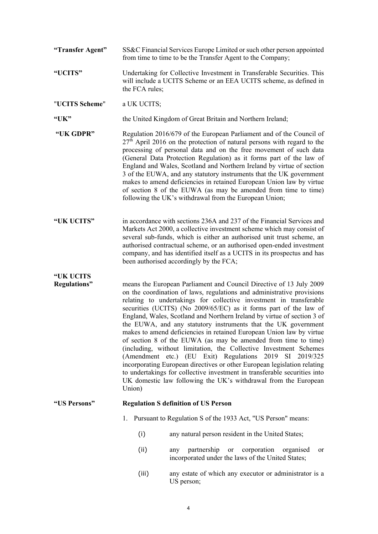- **"Transfer Agent"** SS&C Financial Services Europe Limited or such other person appointed from time to time to be the Transfer Agent to the Company;
- **"UCITS"** Undertaking for Collective Investment in Transferable Securities. This will include a UCITS Scheme or an EEA UCITS scheme, as defined in the FCA rules;
- "**UCITS Scheme**" a UK UCITS;

**"UK"** the United Kingdom of Great Britain and Northern Ireland;

**"UK GDPR"** Regulation 2016/679 of the European Parliament and of the Council of  $27<sup>th</sup>$  April 2016 on the protection of natural persons with regard to the processing of personal data and on the free movement of such data (General Data Protection Regulation) as it forms part of the law of England and Wales, Scotland and Northern Ireland by virtue of section 3 of the EUWA, and any statutory instruments that the UK government makes to amend deficiencies in retained European Union law by virtue of section 8 of the EUWA (as may be amended from time to time) following the UK's withdrawal from the European Union;

**"UK UCITS"** in accordance with sections 236A and 237 of the Financial Services and Markets Act 2000, a collective investment scheme which may consist of several sub-funds, which is either an authorised unit trust scheme, an authorised contractual scheme, or an authorised open-ended investment company, and has identified itself as a UCITS in its prospectus and has been authorised accordingly by the FCA;

# **"UK UCITS**

**Regulations"** means the European Parliament and Council Directive of 13 July 2009 on the coordination of laws, regulations and administrative provisions relating to undertakings for collective investment in transferable securities (UCITS) (No 2009/65/EC) as it forms part of the law of England, Wales, Scotland and Northern Ireland by virtue of section 3 of the EUWA, and any statutory instruments that the UK government makes to amend deficiencies in retained European Union law by virtue of section 8 of the EUWA (as may be amended from time to time) (including, without limitation, the Collective Investment Schemes (Amendment etc.) (EU Exit) Regulations 2019 SI 2019/325 incorporating European directives or other European legislation relating to undertakings for collective investment in transferable securities into UK domestic law following the UK's withdrawal from the European Union)

# **"US Persons" Regulation S definition of US Person**

- 1. Pursuant to Regulation S of the 1933 Act, "US Person" means:
	- (i) any natural person resident in the United States;
	- (ii) any partnership or corporation organised or incorporated under the laws of the United States;
	- (iii) any estate of which any executor or administrator is a US person;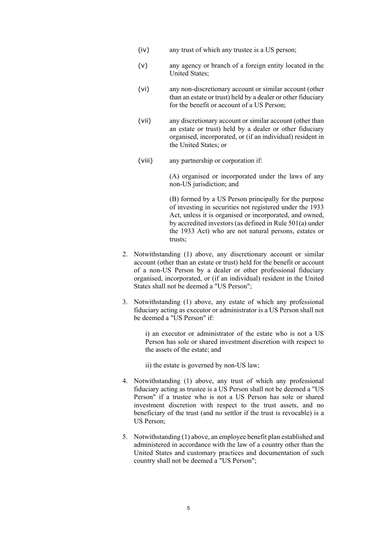- (iv) any trust of which any trustee is a US person;
- (v) any agency or branch of a foreign entity located in the United States;
- (vi) any non-discretionary account or similar account (other than an estate or trust) held by a dealer or other fiduciary for the benefit or account of a US Person;
- (vii) any discretionary account or similar account (other than an estate or trust) held by a dealer or other fiduciary organised, incorporated, or (if an individual) resident in the United States; or
- (viii) any partnership or corporation if:

(A) organised or incorporated under the laws of any non-US jurisdiction; and

(B) formed by a US Person principally for the purpose of investing in securities not registered under the 1933 Act, unless it is organised or incorporated, and owned, by accredited investors (as defined in Rule 501(a) under the 1933 Act) who are not natural persons, estates or trusts;

- 2. Notwithstanding (1) above, any discretionary account or similar account (other than an estate or trust) held for the benefit or account of a non-US Person by a dealer or other professional fiduciary organised, incorporated, or (if an individual) resident in the United States shall not be deemed a "US Person";
- 3. Notwithstanding (1) above, any estate of which any professional fiduciary acting as executor or administrator is a US Person shall not be deemed a "US Person" if:

i) an executor or administrator of the estate who is not a US Person has sole or shared investment discretion with respect to the assets of the estate; and

- ii) the estate is governed by non-US law;
- 4. Notwithstanding (1) above, any trust of which any professional fiduciary acting as trustee is a US Person shall not be deemed a "US Person" if a trustee who is not a US Person has sole or shared investment discretion with respect to the trust assets, and no beneficiary of the trust (and no settlor if the trust is revocable) is a US Person;
- 5. Notwithstanding (1) above, an employee benefit plan established and administered in accordance with the law of a country other than the United States and customary practices and documentation of such country shall not be deemed a "US Person";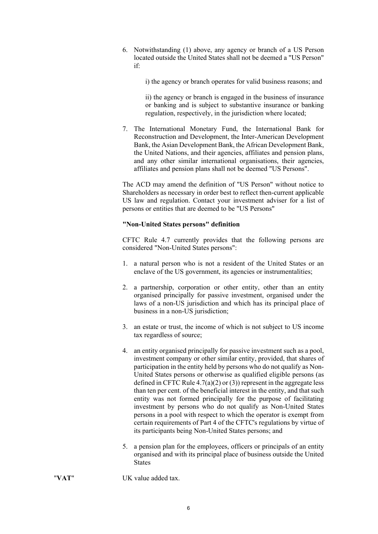6. Notwithstanding (1) above, any agency or branch of a US Person located outside the United States shall not be deemed a "US Person" if:

i) the agency or branch operates for valid business reasons; and

ii) the agency or branch is engaged in the business of insurance or banking and is subject to substantive insurance or banking regulation, respectively, in the jurisdiction where located;

7. The International Monetary Fund, the International Bank for Reconstruction and Development, the Inter-American Development Bank, the Asian Development Bank, the African Development Bank, the United Nations, and their agencies, affiliates and pension plans, and any other similar international organisations, their agencies, affiliates and pension plans shall not be deemed "US Persons".

The ACD may amend the definition of "US Person" without notice to Shareholders as necessary in order best to reflect then-current applicable US law and regulation. Contact your investment adviser for a list of persons or entities that are deemed to be "US Persons"

#### **"Non-United States persons" definition**

CFTC Rule 4.7 currently provides that the following persons are considered "Non-United States persons":

- 1. a natural person who is not a resident of the United States or an enclave of the US government, its agencies or instrumentalities;
- 2. a partnership, corporation or other entity, other than an entity organised principally for passive investment, organised under the laws of a non-US jurisdiction and which has its principal place of business in a non-US jurisdiction;
- 3. an estate or trust, the income of which is not subject to US income tax regardless of source;
- 4. an entity organised principally for passive investment such as a pool, investment company or other similar entity, provided, that shares of participation in the entity held by persons who do not qualify as Non-United States persons or otherwise as qualified eligible persons (as defined in CFTC Rule  $4.7(a)(2)$  or (3)) represent in the aggregate less than ten per cent. of the beneficial interest in the entity, and that such entity was not formed principally for the purpose of facilitating investment by persons who do not qualify as Non-United States persons in a pool with respect to which the operator is exempt from certain requirements of Part 4 of the CFTC's regulations by virtue of its participants being Non-United States persons; and
- 5. a pension plan for the employees, officers or principals of an entity organised and with its principal place of business outside the United **States**
- "**VAT**" UK value added tax.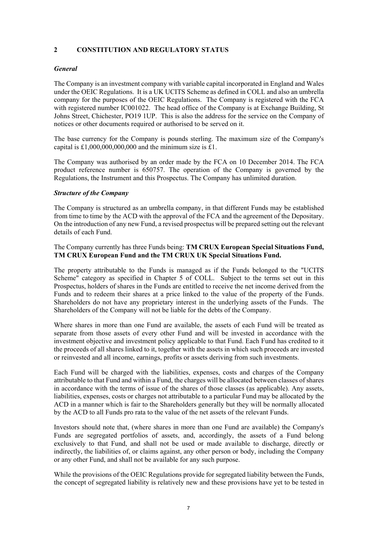# **2 CONSTITUTION AND REGULATORY STATUS**

# *General*

The Company is an investment company with variable capital incorporated in England and Wales under the OEIC Regulations. It is a UK UCITS Scheme as defined in COLL and also an umbrella company for the purposes of the OEIC Regulations. The Company is registered with the FCA with registered number IC001022. The head office of the Company is at Exchange Building, St Johns Street, Chichester, PO19 1UP. This is also the address for the service on the Company of notices or other documents required or authorised to be served on it.

The base currency for the Company is pounds sterling. The maximum size of the Company's capital is  $£1,000,000,000,000$  and the minimum size is £1.

The Company was authorised by an order made by the FCA on 10 December 2014. The FCA product reference number is 650757. The operation of the Company is governed by the Regulations, the Instrument and this Prospectus. The Company has unlimited duration.

#### *Structure of the Company*

The Company is structured as an umbrella company, in that different Funds may be established from time to time by the ACD with the approval of the FCA and the agreement of the Depositary. On the introduction of any new Fund, a revised prospectus will be prepared setting out the relevant details of each Fund.

# The Company currently has three Funds being: **TM CRUX European Special Situations Fund, TM CRUX European Fund and the TM CRUX UK Special Situations Fund.**

The property attributable to the Funds is managed as if the Funds belonged to the "UCITS Scheme" category as specified in Chapter 5 of COLL. Subject to the terms set out in this Prospectus, holders of shares in the Funds are entitled to receive the net income derived from the Funds and to redeem their shares at a price linked to the value of the property of the Funds. Shareholders do not have any proprietary interest in the underlying assets of the Funds. The Shareholders of the Company will not be liable for the debts of the Company.

Where shares in more than one Fund are available, the assets of each Fund will be treated as separate from those assets of every other Fund and will be invested in accordance with the investment objective and investment policy applicable to that Fund. Each Fund has credited to it the proceeds of all shares linked to it, together with the assets in which such proceeds are invested or reinvested and all income, earnings, profits or assets deriving from such investments.

Each Fund will be charged with the liabilities, expenses, costs and charges of the Company attributable to that Fund and within a Fund, the charges will be allocated between classes of shares in accordance with the terms of issue of the shares of those classes (as applicable). Any assets, liabilities, expenses, costs or charges not attributable to a particular Fund may be allocated by the ACD in a manner which is fair to the Shareholders generally but they will be normally allocated by the ACD to all Funds pro rata to the value of the net assets of the relevant Funds.

Investors should note that, (where shares in more than one Fund are available) the Company's Funds are segregated portfolios of assets, and, accordingly, the assets of a Fund belong exclusively to that Fund, and shall not be used or made available to discharge, directly or indirectly, the liabilities of, or claims against, any other person or body, including the Company or any other Fund, and shall not be available for any such purpose.

While the provisions of the OEIC Regulations provide for segregated liability between the Funds, the concept of segregated liability is relatively new and these provisions have yet to be tested in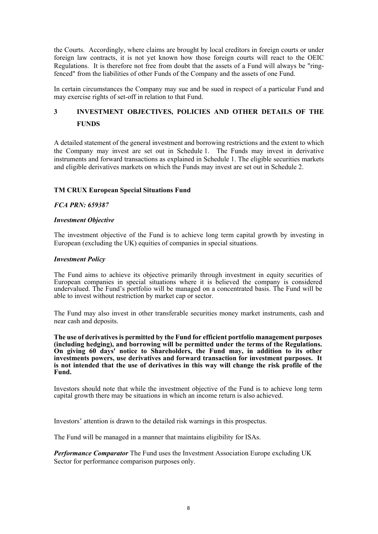the Courts. Accordingly, where claims are brought by local creditors in foreign courts or under foreign law contracts, it is not yet known how those foreign courts will react to the OEIC Regulations. It is therefore not free from doubt that the assets of a Fund will always be "ringfenced" from the liabilities of other Funds of the Company and the assets of one Fund.

In certain circumstances the Company may sue and be sued in respect of a particular Fund and may exercise rights of set-off in relation to that Fund.

# **3 INVESTMENT OBJECTIVES, POLICIES AND OTHER DETAILS OF THE FUNDS**

A detailed statement of the general investment and borrowing restrictions and the extent to which the Company may invest are set out in Schedule 1. The Funds may invest in derivative instruments and forward transactions as explained in Schedule 1. The eligible securities markets and eligible derivatives markets on which the Funds may invest are set out in Schedule 2.

# **TM CRUX European Special Situations Fund**

#### *FCA PRN: 659387*

#### *Investment Objective*

The investment objective of the Fund is to achieve long term capital growth by investing in European (excluding the UK) equities of companies in special situations.

#### *Investment Policy*

The Fund aims to achieve its objective primarily through investment in equity securities of European companies in special situations where it is believed the company is considered undervalued. The Fund's portfolio will be managed on a concentrated basis. The Fund will be able to invest without restriction by market cap or sector.

The Fund may also invest in other transferable securities money market instruments, cash and near cash and deposits.

**The use of derivatives is permitted by the Fund for efficient portfolio management purposes (including hedging), and borrowing will be permitted under the terms of the Regulations. On giving 60 days' notice to Shareholders, the Fund may, in addition to its other investments powers, use derivatives and forward transaction for investment purposes. It is not intended that the use of derivatives in this way will change the risk profile of the Fund.**

Investors should note that while the investment objective of the Fund is to achieve long term capital growth there may be situations in which an income return is also achieved.

Investors' attention is drawn to the detailed risk warnings in this prospectus.

The Fund will be managed in a manner that maintains eligibility for ISAs.

*Performance Comparator* The Fund uses the Investment Association Europe excluding UK Sector for performance comparison purposes only.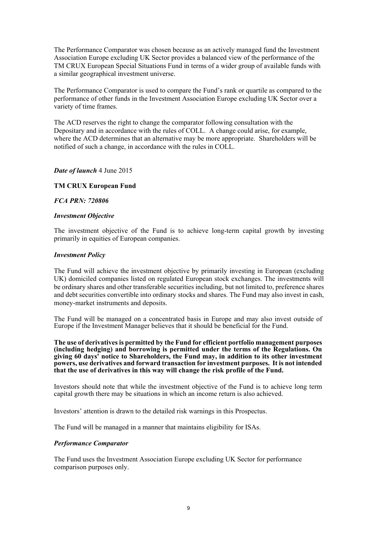The Performance Comparator was chosen because as an actively managed fund the Investment Association Europe excluding UK Sector provides a balanced view of the performance of the TM CRUX European Special Situations Fund in terms of a wider group of available funds with a similar geographical investment universe.

The Performance Comparator is used to compare the Fund's rank or quartile as compared to the performance of other funds in the Investment Association Europe excluding UK Sector over a variety of time frames.

The ACD reserves the right to change the comparator following consultation with the Depositary and in accordance with the rules of COLL. A change could arise, for example, where the ACD determines that an alternative may be more appropriate. Shareholders will be notified of such a change, in accordance with the rules in COLL.

*Date of launch* 4 June 2015

#### **TM CRUX European Fund**

#### *FCA PRN: 720806*

#### *Investment Objective*

The investment objective of the Fund is to achieve long-term capital growth by investing primarily in equities of European companies.

#### *Investment Policy*

The Fund will achieve the investment objective by primarily investing in European (excluding UK) domiciled companies listed on regulated European stock exchanges. The investments will be ordinary shares and other transferable securities including, but not limited to, preference shares and debt securities convertible into ordinary stocks and shares. The Fund may also invest in cash, money-market instruments and deposits.

The Fund will be managed on a concentrated basis in Europe and may also invest outside of Europe if the Investment Manager believes that it should be beneficial for the Fund.

**The use of derivatives is permitted by the Fund for efficient portfolio management purposes (including hedging) and borrowing is permitted under the terms of the Regulations. On giving 60 days' notice to Shareholders, the Fund may, in addition to its other investment powers, use derivatives and forward transaction for investment purposes. It is not intended that the use of derivatives in this way will change the risk profile of the Fund.**

Investors should note that while the investment objective of the Fund is to achieve long term capital growth there may be situations in which an income return is also achieved.

Investors' attention is drawn to the detailed risk warnings in this Prospectus.

The Fund will be managed in a manner that maintains eligibility for ISAs.

#### *Performance Comparator*

The Fund uses the Investment Association Europe excluding UK Sector for performance comparison purposes only.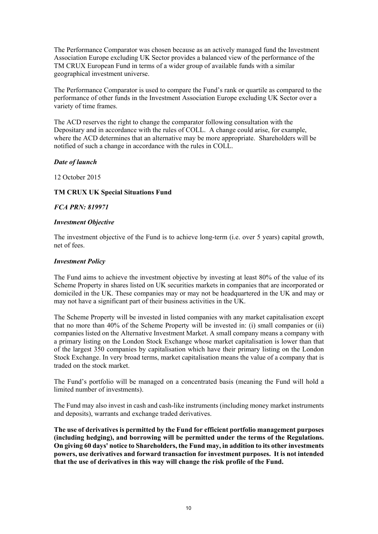The Performance Comparator was chosen because as an actively managed fund the Investment Association Europe excluding UK Sector provides a balanced view of the performance of the TM CRUX European Fund in terms of a wider group of available funds with a similar geographical investment universe.

The Performance Comparator is used to compare the Fund's rank or quartile as compared to the performance of other funds in the Investment Association Europe excluding UK Sector over a variety of time frames.

The ACD reserves the right to change the comparator following consultation with the Depositary and in accordance with the rules of COLL. A change could arise, for example, where the ACD determines that an alternative may be more appropriate. Shareholders will be notified of such a change in accordance with the rules in COLL.

# *Date of launch*

12 October 2015

#### **TM CRUX UK Special Situations Fund**

#### *FCA PRN: 819971*

#### *Investment Objective*

The investment objective of the Fund is to achieve long-term (i.e. over 5 years) capital growth, net of fees.

#### *Investment Policy*

The Fund aims to achieve the investment objective by investing at least 80% of the value of its Scheme Property in shares listed on UK securities markets in companies that are incorporated or domiciled in the UK. These companies may or may not be headquartered in the UK and may or may not have a significant part of their business activities in the UK.

The Scheme Property will be invested in listed companies with any market capitalisation except that no more than 40% of the Scheme Property will be invested in: (i) small companies or (ii) companies listed on the Alternative Investment Market. A small company means a company with a primary listing on the London Stock Exchange whose market capitalisation is lower than that of the largest 350 companies by capitalisation which have their primary listing on the London Stock Exchange. In very broad terms, market capitalisation means the value of a company that is traded on the stock market.

The Fund's portfolio will be managed on a concentrated basis (meaning the Fund will hold a limited number of investments).

The Fund may also invest in cash and cash-like instruments (including money market instruments and deposits), warrants and exchange traded derivatives.

**The use of derivatives is permitted by the Fund for efficient portfolio management purposes (including hedging), and borrowing will be permitted under the terms of the Regulations. On giving 60 days' notice to Shareholders, the Fund may, in addition to its other investments powers, use derivatives and forward transaction for investment purposes. It is not intended that the use of derivatives in this way will change the risk profile of the Fund.**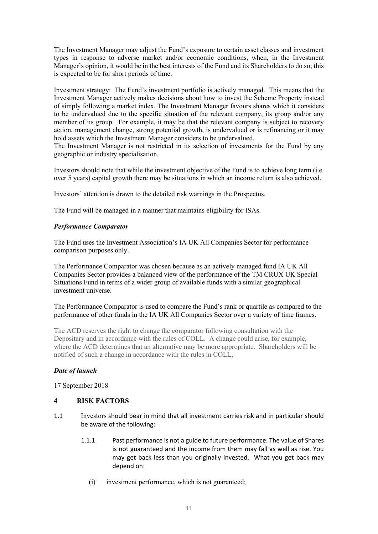The Investment Manager may adjust the Fund's exposure to certain asset classes and investment types in response to adverse market and/or economic conditions, when, in the Investment Manager's opinion, it would be in the best interests of the Fund and its Shareholders to do so; this is expected to be for short periods of time.

Investment strategy: The Fund's investment portfolio is actively managed. This means that the Investment Manager actively makes decisions about how to invest the Scheme Property instead of simply following a market index. The Investment Manager favours shares which it considers to be undervalued due to the specific situation of the relevant company, its group and/or any member of its group. For example, it may be that the relevant company is subject to recovery action, management change, strong potential growth, is undervalued or is refinancing or it may hold assets which the Investment Manager considers to be undervalued.

The Investment Manager is not restricted in its selection of investments for the Fund by any geographic or industry specialisation.

Investors should note that while the investment objective of the Fund is to achieve long term (i.e. over 5 years) capital growth there may be situations in which an income return is also achieved.

Investors' attention is drawn to the detailed risk warnings in the Prospectus.

The Fund will be managed in a manner that maintains eligibility for ISAs.

# *Performance Comparator*

The Fund uses the Investment Association's IA UK All Companies Sector for performance comparison purposes only.

The Performance Comparator was chosen because as an actively managed fund IA UK All Companies Sector provides a balanced view of the performance of the TM CRUX UK Special Situations Fund in terms of a wider group of available funds with a similar geographical investment universe.

The Performance Comparator is used to compare the Fund's rank or quartile as compared to the performance of other funds in the IA UK All Companies Sector over a variety of time frames.

The ACD reserves the right to change the comparator following consultation with the Depositary and in accordance with the rules of COLL. A change could arise, for example, where the ACD determines that an alternative may be more appropriate. Shareholders will be notified of such a change in accordance with the rules in COLL,

# *Date of launch*

17 September 2018

# **4 RISK FACTORS**

- 1.1 Investors should bear in mind that all investment carries risk and in particular should be aware of the following:
	- 1.1.1 Past performance is not a guide to future performance. The value of Shares is not guaranteed and the income from them may fall as well as rise. You may get back less than you originally invested. What you get back may depend on:
		- (i) investment performance, which is not guaranteed;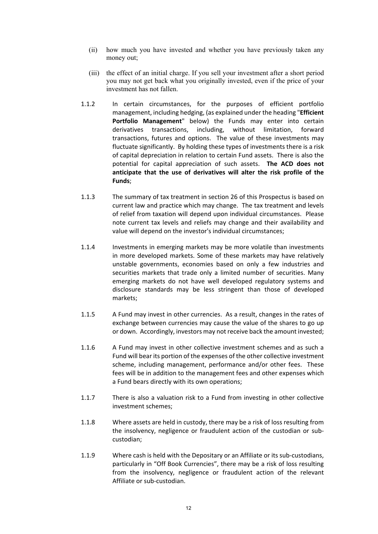- (ii) how much you have invested and whether you have previously taken any money out;
- (iii) the effect of an initial charge. If you sell your investment after a short period you may not get back what you originally invested, even if the price of your investment has not fallen.
- 1.1.2 In certain circumstances, for the purposes of efficient portfolio management, including hedging, (as explained under the heading "**Efficient Portfolio Management**" below) the Funds may enter into certain derivatives transactions, including, without limitation, forward transactions, futures and options. The value of these investments may fluctuate significantly. By holding these types of investments there is a risk of capital depreciation in relation to certain Fund assets. There is also the potential for capital appreciation of such assets. **The ACD does not anticipate that the use of derivatives will alter the risk profile of the Funds**;
- 1.1.3 The summary of tax treatment in section 26 of this Prospectus is based on current law and practice which may change. The tax treatment and levels of relief from taxation will depend upon individual circumstances. Please note current tax levels and reliefs may change and their availability and value will depend on the investor's individual circumstances;
- 1.1.4 Investments in emerging markets may be more volatile than investments in more developed markets. Some of these markets may have relatively unstable governments, economies based on only a few industries and securities markets that trade only a limited number of securities. Many emerging markets do not have well developed regulatory systems and disclosure standards may be less stringent than those of developed markets;
- 1.1.5 A Fund may invest in other currencies. As a result, changes in the rates of exchange between currencies may cause the value of the shares to go up or down. Accordingly, investors may not receive back the amount invested;
- 1.1.6 A Fund may invest in other collective investment schemes and as such a Fund will bear its portion of the expenses of the other collective investment scheme, including management, performance and/or other fees. These fees will be in addition to the management fees and other expenses which a Fund bears directly with its own operations;
- 1.1.7 There is also a valuation risk to a Fund from investing in other collective investment schemes;
- 1.1.8 Where assets are held in custody, there may be a risk of loss resulting from the insolvency, negligence or fraudulent action of the custodian or sub‐ custodian;
- 1.1.9 Where cash is held with the Depositary or an Affiliate or its sub-custodians, particularly in "Off Book Currencies", there may be a risk of loss resulting from the insolvency, negligence or fraudulent action of the relevant Affiliate or sub‐custodian.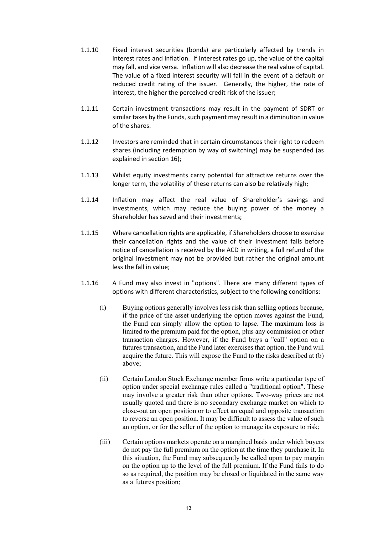- 1.1.10 Fixed interest securities (bonds) are particularly affected by trends in interest rates and inflation. If interest rates go up, the value of the capital may fall, and vice versa. Inflation will also decrease the real value of capital. The value of a fixed interest security will fall in the event of a default or reduced credit rating of the issuer. Generally, the higher, the rate of interest, the higher the perceived credit risk of the issuer;
- 1.1.11 Certain investment transactions may result in the payment of SDRT or similar taxes by the Funds, such payment may result in a diminution in value of the shares.
- 1.1.12 Investors are reminded that in certain circumstances their right to redeem shares (including redemption by way of switching) may be suspended (as explained in section 16);
- 1.1.13 Whilst equity investments carry potential for attractive returns over the longer term, the volatility of these returns can also be relatively high;
- 1.1.14 Inflation may affect the real value of Shareholder's savings and investments, which may reduce the buying power of the money a Shareholder has saved and their investments;
- 1.1.15 Where cancellation rights are applicable, if Shareholders choose to exercise their cancellation rights and the value of their investment falls before notice of cancellation is received by the ACD in writing, a full refund of the original investment may not be provided but rather the original amount less the fall in value;
- 1.1.16 A Fund may also invest in "options". There are many different types of options with different characteristics, subject to the following conditions:
	- (i) Buying options generally involves less risk than selling options because, if the price of the asset underlying the option moves against the Fund, the Fund can simply allow the option to lapse. The maximum loss is limited to the premium paid for the option, plus any commission or other transaction charges. However, if the Fund buys a "call" option on a futures transaction, and the Fund later exercises that option, the Fund will acquire the future. This will expose the Fund to the risks described at (b) above;
	- (ii) Certain London Stock Exchange member firms write a particular type of option under special exchange rules called a "traditional option". These may involve a greater risk than other options. Two-way prices are not usually quoted and there is no secondary exchange market on which to close-out an open position or to effect an equal and opposite transaction to reverse an open position. It may be difficult to assess the value of such an option, or for the seller of the option to manage its exposure to risk;
	- (iii) Certain options markets operate on a margined basis under which buyers do not pay the full premium on the option at the time they purchase it. In this situation, the Fund may subsequently be called upon to pay margin on the option up to the level of the full premium. If the Fund fails to do so as required, the position may be closed or liquidated in the same way as a futures position;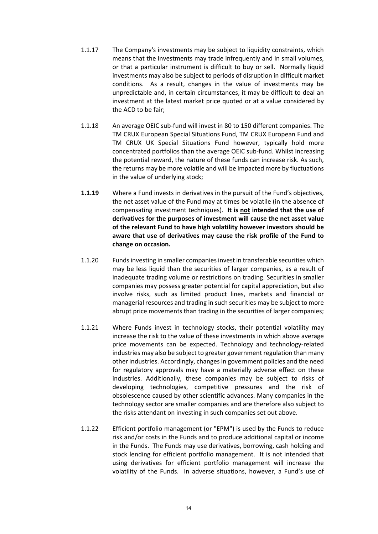- 1.1.17 The Company's investments may be subject to liquidity constraints, which means that the investments may trade infrequently and in small volumes, or that a particular instrument is difficult to buy or sell. Normally liquid investments may also be subject to periods of disruption in difficult market conditions. As a result, changes in the value of investments may be unpredictable and, in certain circumstances, it may be difficult to deal an investment at the latest market price quoted or at a value considered by the ACD to be fair;
- 1.1.18 An average OEIC sub‐fund will invest in 80 to 150 different companies. The TM CRUX European Special Situations Fund, TM CRUX European Fund and TM CRUX UK Special Situations Fund however, typically hold more concentrated portfolios than the average OEIC sub‐fund. Whilst increasing the potential reward, the nature of these funds can increase risk. As such, the returns may be more volatile and will be impacted more by fluctuations in the value of underlying stock;
- **1.1.19** Where a Fund invests in derivatives in the pursuit of the Fund's objectives, the net asset value of the Fund may at times be volatile (in the absence of compensating investment techniques). **It is not intended that the use of derivatives for the purposes of investment will cause the net asset value of the relevant Fund to have high volatility however investors should be aware that use of derivatives may cause the risk profile of the Fund to change on occasion.**
- 1.1.20 Fundsinvesting in smaller companiesinvest in transferable securities which may be less liquid than the securities of larger companies, as a result of inadequate trading volume or restrictions on trading. Securities in smaller companies may possess greater potential for capital appreciation, but also involve risks, such as limited product lines, markets and financial or managerial resources and trading in such securities may be subject to more abrupt price movements than trading in the securities of larger companies;
- 1.1.21 Where Funds invest in technology stocks, their potential volatility may increase the risk to the value of these investments in which above average price movements can be expected. Technology and technology-related industries may also be subject to greater government regulation than many other industries. Accordingly, changes in government policies and the need for regulatory approvals may have a materially adverse effect on these industries. Additionally, these companies may be subject to risks of developing technologies, competitive pressures and the risk of obsolescence caused by other scientific advances. Many companies in the technology sector are smaller companies and are therefore also subject to the risks attendant on investing in such companies set out above.
- 1.1.22 Efficient portfolio management (or "EPM") is used by the Funds to reduce risk and/or costs in the Funds and to produce additional capital or income in the Funds. The Funds may use derivatives, borrowing, cash holding and stock lending for efficient portfolio management. It is not intended that using derivatives for efficient portfolio management will increase the volatility of the Funds. In adverse situations, however, a Fund's use of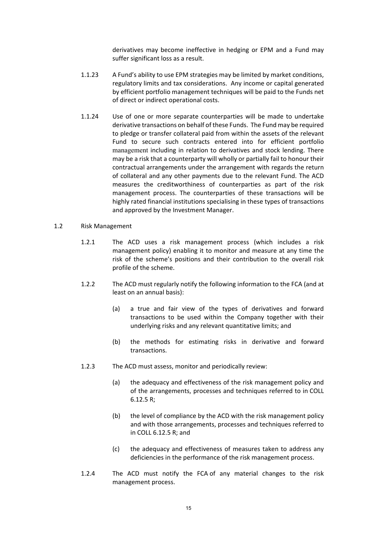derivatives may become ineffective in hedging or EPM and a Fund may suffer significant loss as a result.

- 1.1.23 A Fund's ability to use EPM strategies may be limited by market conditions, regulatory limits and tax considerations. Any income or capital generated by efficient portfolio management techniques will be paid to the Funds net of direct or indirect operational costs.
- 1.1.24 Use of one or more separate counterparties will be made to undertake derivative transactions on behalf of these Funds. The Fund may be required to pledge or transfer collateral paid from within the assets of the relevant Fund to secure such contracts entered into for efficient portfolio management including in relation to derivatives and stock lending. There may be a risk that a counterparty will wholly or partially fail to honour their contractual arrangements under the arrangement with regards the return of collateral and any other payments due to the relevant Fund. The ACD measures the creditworthiness of counterparties as part of the risk management process. The counterparties of these transactions will be highly rated financial institutions specialising in these types of transactions and approved by the Investment Manager.
- 1.2 Risk Management
	- 1.2.1 The ACD uses a risk management process (which includes a risk management policy) enabling it to monitor and measure at any time the risk of the scheme's positions and their contribution to the overall risk profile of the scheme.
	- 1.2.2 The ACD must regularly notify the following information to the FCA (and at least on an annual basis):
		- (a) a true and fair view of the types of derivatives and forward transactions to be used within the Company together with their underlying risks and any relevant quantitative limits; and
		- (b) the methods for estimating risks in derivative and forward transactions.
	- 1.2.3 The ACD must assess, monitor and periodically review:
		- (a) the adequacy and effectiveness of the risk management policy and of the arrangements, processes and techniques referred to in COLL 6.12.5 R;
		- (b) the level of compliance by the ACD with the risk management policy and with those arrangements, processes and techniques referred to in COLL 6.12.5 R; and
		- (c) the adequacy and effectiveness of measures taken to address any deficiencies in the performance of the risk management process.
	- 1.2.4 The ACD must notify the FCA of any material changes to the risk management process.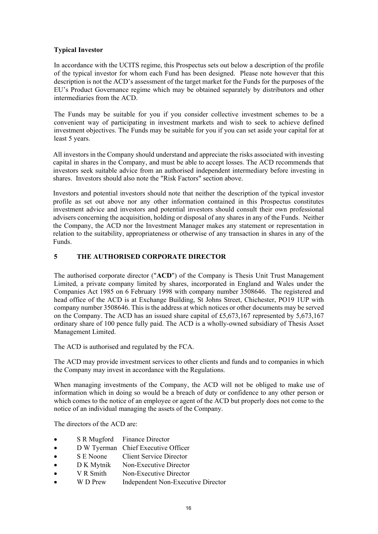# **Typical Investor**

In accordance with the UCITS regime, this Prospectus sets out below a description of the profile of the typical investor for whom each Fund has been designed. Please note however that this description is not the ACD's assessment of the target market for the Funds for the purposes of the EU's Product Governance regime which may be obtained separately by distributors and other intermediaries from the ACD.

The Funds may be suitable for you if you consider collective investment schemes to be a convenient way of participating in investment markets and wish to seek to achieve defined investment objectives. The Funds may be suitable for you if you can set aside your capital for at least 5 years.

All investors in the Company should understand and appreciate the risks associated with investing capital in shares in the Company, and must be able to accept losses. The ACD recommends that investors seek suitable advice from an authorised independent intermediary before investing in shares. Investors should also note the "Risk Factors" section above.

Investors and potential investors should note that neither the description of the typical investor profile as set out above nor any other information contained in this Prospectus constitutes investment advice and investors and potential investors should consult their own professional advisers concerning the acquisition, holding or disposal of any shares in any of the Funds. Neither the Company, the ACD nor the Investment Manager makes any statement or representation in relation to the suitability, appropriateness or otherwise of any transaction in shares in any of the Funds.

# **5 THE AUTHORISED CORPORATE DIRECTOR**

The authorised corporate director ("**ACD**") of the Company is Thesis Unit Trust Management Limited, a private company limited by shares, incorporated in England and Wales under the Companies Act 1985 on 6 February 1998 with company number 3508646. The registered and head office of the ACD is at Exchange Building, St Johns Street, Chichester, PO19 1UP with company number 3508646. This is the address at which notices or other documents may be served on the Company. The ACD has an issued share capital of £5,673,167 represented by 5,673,167 ordinary share of 100 pence fully paid. The ACD is a wholly-owned subsidiary of Thesis Asset Management Limited.

The ACD is authorised and regulated by the FCA.

The ACD may provide investment services to other clients and funds and to companies in which the Company may invest in accordance with the Regulations.

When managing investments of the Company, the ACD will not be obliged to make use of information which in doing so would be a breach of duty or confidence to any other person or which comes to the notice of an employee or agent of the ACD but properly does not come to the notice of an individual managing the assets of the Company.

The directors of the ACD are:

- S R Mugford Finance Director
- D W Tyerman Chief Executive Officer
- S E Noone Client Service Director
- D K Mytnik Non-Executive Director
- V R Smith Non-Executive Director
- W D Prew Independent Non-Executive Director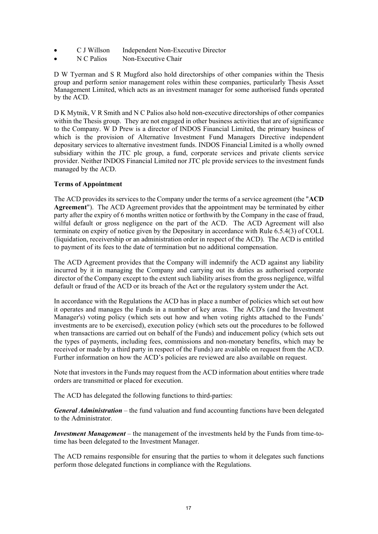- C J Willson Independent Non-Executive Director
- N C Palios Non-Executive Chair

D W Tyerman and S R Mugford also hold directorships of other companies within the Thesis group and perform senior management roles within these companies, particularly Thesis Asset Management Limited, which acts as an investment manager for some authorised funds operated by the ACD.

D K Mytnik, V R Smith and N C Palios also hold non-executive directorships of other companies within the Thesis group. They are not engaged in other business activities that are of significance to the Company. W D Prew is a director of INDOS Financial Limited, the primary business of which is the provision of Alternative Investment Fund Managers Directive independent depositary services to alternative investment funds. INDOS Financial Limited is a wholly owned subsidiary within the JTC plc group, a fund, corporate services and private clients service provider. Neither INDOS Financial Limited nor JTC plc provide services to the investment funds managed by the ACD.

# **Terms of Appointment**

The ACD provides its services to the Company under the terms of a service agreement (the "**ACD Agreement**"). The ACD Agreement provides that the appointment may be terminated by either party after the expiry of 6 months written notice or forthwith by the Company in the case of fraud, wilful default or gross negligence on the part of the ACD. The ACD Agreement will also terminate on expiry of notice given by the Depositary in accordance with Rule 6.5.4(3) of COLL (liquidation, receivership or an administration order in respect of the ACD). The ACD is entitled to payment of its fees to the date of termination but no additional compensation.

The ACD Agreement provides that the Company will indemnify the ACD against any liability incurred by it in managing the Company and carrying out its duties as authorised corporate director of the Company except to the extent such liability arises from the gross negligence, wilful default or fraud of the ACD or its breach of the Act or the regulatory system under the Act.

In accordance with the Regulations the ACD has in place a number of policies which set out how it operates and manages the Funds in a number of key areas. The ACD's (and the Investment Manager's) voting policy (which sets out how and when voting rights attached to the Funds' investments are to be exercised), execution policy (which sets out the procedures to be followed when transactions are carried out on behalf of the Funds) and inducement policy (which sets out the types of payments, including fees, commissions and non-monetary benefits, which may be received or made by a third party in respect of the Funds) are available on request from the ACD. Further information on how the ACD's policies are reviewed are also available on request.

Note that investors in the Funds may request from the ACD information about entities where trade orders are transmitted or placed for execution.

The ACD has delegated the following functions to third-parties:

*General Administration* – the fund valuation and fund accounting functions have been delegated to the Administrator.

*Investment Management* – the management of the investments held by the Funds from time-totime has been delegated to the Investment Manager.

The ACD remains responsible for ensuring that the parties to whom it delegates such functions perform those delegated functions in compliance with the Regulations.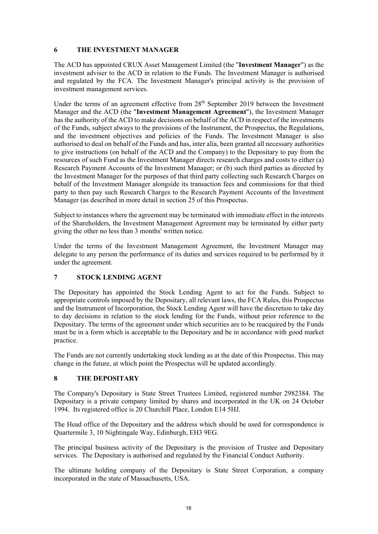# **6 THE INVESTMENT MANAGER**

The ACD has appointed CRUX Asset Management Limited (the "**Investment Manager**") as the investment adviser to the ACD in relation to the Funds. The Investment Manager is authorised and regulated by the FCA. The Investment Manager's principal activity is the provision of investment management services.

Under the terms of an agreement effective from 28<sup>th</sup> September 2019 between the Investment Manager and the ACD (the "**Investment Management Agreement**"), the Investment Manager has the authority of the ACD to make decisions on behalf of the ACD in respect of the investments of the Funds, subject always to the provisions of the Instrument, the Prospectus, the Regulations, and the investment objectives and policies of the Funds. The Investment Manager is also authorised to deal on behalf of the Funds and has, inter alia, been granted all necessary authorities to give instructions (on behalf of the ACD and the Company) to the Depositary to pay from the resources of such Fund as the Investment Manager directs research charges and costs to either (a) Research Payment Accounts of the Investment Manager; or (b) such third parties as directed by the Investment Manager for the purposes of that third party collecting such Research Charges on behalf of the Investment Manager alongside its transaction fees and commissions for that third party to then pay such Research Charges to the Research Payment Accounts of the Investment Manager (as described in more detail in section 25 of this Prospectus.

Subject to instances where the agreement may be terminated with immediate effect in the interests of the Shareholders, the Investment Management Agreement may be terminated by either party giving the other no less than 3 months' written notice.

Under the terms of the Investment Management Agreement, the Investment Manager may delegate to any person the performance of its duties and services required to be performed by it under the agreement.

# **7 STOCK LENDING AGENT**

The Depositary has appointed the Stock Lending Agent to act for the Funds. Subject to appropriate controls imposed by the Depositary, all relevant laws, the FCA Rules, this Prospectus and the Instrument of Incorporation, the Stock Lending Agent will have the discretion to take day to day decisions in relation to the stock lending for the Funds, without prior reference to the Depositary. The terms of the agreement under which securities are to be reacquired by the Funds must be in a form which is acceptable to the Depositary and be in accordance with good market practice.

The Funds are not currently undertaking stock lending as at the date of this Prospectus. This may change in the future, at which point the Prospectus will be updated accordingly.

# **THE DEPOSITARY 8**

The Company's Depositary is State Street Trustees Limited, registered number 2982384. The Depositary is a private company limited by shares and incorporated in the UK on 24 October 1994. Its registered office is 20 Churchill Place, London E14 5HJ.

The Head office of the Depositary and the address which should be used for correspondence is Quartermile 3, 10 Nightingale Way, Edinburgh, EH3 9EG.

The principal business activity of the Depositary is the provision of Trustee and Depositary services. The Depositary is authorised and regulated by the Financial Conduct Authority.

The ultimate holding company of the Depositary is State Street Corporation, a company incorporated in the state of Massachusetts, USA.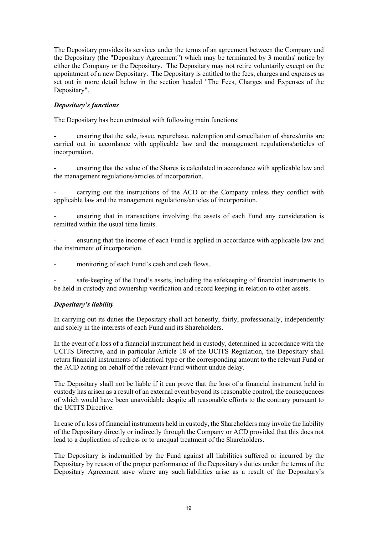The Depositary provides its services under the terms of an agreement between the Company and the Depositary (the "Depositary Agreement") which may be terminated by 3 months' notice by either the Company or the Depositary. The Depositary may not retire voluntarily except on the appointment of a new Depositary. The Depositary is entitled to the fees, charges and expenses as set out in more detail below in the section headed "The Fees, Charges and Expenses of the Depositary".

# *Depositary's functions*

The Depositary has been entrusted with following main functions:

ensuring that the sale, issue, repurchase, redemption and cancellation of shares/units are carried out in accordance with applicable law and the management regulations/articles of incorporation.

- ensuring that the value of the Shares is calculated in accordance with applicable law and the management regulations/articles of incorporation.

- carrying out the instructions of the ACD or the Company unless they conflict with applicable law and the management regulations/articles of incorporation.

ensuring that in transactions involving the assets of each Fund any consideration is remitted within the usual time limits.

ensuring that the income of each Fund is applied in accordance with applicable law and the instrument of incorporation.

monitoring of each Fund's cash and cash flows.

safe-keeping of the Fund's assets, including the safekeeping of financial instruments to be held in custody and ownership verification and record keeping in relation to other assets.

#### *Depositary's liability*

In carrying out its duties the Depositary shall act honestly, fairly, professionally, independently and solely in the interests of each Fund and its Shareholders.

In the event of a loss of a financial instrument held in custody, determined in accordance with the UCITS Directive, and in particular Article 18 of the UCITS Regulation, the Depositary shall return financial instruments of identical type or the corresponding amount to the relevant Fund or the ACD acting on behalf of the relevant Fund without undue delay.

The Depositary shall not be liable if it can prove that the loss of a financial instrument held in custody has arisen as a result of an external event beyond its reasonable control, the consequences of which would have been unavoidable despite all reasonable efforts to the contrary pursuant to the UCITS Directive.

In case of a loss of financial instruments held in custody, the Shareholders may invoke the liability of the Depositary directly or indirectly through the Company or ACD provided that this does not lead to a duplication of redress or to unequal treatment of the Shareholders.

The Depositary is indemnified by the Fund against all liabilities suffered or incurred by the Depositary by reason of the proper performance of the Depositary's duties under the terms of the Depositary Agreement save where any such liabilities arise as a result of the Depositary's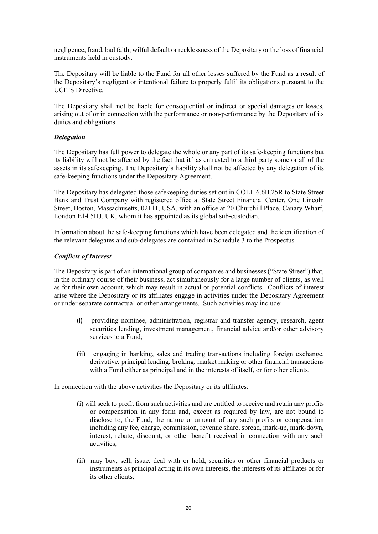negligence, fraud, bad faith, wilful default or recklessness of the Depositary or the loss of financial instruments held in custody.

The Depositary will be liable to the Fund for all other losses suffered by the Fund as a result of the Depositary's negligent or intentional failure to properly fulfil its obligations pursuant to the UCITS Directive.

The Depositary shall not be liable for consequential or indirect or special damages or losses, arising out of or in connection with the performance or non-performance by the Depositary of its duties and obligations.

# *Delegation*

The Depositary has full power to delegate the whole or any part of its safe-keeping functions but its liability will not be affected by the fact that it has entrusted to a third party some or all of the assets in its safekeeping. The Depositary's liability shall not be affected by any delegation of its safe-keeping functions under the Depositary Agreement.

The Depositary has delegated those safekeeping duties set out in COLL 6.6B.25R to State Street Bank and Trust Company with registered office at State Street Financial Center, One Lincoln Street, Boston, Massachusetts, 02111, USA, with an office at 20 Churchill Place, Canary Wharf, London E14 5HJ, UK, whom it has appointed as its global sub-custodian.

Information about the safe-keeping functions which have been delegated and the identification of the relevant delegates and sub-delegates are contained in Schedule 3 to the Prospectus.

# *Conflicts of Interest*

The Depositary is part of an international group of companies and businesses ("State Street") that, in the ordinary course of their business, act simultaneously for a large number of clients, as well as for their own account, which may result in actual or potential conflicts. Conflicts of interest arise where the Depositary or its affiliates engage in activities under the Depositary Agreement or under separate contractual or other arrangements. Such activities may include:

- (i) providing nominee, administration, registrar and transfer agency, research, agent securities lending, investment management, financial advice and/or other advisory services to a Fund;
- (ii) engaging in banking, sales and trading transactions including foreign exchange, derivative, principal lending, broking, market making or other financial transactions with a Fund either as principal and in the interests of itself, or for other clients.

In connection with the above activities the Depositary or its affiliates:

- (i) will seek to profit from such activities and are entitled to receive and retain any profits or compensation in any form and, except as required by law, are not bound to disclose to, the Fund, the nature or amount of any such profits or compensation including any fee, charge, commission, revenue share, spread, mark-up, mark-down, interest, rebate, discount, or other benefit received in connection with any such activities;
- (ii) may buy, sell, issue, deal with or hold, securities or other financial products or instruments as principal acting in its own interests, the interests of its affiliates or for its other clients;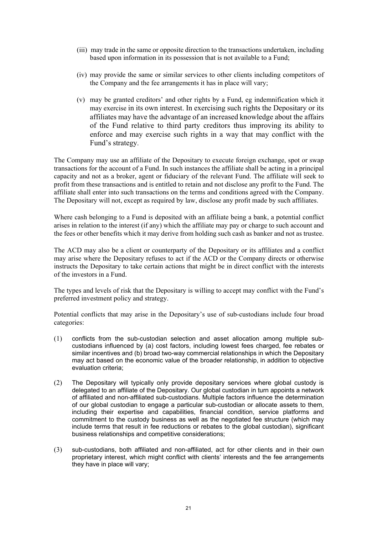- (iii) may trade in the same or opposite direction to the transactions undertaken, including based upon information in its possession that is not available to a Fund;
- (iv) may provide the same or similar services to other clients including competitors of the Company and the fee arrangements it has in place will vary;
- (v) may be granted creditors' and other rights by a Fund, eg indemnification which it may exercise in its own interest. In exercising such rights the Depositary or its affiliates may have the advantage of an increased knowledge about the affairs of the Fund relative to third party creditors thus improving its ability to enforce and may exercise such rights in a way that may conflict with the Fund's strategy.

The Company may use an affiliate of the Depositary to execute foreign exchange, spot or swap transactions for the account of a Fund. In such instances the affiliate shall be acting in a principal capacity and not as a broker, agent or fiduciary of the relevant Fund. The affiliate will seek to profit from these transactions and is entitled to retain and not disclose any profit to the Fund. The affiliate shall enter into such transactions on the terms and conditions agreed with the Company. The Depositary will not, except as required by law, disclose any profit made by such affiliates.

Where cash belonging to a Fund is deposited with an affiliate being a bank, a potential conflict arises in relation to the interest (if any) which the affiliate may pay or charge to such account and the fees or other benefits which it may derive from holding such cash as banker and not as trustee.

The ACD may also be a client or counterparty of the Depositary or its affiliates and a conflict may arise where the Depositary refuses to act if the ACD or the Company directs or otherwise instructs the Depositary to take certain actions that might be in direct conflict with the interests of the investors in a Fund.

The types and levels of risk that the Depositary is willing to accept may conflict with the Fund's preferred investment policy and strategy.

Potential conflicts that may arise in the Depositary's use of sub-custodians include four broad categories:

- (1) conflicts from the sub-custodian selection and asset allocation among multiple subcustodians influenced by (a) cost factors, including lowest fees charged, fee rebates or similar incentives and (b) broad two-way commercial relationships in which the Depositary may act based on the economic value of the broader relationship, in addition to objective evaluation criteria;
- (2) The Depositary will typically only provide depositary services where global custody is delegated to an affiliate of the Depositary. Our global custodian in turn appoints a network of affiliated and non-affiliated sub-custodians. Multiple factors influence the determination of our global custodian to engage a particular sub-custodian or allocate assets to them, including their expertise and capabilities, financial condition, service platforms and commitment to the custody business as well as the negotiated fee structure (which may include terms that result in fee reductions or rebates to the global custodian), significant business relationships and competitive considerations;
- (3) sub-custodians, both affiliated and non-affiliated, act for other clients and in their own proprietary interest, which might conflict with clients' interests and the fee arrangements they have in place will vary;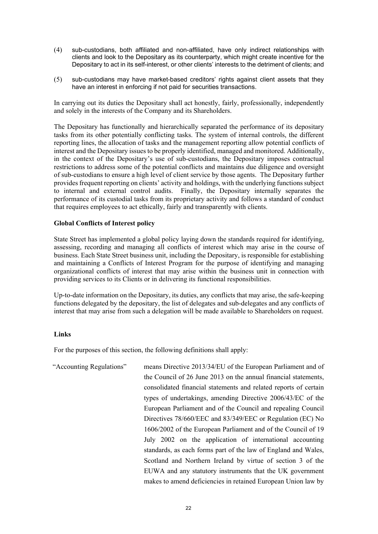- (4) sub-custodians, both affiliated and non-affiliated, have only indirect relationships with clients and look to the Depositary as its counterparty, which might create incentive for the Depositary to act in its self-interest, or other clients' interests to the detriment of clients; and
- (5) sub-custodians may have market-based creditors' rights against client assets that they have an interest in enforcing if not paid for securities transactions.

In carrying out its duties the Depositary shall act honestly, fairly, professionally, independently and solely in the interests of the Company and its Shareholders.

The Depositary has functionally and hierarchically separated the performance of its depositary tasks from its other potentially conflicting tasks. The system of internal controls, the different reporting lines, the allocation of tasks and the management reporting allow potential conflicts of interest and the Depositary issues to be properly identified, managed and monitored. Additionally, in the context of the Depositary's use of sub-custodians, the Depositary imposes contractual restrictions to address some of the potential conflicts and maintains due diligence and oversight of sub-custodians to ensure a high level of client service by those agents. The Depositary further provides frequent reporting on clients' activity and holdings, with the underlying functions subject to internal and external control audits. Finally, the Depositary internally separates the performance of its custodial tasks from its proprietary activity and follows a standard of conduct that requires employees to act ethically, fairly and transparently with clients.

#### **Global Conflicts of Interest policy**

State Street has implemented a global policy laying down the standards required for identifying, assessing, recording and managing all conflicts of interest which may arise in the course of business. Each State Street business unit, including the Depositary, is responsible for establishing and maintaining a Conflicts of Interest Program for the purpose of identifying and managing organizational conflicts of interest that may arise within the business unit in connection with providing services to its Clients or in delivering its functional responsibilities.

Up-to-date information on the Depositary, its duties, any conflicts that may arise, the safe-keeping functions delegated by the depositary, the list of delegates and sub-delegates and any conflicts of interest that may arise from such a delegation will be made available to Shareholders on request.

#### **Links**

For the purposes of this section, the following definitions shall apply:

"Accounting Regulations" means Directive 2013/34/EU of the European Parliament and of the Council of 26 June 2013 on the annual financial statements, consolidated financial statements and related reports of certain types of undertakings, amending Directive 2006/43/EC of the European Parliament and of the Council and repealing Council Directives 78/660/EEC and 83/349/EEC or Regulation (EC) No 1606/2002 of the European Parliament and of the Council of 19 July 2002 on the application of international accounting standards, as each forms part of the law of England and Wales, Scotland and Northern Ireland by virtue of section 3 of the EUWA and any statutory instruments that the UK government makes to amend deficiencies in retained European Union law by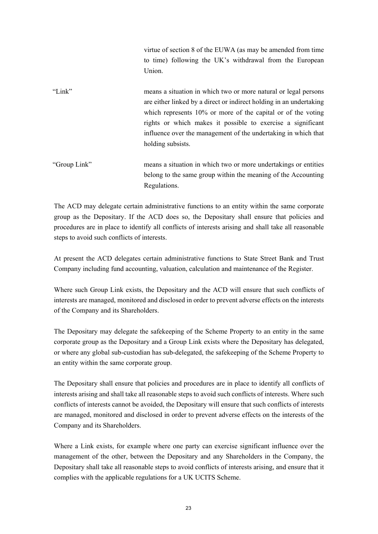virtue of section 8 of the EUWA (as may be amended from time to time) following the UK's withdrawal from the European Union.

- "Link" means a situation in which two or more natural or legal persons are either linked by a direct or indirect holding in an undertaking which represents 10% or more of the capital or of the voting rights or which makes it possible to exercise a significant influence over the management of the undertaking in which that holding subsists.
- "Group Link" means a situation in which two or more undertakings or entities belong to the same group within the meaning of the Accounting Regulations.

The ACD may delegate certain administrative functions to an entity within the same corporate group as the Depositary. If the ACD does so, the Depositary shall ensure that policies and procedures are in place to identify all conflicts of interests arising and shall take all reasonable steps to avoid such conflicts of interests.

At present the ACD delegates certain administrative functions to State Street Bank and Trust Company including fund accounting, valuation, calculation and maintenance of the Register.

Where such Group Link exists, the Depositary and the ACD will ensure that such conflicts of interests are managed, monitored and disclosed in order to prevent adverse effects on the interests of the Company and its Shareholders.

The Depositary may delegate the safekeeping of the Scheme Property to an entity in the same corporate group as the Depositary and a Group Link exists where the Depositary has delegated, or where any global sub-custodian has sub-delegated, the safekeeping of the Scheme Property to an entity within the same corporate group.

The Depositary shall ensure that policies and procedures are in place to identify all conflicts of interests arising and shall take all reasonable steps to avoid such conflicts of interests. Where such conflicts of interests cannot be avoided, the Depositary will ensure that such conflicts of interests are managed, monitored and disclosed in order to prevent adverse effects on the interests of the Company and its Shareholders.

Where a Link exists, for example where one party can exercise significant influence over the management of the other, between the Depositary and any Shareholders in the Company, the Depositary shall take all reasonable steps to avoid conflicts of interests arising, and ensure that it complies with the applicable regulations for a UK UCITS Scheme.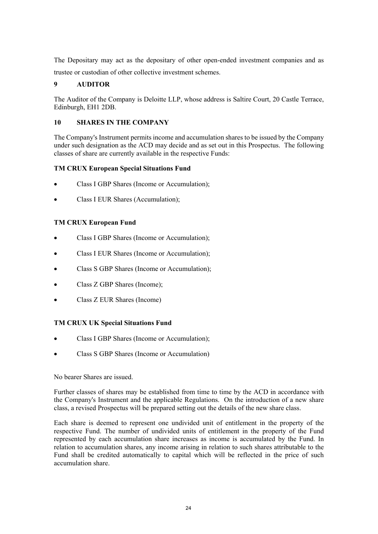The Depositary may act as the depositary of other open-ended investment companies and as trustee or custodian of other collective investment schemes.

# **9 AUDITOR**

The Auditor of the Company is Deloitte LLP, whose address is Saltire Court, 20 Castle Terrace, Edinburgh, EH1 2DB.

# **10 SHARES IN THE COMPANY**

The Company's Instrument permits income and accumulation shares to be issued by the Company under such designation as the ACD may decide and as set out in this Prospectus. The following classes of share are currently available in the respective Funds:

# **TM CRUX European Special Situations Fund**

- Class I GBP Shares (Income or Accumulation);
- Class I EUR Shares (Accumulation);

# **TM CRUX European Fund**

- Class I GBP Shares (Income or Accumulation);
- Class I EUR Shares (Income or Accumulation);
- Class S GBP Shares (Income or Accumulation);
- Class Z GBP Shares (Income);
- Class Z EUR Shares (Income)

#### **TM CRUX UK Special Situations Fund**

- Class I GBP Shares (Income or Accumulation);
- Class S GBP Shares (Income or Accumulation)

No bearer Shares are issued.

Further classes of shares may be established from time to time by the ACD in accordance with the Company's Instrument and the applicable Regulations. On the introduction of a new share class, a revised Prospectus will be prepared setting out the details of the new share class.

Each share is deemed to represent one undivided unit of entitlement in the property of the respective Fund. The number of undivided units of entitlement in the property of the Fund represented by each accumulation share increases as income is accumulated by the Fund. In relation to accumulation shares, any income arising in relation to such shares attributable to the Fund shall be credited automatically to capital which will be reflected in the price of such accumulation share.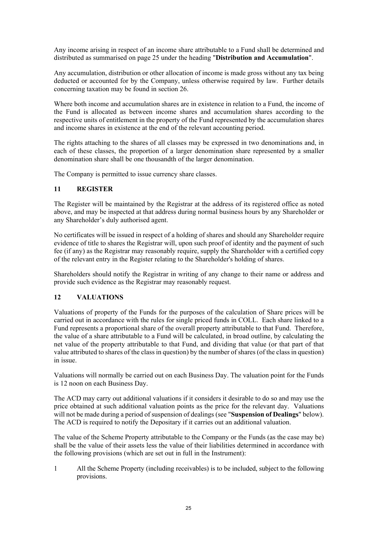Any income arising in respect of an income share attributable to a Fund shall be determined and distributed as summarised on page 25 under the heading "**Distribution and Accumulation**".

Any accumulation, distribution or other allocation of income is made gross without any tax being deducted or accounted for by the Company, unless otherwise required by law. Further details concerning taxation may be found in section 26.

Where both income and accumulation shares are in existence in relation to a Fund, the income of the Fund is allocated as between income shares and accumulation shares according to the respective units of entitlement in the property of the Fund represented by the accumulation shares and income shares in existence at the end of the relevant accounting period.

The rights attaching to the shares of all classes may be expressed in two denominations and, in each of these classes, the proportion of a larger denomination share represented by a smaller denomination share shall be one thousandth of the larger denomination.

The Company is permitted to issue currency share classes.

# **11 REGISTER**

The Register will be maintained by the Registrar at the address of its registered office as noted above, and may be inspected at that address during normal business hours by any Shareholder or any Shareholder's duly authorised agent.

No certificates will be issued in respect of a holding of shares and should any Shareholder require evidence of title to shares the Registrar will, upon such proof of identity and the payment of such fee (if any) as the Registrar may reasonably require, supply the Shareholder with a certified copy of the relevant entry in the Register relating to the Shareholder's holding of shares.

Shareholders should notify the Registrar in writing of any change to their name or address and provide such evidence as the Registrar may reasonably request.

# **12 VALUATIONS**

Valuations of property of the Funds for the purposes of the calculation of Share prices will be carried out in accordance with the rules for single priced funds in COLL. Each share linked to a Fund represents a proportional share of the overall property attributable to that Fund. Therefore, the value of a share attributable to a Fund will be calculated, in broad outline, by calculating the net value of the property attributable to that Fund, and dividing that value (or that part of that value attributed to shares of the class in question) by the number of shares (of the class in question) in issue.

Valuations will normally be carried out on each Business Day. The valuation point for the Funds is 12 noon on each Business Day.

The ACD may carry out additional valuations if it considers it desirable to do so and may use the price obtained at such additional valuation points as the price for the relevant day. Valuations will not be made during a period of suspension of dealings (see "**Suspension of Dealings**" below). The ACD is required to notify the Depositary if it carries out an additional valuation.

The value of the Scheme Property attributable to the Company or the Funds (as the case may be) shall be the value of their assets less the value of their liabilities determined in accordance with the following provisions (which are set out in full in the Instrument):

1 All the Scheme Property (including receivables) is to be included, subject to the following provisions.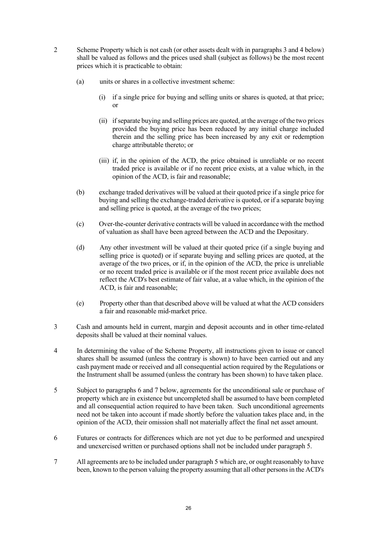- 2 Scheme Property which is not cash (or other assets dealt with in paragraphs 3 and 4 below) shall be valued as follows and the prices used shall (subject as follows) be the most recent prices which it is practicable to obtain:
	- (a) units or shares in a collective investment scheme:
		- (i) if a single price for buying and selling units or shares is quoted, at that price; or
		- (ii) if separate buying and selling prices are quoted, at the average of the two prices provided the buying price has been reduced by any initial charge included therein and the selling price has been increased by any exit or redemption charge attributable thereto; or
		- (iii) if, in the opinion of the ACD, the price obtained is unreliable or no recent traded price is available or if no recent price exists, at a value which, in the opinion of the ACD, is fair and reasonable;
	- (b) exchange traded derivatives will be valued at their quoted price if a single price for buying and selling the exchange-traded derivative is quoted, or if a separate buying and selling price is quoted, at the average of the two prices;
	- (c) Over-the-counter derivative contracts will be valued in accordance with the method of valuation as shall have been agreed between the ACD and the Depositary.
	- (d) Any other investment will be valued at their quoted price (if a single buying and selling price is quoted) or if separate buying and selling prices are quoted, at the average of the two prices, or if, in the opinion of the ACD, the price is unreliable or no recent traded price is available or if the most recent price available does not reflect the ACD's best estimate of fair value, at a value which, in the opinion of the ACD, is fair and reasonable;
	- (e) Property other than that described above will be valued at what the ACD considers a fair and reasonable mid-market price.
- 3 Cash and amounts held in current, margin and deposit accounts and in other time-related deposits shall be valued at their nominal values.
- 4 In determining the value of the Scheme Property, all instructions given to issue or cancel shares shall be assumed (unless the contrary is shown) to have been carried out and any cash payment made or received and all consequential action required by the Regulations or the Instrument shall be assumed (unless the contrary has been shown) to have taken place.
- 5 Subject to paragraphs 6 and 7 below, agreements for the unconditional sale or purchase of property which are in existence but uncompleted shall be assumed to have been completed and all consequential action required to have been taken. Such unconditional agreements need not be taken into account if made shortly before the valuation takes place and, in the opinion of the ACD, their omission shall not materially affect the final net asset amount.
- 6 Futures or contracts for differences which are not yet due to be performed and unexpired and unexercised written or purchased options shall not be included under paragraph 5.
- 7 All agreements are to be included under paragraph 5 which are, or ought reasonably to have been, known to the person valuing the property assuming that all other persons in the ACD's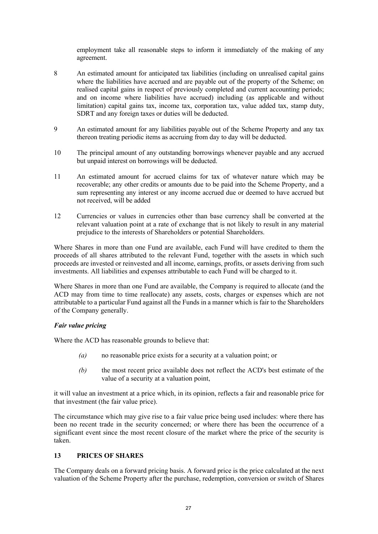employment take all reasonable steps to inform it immediately of the making of any agreement.

- 8 An estimated amount for anticipated tax liabilities (including on unrealised capital gains where the liabilities have accrued and are payable out of the property of the Scheme; on realised capital gains in respect of previously completed and current accounting periods; and on income where liabilities have accrued) including (as applicable and without limitation) capital gains tax, income tax, corporation tax, value added tax, stamp duty, SDRT and any foreign taxes or duties will be deducted.
- 9 An estimated amount for any liabilities payable out of the Scheme Property and any tax thereon treating periodic items as accruing from day to day will be deducted.
- 10 The principal amount of any outstanding borrowings whenever payable and any accrued but unpaid interest on borrowings will be deducted.
- 11 An estimated amount for accrued claims for tax of whatever nature which may be recoverable; any other credits or amounts due to be paid into the Scheme Property, and a sum representing any interest or any income accrued due or deemed to have accrued but not received, will be added
- 12 Currencies or values in currencies other than base currency shall be converted at the relevant valuation point at a rate of exchange that is not likely to result in any material prejudice to the interests of Shareholders or potential Shareholders.

Where Shares in more than one Fund are available, each Fund will have credited to them the proceeds of all shares attributed to the relevant Fund, together with the assets in which such proceeds are invested or reinvested and all income, earnings, profits, or assets deriving from such investments. All liabilities and expenses attributable to each Fund will be charged to it.

Where Shares in more than one Fund are available, the Company is required to allocate (and the ACD may from time to time reallocate) any assets, costs, charges or expenses which are not attributable to a particular Fund against all the Funds in a manner which is fair to the Shareholders of the Company generally.

#### *Fair value pricing*

Where the ACD has reasonable grounds to believe that:

- *(a)* no reasonable price exists for a security at a valuation point; or
- *(b)* the most recent price available does not reflect the ACD's best estimate of the value of a security at a valuation point,

it will value an investment at a price which, in its opinion, reflects a fair and reasonable price for that investment (the fair value price).

The circumstance which may give rise to a fair value price being used includes: where there has been no recent trade in the security concerned; or where there has been the occurrence of a significant event since the most recent closure of the market where the price of the security is taken.

# **13 PRICES OF SHARES**

The Company deals on a forward pricing basis. A forward price is the price calculated at the next valuation of the Scheme Property after the purchase, redemption, conversion or switch of Shares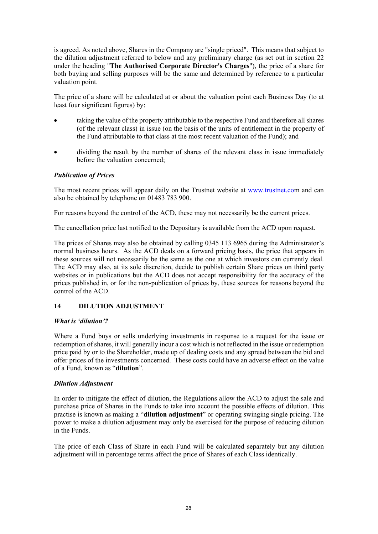is agreed. As noted above, Shares in the Company are "single priced". This means that subject to the dilution adjustment referred to below and any preliminary charge (as set out in section 22 under the heading "**The Authorised Corporate Director's Charges**"), the price of a share for both buying and selling purposes will be the same and determined by reference to a particular valuation point.

The price of a share will be calculated at or about the valuation point each Business Day (to at least four significant figures) by:

- taking the value of the property attributable to the respective Fund and therefore all shares (of the relevant class) in issue (on the basis of the units of entitlement in the property of the Fund attributable to that class at the most recent valuation of the Fund); and
- dividing the result by the number of shares of the relevant class in issue immediately before the valuation concerned;

# *Publication of Prices*

The most recent prices will appear daily on the Trustnet website at www.trustnet.com and can also be obtained by telephone on 01483 783 900.

For reasons beyond the control of the ACD, these may not necessarily be the current prices.

The cancellation price last notified to the Depositary is available from the ACD upon request.

The prices of Shares may also be obtained by calling 0345 113 6965 during the Administrator's normal business hours. As the ACD deals on a forward pricing basis, the price that appears in these sources will not necessarily be the same as the one at which investors can currently deal. The ACD may also, at its sole discretion, decide to publish certain Share prices on third party websites or in publications but the ACD does not accept responsibility for the accuracy of the prices published in, or for the non-publication of prices by, these sources for reasons beyond the control of the ACD.

# **14 DILUTION ADJUSTMENT**

#### *What is 'dilution'?*

Where a Fund buys or sells underlying investments in response to a request for the issue or redemption of shares, it will generally incur a cost which is not reflected in the issue or redemption price paid by or to the Shareholder, made up of dealing costs and any spread between the bid and offer prices of the investments concerned. These costs could have an adverse effect on the value of a Fund, known as "**dilution**".

#### *Dilution Adjustment*

In order to mitigate the effect of dilution, the Regulations allow the ACD to adjust the sale and purchase price of Shares in the Funds to take into account the possible effects of dilution. This practise is known as making a "**dilution adjustment**" or operating swinging single pricing. The power to make a dilution adjustment may only be exercised for the purpose of reducing dilution in the Funds.

The price of each Class of Share in each Fund will be calculated separately but any dilution adjustment will in percentage terms affect the price of Shares of each Class identically.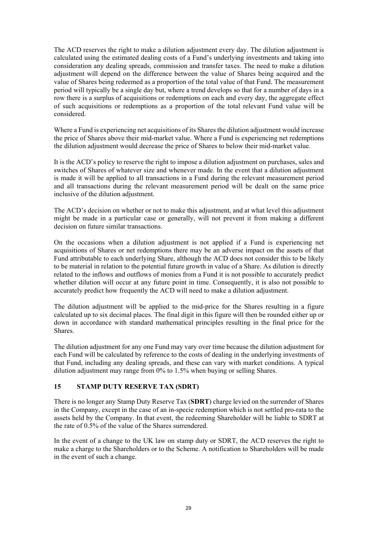The ACD reserves the right to make a dilution adjustment every day. The dilution adjustment is calculated using the estimated dealing costs of a Fund's underlying investments and taking into consideration any dealing spreads, commission and transfer taxes. The need to make a dilution adjustment will depend on the difference between the value of Shares being acquired and the value of Shares being redeemed as a proportion of the total value of that Fund. The measurement period will typically be a single day but, where a trend develops so that for a number of days in a row there is a surplus of acquisitions or redemptions on each and every day, the aggregate effect of such acquisitions or redemptions as a proportion of the total relevant Fund value will be considered.

Where a Fund is experiencing net acquisitions of its Shares the dilution adjustment would increase the price of Shares above their mid-market value. Where a Fund is experiencing net redemptions the dilution adjustment would decrease the price of Shares to below their mid-market value.

It is the ACD's policy to reserve the right to impose a dilution adjustment on purchases, sales and switches of Shares of whatever size and whenever made. In the event that a dilution adjustment is made it will be applied to all transactions in a Fund during the relevant measurement period and all transactions during the relevant measurement period will be dealt on the same price inclusive of the dilution adjustment.

The ACD's decision on whether or not to make this adjustment, and at what level this adjustment might be made in a particular case or generally, will not prevent it from making a different decision on future similar transactions.

On the occasions when a dilution adjustment is not applied if a Fund is experiencing net acquisitions of Shares or net redemptions there may be an adverse impact on the assets of that Fund attributable to each underlying Share, although the ACD does not consider this to be likely to be material in relation to the potential future growth in value of a Share. As dilution is directly related to the inflows and outflows of monies from a Fund it is not possible to accurately predict whether dilution will occur at any future point in time. Consequently, it is also not possible to accurately predict how frequently the ACD will need to make a dilution adjustment.

The dilution adjustment will be applied to the mid-price for the Shares resulting in a figure calculated up to six decimal places. The final digit in this figure will then be rounded either up or down in accordance with standard mathematical principles resulting in the final price for the Shares.

The dilution adjustment for any one Fund may vary over time because the dilution adjustment for each Fund will be calculated by reference to the costs of dealing in the underlying investments of that Fund, including any dealing spreads, and these can vary with market conditions. A typical dilution adjustment may range from 0% to 1.5% when buying or selling Shares.

# **15 STAMP DUTY RESERVE TAX (SDRT)**

There is no longer any Stamp Duty Reserve Tax (**SDRT**) charge levied on the surrender of Shares in the Company, except in the case of an in-specie redemption which is not settled pro-rata to the assets held by the Company. In that event, the redeeming Shareholder will be liable to SDRT at the rate of 0.5% of the value of the Shares surrendered.

In the event of a change to the UK law on stamp duty or SDRT, the ACD reserves the right to make a charge to the Shareholders or to the Scheme. A notification to Shareholders will be made in the event of such a change.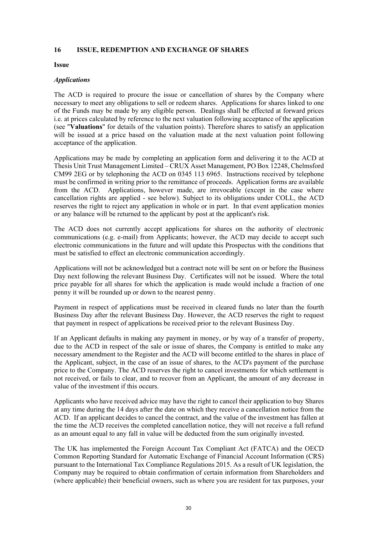#### **16 ISSUE, REDEMPTION AND EXCHANGE OF SHARES**

#### **Issue**

#### *Applications*

The ACD is required to procure the issue or cancellation of shares by the Company where necessary to meet any obligations to sell or redeem shares. Applications for shares linked to one of the Funds may be made by any eligible person. Dealings shall be effected at forward prices i.e. at prices calculated by reference to the next valuation following acceptance of the application (see "**Valuations**" for details of the valuation points). Therefore shares to satisfy an application will be issued at a price based on the valuation made at the next valuation point following acceptance of the application.

Applications may be made by completing an application form and delivering it to the ACD at Thesis Unit Trust Management Limited – CRUX Asset Management, PO Box 12248, Chelmsford CM99 2EG or by telephoning the ACD on 0345 113 6965. Instructions received by telephone must be confirmed in writing prior to the remittance of proceeds. Application forms are available from the ACD. Applications, however made, are irrevocable (except in the case where cancellation rights are applied - see below). Subject to its obligations under COLL, the ACD reserves the right to reject any application in whole or in part. In that event application monies or any balance will be returned to the applicant by post at the applicant's risk.

The ACD does not currently accept applications for shares on the authority of electronic communications (e.g. e-mail) from Applicants; however, the ACD may decide to accept such electronic communications in the future and will update this Prospectus with the conditions that must be satisfied to effect an electronic communication accordingly.

Applications will not be acknowledged but a contract note will be sent on or before the Business Day next following the relevant Business Day. Certificates will not be issued. Where the total price payable for all shares for which the application is made would include a fraction of one penny it will be rounded up or down to the nearest penny.

Payment in respect of applications must be received in cleared funds no later than the fourth Business Day after the relevant Business Day. However, the ACD reserves the right to request that payment in respect of applications be received prior to the relevant Business Day.

If an Applicant defaults in making any payment in money, or by way of a transfer of property, due to the ACD in respect of the sale or issue of shares, the Company is entitled to make any necessary amendment to the Register and the ACD will become entitled to the shares in place of the Applicant, subject, in the case of an issue of shares, to the ACD's payment of the purchase price to the Company. The ACD reserves the right to cancel investments for which settlement is not received, or fails to clear, and to recover from an Applicant, the amount of any decrease in value of the investment if this occurs.

Applicants who have received advice may have the right to cancel their application to buy Shares at any time during the 14 days after the date on which they receive a cancellation notice from the ACD. If an applicant decides to cancel the contract, and the value of the investment has fallen at the time the ACD receives the completed cancellation notice, they will not receive a full refund as an amount equal to any fall in value will be deducted from the sum originally invested.

The UK has implemented the Foreign Account Tax Compliant Act (FATCA) and the OECD Common Reporting Standard for Automatic Exchange of Financial Account Information (CRS) pursuant to the International Tax Compliance Regulations 2015. As a result of UK legislation, the Company may be required to obtain confirmation of certain information from Shareholders and (where applicable) their beneficial owners, such as where you are resident for tax purposes, your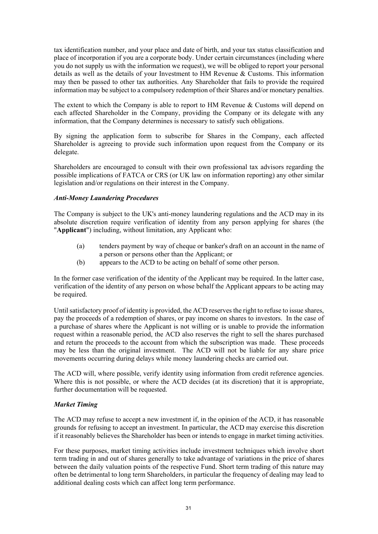tax identification number, and your place and date of birth, and your tax status classification and place of incorporation if you are a corporate body. Under certain circumstances (including where you do not supply us with the information we request), we will be obliged to report your personal details as well as the details of your Investment to HM Revenue & Customs. This information may then be passed to other tax authorities. Any Shareholder that fails to provide the required information may be subject to a compulsory redemption of their Shares and/or monetary penalties.

The extent to which the Company is able to report to HM Revenue & Customs will depend on each affected Shareholder in the Company, providing the Company or its delegate with any information, that the Company determines is necessary to satisfy such obligations.

By signing the application form to subscribe for Shares in the Company, each affected Shareholder is agreeing to provide such information upon request from the Company or its delegate.

Shareholders are encouraged to consult with their own professional tax advisors regarding the possible implications of FATCA or CRS (or UK law on information reporting) any other similar legislation and/or regulations on their interest in the Company.

# *Anti-Money Laundering Procedures*

The Company is subject to the UK's anti-money laundering regulations and the ACD may in its absolute discretion require verification of identity from any person applying for shares (the "**Applicant**") including, without limitation, any Applicant who:

- (a) tenders payment by way of cheque or banker's draft on an account in the name of a person or persons other than the Applicant; or
- (b) appears to the ACD to be acting on behalf of some other person.

In the former case verification of the identity of the Applicant may be required. In the latter case, verification of the identity of any person on whose behalf the Applicant appears to be acting may be required.

Until satisfactory proof of identity is provided, the ACD reserves the right to refuse to issue shares, pay the proceeds of a redemption of shares, or pay income on shares to investors. In the case of a purchase of shares where the Applicant is not willing or is unable to provide the information request within a reasonable period, the ACD also reserves the right to sell the shares purchased and return the proceeds to the account from which the subscription was made. These proceeds may be less than the original investment. The ACD will not be liable for any share price movements occurring during delays while money laundering checks are carried out.

The ACD will, where possible, verify identity using information from credit reference agencies. Where this is not possible, or where the ACD decides (at its discretion) that it is appropriate, further documentation will be requested.

#### *Market Timing*

The ACD may refuse to accept a new investment if, in the opinion of the ACD, it has reasonable grounds for refusing to accept an investment. In particular, the ACD may exercise this discretion if it reasonably believes the Shareholder has been or intends to engage in market timing activities.

For these purposes, market timing activities include investment techniques which involve short term trading in and out of shares generally to take advantage of variations in the price of shares between the daily valuation points of the respective Fund. Short term trading of this nature may often be detrimental to long term Shareholders, in particular the frequency of dealing may lead to additional dealing costs which can affect long term performance.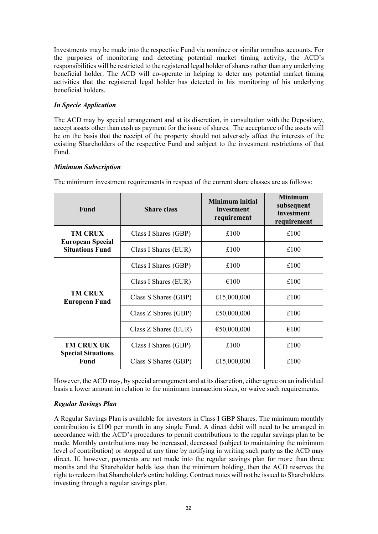Investments may be made into the respective Fund via nominee or similar omnibus accounts. For the purposes of monitoring and detecting potential market timing activity, the ACD's responsibilities will be restricted to the registered legal holder of shares rather than any underlying beneficial holder. The ACD will co-operate in helping to deter any potential market timing activities that the registered legal holder has detected in his monitoring of his underlying beneficial holders.

# *In Specie Application*

The ACD may by special arrangement and at its discretion, in consultation with the Depositary, accept assets other than cash as payment for the issue of shares. The acceptance of the assets will be on the basis that the receipt of the property should not adversely affect the interests of the existing Shareholders of the respective Fund and subject to the investment restrictions of that Fund.

# *Minimum Subscription*

| Fund                                              | <b>Share class</b>   | Minimum initial<br>investment<br>requirement | <b>Minimum</b><br>subsequent<br>investment<br>requirement |
|---------------------------------------------------|----------------------|----------------------------------------------|-----------------------------------------------------------|
| <b>TM CRUX</b>                                    | Class I Shares (GBP) | £100                                         | £100                                                      |
| <b>European Special</b><br><b>Situations Fund</b> | Class I Shares (EUR) | £100                                         | £100                                                      |
|                                                   | Class I Shares (GBP) | £100                                         | £100                                                      |
| <b>TM CRUX</b><br><b>European Fund</b>            | Class I Shares (EUR) | €100                                         | £100                                                      |
|                                                   | Class S Shares (GBP) | £15,000,000                                  | £100                                                      |
|                                                   | Class Z Shares (GBP) | £50,000,000                                  | £100                                                      |
|                                                   | Class Z Shares (EUR) | €50,000,000                                  | €100                                                      |
| <b>TM CRUX UK</b>                                 | Class I Shares (GBP) | £100                                         | £100                                                      |
| <b>Special Situations</b><br>Fund                 | Class S Shares (GBP) | £15,000,000                                  | £100                                                      |

The minimum investment requirements in respect of the current share classes are as follows:

However, the ACD may, by special arrangement and at its discretion, either agree on an individual basis a lower amount in relation to the minimum transaction sizes, or waive such requirements.

# *Regular Savings Plan*

A Regular Savings Plan is available for investors in Class I GBP Shares. The minimum monthly contribution is £100 per month in any single Fund. A direct debit will need to be arranged in accordance with the ACD's procedures to permit contributions to the regular savings plan to be made. Monthly contributions may be increased, decreased (subject to maintaining the minimum level of contribution) or stopped at any time by notifying in writing such party as the ACD may direct. If, however, payments are not made into the regular savings plan for more than three months and the Shareholder holds less than the minimum holding, then the ACD reserves the right to redeem that Shareholder's entire holding. Contract notes will not be issued to Shareholders investing through a regular savings plan.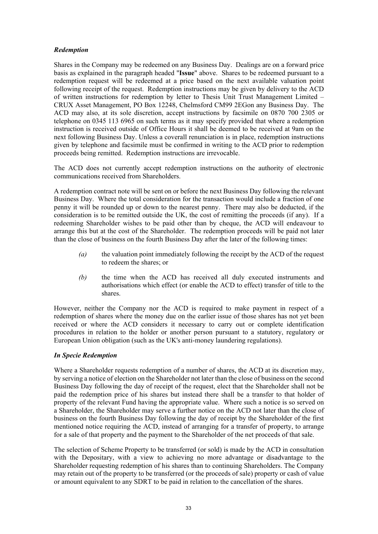# *Redemption*

Shares in the Company may be redeemed on any Business Day. Dealings are on a forward price basis as explained in the paragraph headed "**Issue**" above. Shares to be redeemed pursuant to a redemption request will be redeemed at a price based on the next available valuation point following receipt of the request. Redemption instructions may be given by delivery to the ACD of written instructions for redemption by letter to Thesis Unit Trust Management Limited – CRUX Asset Management, PO Box 12248, Chelmsford CM99 2EGon any Business Day. The ACD may also, at its sole discretion, accept instructions by facsimile on 0870 700 2305 or telephone on 0345 113 6965 on such terms as it may specify provided that where a redemption instruction is received outside of Office Hours it shall be deemed to be received at 9am on the next following Business Day. Unless a coverall renunciation is in place, redemption instructions given by telephone and facsimile must be confirmed in writing to the ACD prior to redemption proceeds being remitted. Redemption instructions are irrevocable.

The ACD does not currently accept redemption instructions on the authority of electronic communications received from Shareholders.

A redemption contract note will be sent on or before the next Business Day following the relevant Business Day. Where the total consideration for the transaction would include a fraction of one penny it will be rounded up or down to the nearest penny. There may also be deducted, if the consideration is to be remitted outside the UK, the cost of remitting the proceeds (if any). If a redeeming Shareholder wishes to be paid other than by cheque, the ACD will endeavour to arrange this but at the cost of the Shareholder. The redemption proceeds will be paid not later than the close of business on the fourth Business Day after the later of the following times:

- *(a)* the valuation point immediately following the receipt by the ACD of the request to redeem the shares; or
- *(b)* the time when the ACD has received all duly executed instruments and authorisations which effect (or enable the ACD to effect) transfer of title to the shares.

However, neither the Company nor the ACD is required to make payment in respect of a redemption of shares where the money due on the earlier issue of those shares has not yet been received or where the ACD considers it necessary to carry out or complete identification procedures in relation to the holder or another person pursuant to a statutory, regulatory or European Union obligation (such as the UK's anti-money laundering regulations).

### *In Specie Redemption*

Where a Shareholder requests redemption of a number of shares, the ACD at its discretion may, by serving a notice of election on the Shareholder not later than the close of business on the second Business Day following the day of receipt of the request, elect that the Shareholder shall not be paid the redemption price of his shares but instead there shall be a transfer to that holder of property of the relevant Fund having the appropriate value. Where such a notice is so served on a Shareholder, the Shareholder may serve a further notice on the ACD not later than the close of business on the fourth Business Day following the day of receipt by the Shareholder of the first mentioned notice requiring the ACD, instead of arranging for a transfer of property, to arrange for a sale of that property and the payment to the Shareholder of the net proceeds of that sale.

The selection of Scheme Property to be transferred (or sold) is made by the ACD in consultation with the Depositary, with a view to achieving no more advantage or disadvantage to the Shareholder requesting redemption of his shares than to continuing Shareholders. The Company may retain out of the property to be transferred (or the proceeds of sale) property or cash of value or amount equivalent to any SDRT to be paid in relation to the cancellation of the shares.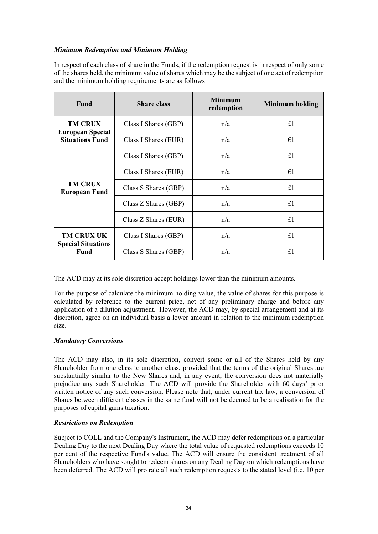# *Minimum Redemption and Minimum Holding*

In respect of each class of share in the Funds, if the redemption request is in respect of only some of the shares held, the minimum value of shares which may be the subject of one act of redemption and the minimum holding requirements are as follows:

| <b>Fund</b>                                       | <b>Share class</b>   | <b>Minimum</b><br>redemption | <b>Minimum holding</b> |
|---------------------------------------------------|----------------------|------------------------------|------------------------|
| <b>TM CRUX</b>                                    | Class I Shares (GBP) | n/a                          | £1                     |
| <b>European Special</b><br><b>Situations Fund</b> | Class I Shares (EUR) | n/a                          | $\epsilon_1$           |
|                                                   | Class I Shares (GBP) | n/a                          | £1                     |
| <b>TM CRUX</b><br><b>European Fund</b>            | Class I Shares (EUR) | n/a                          | €1                     |
|                                                   | Class S Shares (GBP) | n/a                          | £1                     |
|                                                   | Class Z Shares (GBP) | n/a                          | £1                     |
|                                                   | Class Z Shares (EUR) | n/a                          | £1                     |
| <b>TM CRUX UK</b>                                 | Class I Shares (GBP) | n/a                          | £1                     |
| <b>Special Situations</b><br><b>Fund</b>          | Class S Shares (GBP) | n/a                          | £1                     |

The ACD may at its sole discretion accept holdings lower than the minimum amounts.

For the purpose of calculate the minimum holding value, the value of shares for this purpose is calculated by reference to the current price, net of any preliminary charge and before any application of a dilution adjustment. However, the ACD may, by special arrangement and at its discretion, agree on an individual basis a lower amount in relation to the minimum redemption size.

### *Mandatory Conversions*

The ACD may also, in its sole discretion, convert some or all of the Shares held by any Shareholder from one class to another class, provided that the terms of the original Shares are substantially similar to the New Shares and, in any event, the conversion does not materially prejudice any such Shareholder. The ACD will provide the Shareholder with 60 days' prior written notice of any such conversion. Please note that, under current tax law, a conversion of Shares between different classes in the same fund will not be deemed to be a realisation for the purposes of capital gains taxation.

### *Restrictions on Redemption*

Subject to COLL and the Company's Instrument, the ACD may defer redemptions on a particular Dealing Day to the next Dealing Day where the total value of requested redemptions exceeds 10 per cent of the respective Fund's value. The ACD will ensure the consistent treatment of all Shareholders who have sought to redeem shares on any Dealing Day on which redemptions have been deferred. The ACD will pro rate all such redemption requests to the stated level (i.e. 10 per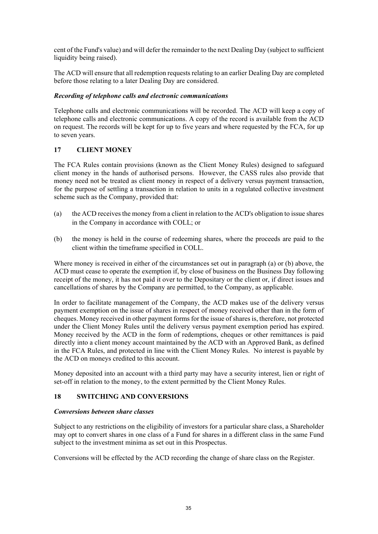cent of the Fund's value) and will defer the remainder to the next Dealing Day (subject to sufficient liquidity being raised).

The ACD will ensure that all redemption requests relating to an earlier Dealing Day are completed before those relating to a later Dealing Day are considered.

## *Recording of telephone calls and electronic communications*

Telephone calls and electronic communications will be recorded. The ACD will keep a copy of telephone calls and electronic communications. A copy of the record is available from the ACD on request. The records will be kept for up to five years and where requested by the FCA, for up to seven years.

# **17 CLIENT MONEY**

The FCA Rules contain provisions (known as the Client Money Rules) designed to safeguard client money in the hands of authorised persons. However, the CASS rules also provide that money need not be treated as client money in respect of a delivery versus payment transaction, for the purpose of settling a transaction in relation to units in a regulated collective investment scheme such as the Company, provided that:

- (a) the ACD receives the money from a client in relation to the ACD's obligation to issue shares in the Company in accordance with COLL; or
- (b) the money is held in the course of redeeming shares, where the proceeds are paid to the client within the timeframe specified in COLL.

Where money is received in either of the circumstances set out in paragraph (a) or (b) above, the ACD must cease to operate the exemption if, by close of business on the Business Day following receipt of the money, it has not paid it over to the Depositary or the client or, if direct issues and cancellations of shares by the Company are permitted, to the Company, as applicable.

In order to facilitate management of the Company, the ACD makes use of the delivery versus payment exemption on the issue of shares in respect of money received other than in the form of cheques. Money received in other payment forms for the issue of shares is, therefore, not protected under the Client Money Rules until the delivery versus payment exemption period has expired. Money received by the ACD in the form of redemptions, cheques or other remittances is paid directly into a client money account maintained by the ACD with an Approved Bank, as defined in the FCA Rules, and protected in line with the Client Money Rules. No interest is payable by the ACD on moneys credited to this account.

Money deposited into an account with a third party may have a security interest, lien or right of set-off in relation to the money, to the extent permitted by the Client Money Rules.

# **18 SWITCHING AND CONVERSIONS**

### *Conversions between share classes*

Subject to any restrictions on the eligibility of investors for a particular share class, a Shareholder may opt to convert shares in one class of a Fund for shares in a different class in the same Fund subject to the investment minima as set out in this Prospectus.

Conversions will be effected by the ACD recording the change of share class on the Register.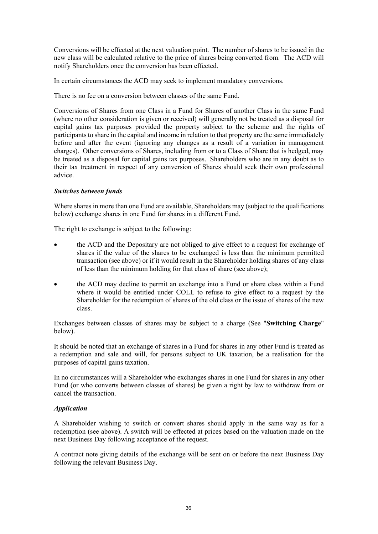Conversions will be effected at the next valuation point. The number of shares to be issued in the new class will be calculated relative to the price of shares being converted from. The ACD will notify Shareholders once the conversion has been effected.

In certain circumstances the ACD may seek to implement mandatory conversions.

There is no fee on a conversion between classes of the same Fund.

Conversions of Shares from one Class in a Fund for Shares of another Class in the same Fund (where no other consideration is given or received) will generally not be treated as a disposal for capital gains tax purposes provided the property subject to the scheme and the rights of participants to share in the capital and income in relation to that property are the same immediately before and after the event (ignoring any changes as a result of a variation in management charges). Other conversions of Shares, including from or to a Class of Share that is hedged, may be treated as a disposal for capital gains tax purposes. Shareholders who are in any doubt as to their tax treatment in respect of any conversion of Shares should seek their own professional advice.

## *Switches between funds*

Where shares in more than one Fund are available, Shareholders may (subject to the qualifications below) exchange shares in one Fund for shares in a different Fund.

The right to exchange is subject to the following:

- the ACD and the Depositary are not obliged to give effect to a request for exchange of shares if the value of the shares to be exchanged is less than the minimum permitted transaction (see above) or if it would result in the Shareholder holding shares of any class of less than the minimum holding for that class of share (see above);
- the ACD may decline to permit an exchange into a Fund or share class within a Fund where it would be entitled under COLL to refuse to give effect to a request by the Shareholder for the redemption of shares of the old class or the issue of shares of the new class.

Exchanges between classes of shares may be subject to a charge (See "**Switching Charge**" below).

It should be noted that an exchange of shares in a Fund for shares in any other Fund is treated as a redemption and sale and will, for persons subject to UK taxation, be a realisation for the purposes of capital gains taxation.

In no circumstances will a Shareholder who exchanges shares in one Fund for shares in any other Fund (or who converts between classes of shares) be given a right by law to withdraw from or cancel the transaction.

# *Application*

A Shareholder wishing to switch or convert shares should apply in the same way as for a redemption (see above). A switch will be effected at prices based on the valuation made on the next Business Day following acceptance of the request.

A contract note giving details of the exchange will be sent on or before the next Business Day following the relevant Business Day.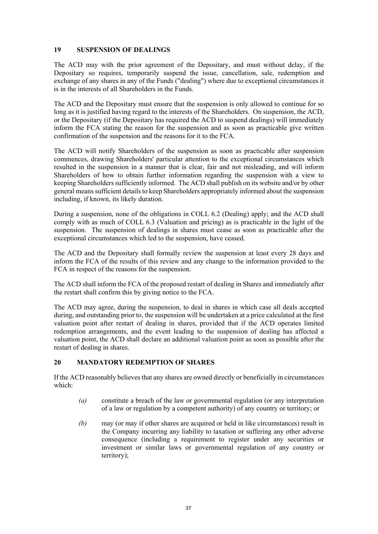### **19 SUSPENSION OF DEALINGS**

The ACD may with the prior agreement of the Depositary, and must without delay, if the Depositary so requires, temporarily suspend the issue, cancellation, sale, redemption and exchange of any shares in any of the Funds ("dealing") where due to exceptional circumstances it is in the interests of all Shareholders in the Funds.

The ACD and the Depositary must ensure that the suspension is only allowed to continue for so long as it is justified having regard to the interests of the Shareholders. On suspension, the ACD, or the Depositary (if the Depositary has required the ACD to suspend dealings) will immediately inform the FCA stating the reason for the suspension and as soon as practicable give written confirmation of the suspension and the reasons for it to the FCA.

The ACD will notify Shareholders of the suspension as soon as practicable after suspension commences, drawing Shareholders' particular attention to the exceptional circumstances which resulted in the suspension in a manner that is clear, fair and not misleading, and will inform Shareholders of how to obtain further information regarding the suspension with a view to keeping Shareholders sufficiently informed. The ACD shall publish on its website and/or by other general means sufficient details to keep Shareholders appropriately informed about the suspension including, if known, its likely duration.

During a suspension, none of the obligations in COLL 6.2 (Dealing) apply; and the ACD shall comply with as much of COLL 6.3 (Valuation and pricing) as is practicable in the light of the suspension. The suspension of dealings in shares must cease as soon as practicable after the exceptional circumstances which led to the suspension, have ceased.

The ACD and the Depositary shall formally review the suspension at least every 28 days and inform the FCA of the results of this review and any change to the information provided to the FCA in respect of the reasons for the suspension.

The ACD shall inform the FCA of the proposed restart of dealing in Shares and immediately after the restart shall confirm this by giving notice to the FCA.

The ACD may agree, during the suspension, to deal in shares in which case all deals accepted during, and outstanding prior to, the suspension will be undertaken at a price calculated at the first valuation point after restart of dealing in shares, provided that if the ACD operates limited redemption arrangements, and the event leading to the suspension of dealing has affected a valuation point, the ACD shall declare an additional valuation point as soon as possible after the restart of dealing in shares.

# **20 MANDATORY REDEMPTION OF SHARES**

If the ACD reasonably believes that any shares are owned directly or beneficially in circumstances which:

- *(a)* constitute a breach of the law or governmental regulation (or any interpretation of a law or regulation by a competent authority) of any country or territory; or
- *(b)* may (or may if other shares are acquired or held in like circumstances) result in the Company incurring any liability to taxation or suffering any other adverse consequence (including a requirement to register under any securities or investment or similar laws or governmental regulation of any country or territory);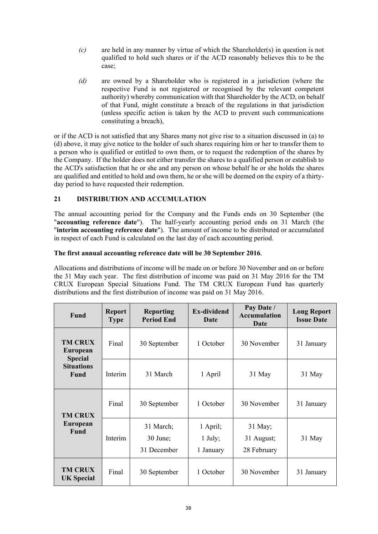- *(c)* are held in any manner by virtue of which the Shareholder(s) in question is not qualified to hold such shares or if the ACD reasonably believes this to be the case;
- *(d)* are owned by a Shareholder who is registered in a jurisdiction (where the respective Fund is not registered or recognised by the relevant competent authority) whereby communication with that Shareholder by the ACD, on behalf of that Fund, might constitute a breach of the regulations in that jurisdiction (unless specific action is taken by the ACD to prevent such communications constituting a breach),

or if the ACD is not satisfied that any Shares many not give rise to a situation discussed in (a) to (d) above, it may give notice to the holder of such shares requiring him or her to transfer them to a person who is qualified or entitled to own them, or to request the redemption of the shares by the Company. If the holder does not either transfer the shares to a qualified person or establish to the ACD's satisfaction that he or she and any person on whose behalf he or she holds the shares are qualified and entitled to hold and own them, he or she will be deemed on the expiry of a thirtyday period to have requested their redemption.

# **21 DISTRIBUTION AND ACCUMULATION**

The annual accounting period for the Company and the Funds ends on 30 September (the "**accounting reference date**"). The half-yearly accounting period ends on 31 March (the "**interim accounting reference date**"). The amount of income to be distributed or accumulated in respect of each Fund is calculated on the last day of each accounting period.

## **The first annual accounting reference date will be 30 September 2016**.

Allocations and distributions of income will be made on or before 30 November and on or before the 31 May each year. The first distribution of income was paid on 31 May 2016 for the TM CRUX European Special Situations Fund. The TM CRUX European Fund has quarterly distributions and the first distribution of income was paid on 31 May 2016.

| <b>Fund</b>                                  | <b>Report</b><br><b>Type</b> | <b>Reporting</b><br><b>Period End</b>  | <b>Ex-dividend</b><br>Date         | Pay Date /<br><b>Accumulation</b><br>Date | <b>Long Report</b><br><b>Issue Date</b> |
|----------------------------------------------|------------------------------|----------------------------------------|------------------------------------|-------------------------------------------|-----------------------------------------|
| <b>TM CRUX</b><br>European<br><b>Special</b> | Final                        | 30 September                           | 1 October                          | 30 November                               | 31 January                              |
| <b>Situations</b><br><b>Fund</b>             | Interim                      | 31 March                               | 1 April                            | 31 May                                    | 31 May                                  |
| <b>TM CRUX</b>                               | Final                        | 30 September                           | 1 October                          | 30 November                               | 31 January                              |
| <b>European</b><br><b>Fund</b>               | Interim                      | 31 March;<br>$30$ June;<br>31 December | 1 April;<br>$1$ July;<br>1 January | 31 May;<br>31 August;<br>28 February      | 31 May                                  |
| <b>TM CRUX</b><br><b>UK Special</b>          | Final                        | 30 September                           | 1 October                          | 30 November                               | 31 January                              |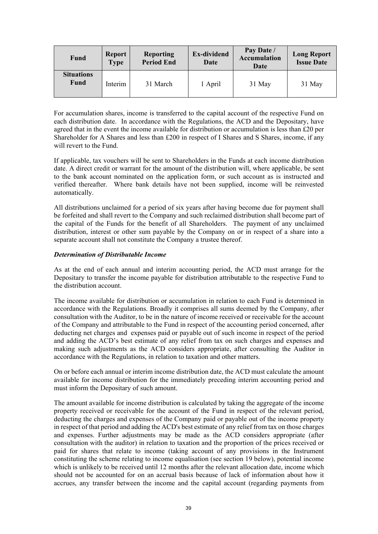| <b>Fund</b>                      | <b>Report</b><br><b>Type</b> | Reporting<br><b>Period End</b> | Ex-dividend<br>Date | Pay Date /<br><b>Accumulation</b><br>Date | <b>Long Report</b><br><b>Issue Date</b> |
|----------------------------------|------------------------------|--------------------------------|---------------------|-------------------------------------------|-----------------------------------------|
| <b>Situations</b><br><b>Fund</b> | Interim                      | 31 March                       | 1 April             | 31 May                                    | 31 May                                  |

For accumulation shares, income is transferred to the capital account of the respective Fund on each distribution date. In accordance with the Regulations, the ACD and the Depositary, have agreed that in the event the income available for distribution or accumulation is less than £20 per Shareholder for A Shares and less than £200 in respect of I Shares and S Shares, income, if any will revert to the Fund.

If applicable, tax vouchers will be sent to Shareholders in the Funds at each income distribution date. A direct credit or warrant for the amount of the distribution will, where applicable, be sent to the bank account nominated on the application form, or such account as is instructed and verified thereafter. Where bank details have not been supplied, income will be reinvested automatically.

All distributions unclaimed for a period of six years after having become due for payment shall be forfeited and shall revert to the Company and such reclaimed distribution shall become part of the capital of the Funds for the benefit of all Shareholders. The payment of any unclaimed distribution, interest or other sum payable by the Company on or in respect of a share into a separate account shall not constitute the Company a trustee thereof.

## *Determination of Distributable Income*

As at the end of each annual and interim accounting period, the ACD must arrange for the Depositary to transfer the income payable for distribution attributable to the respective Fund to the distribution account.

The income available for distribution or accumulation in relation to each Fund is determined in accordance with the Regulations. Broadly it comprises all sums deemed by the Company, after consultation with the Auditor, to be in the nature of income received or receivable for the account of the Company and attributable to the Fund in respect of the accounting period concerned, after deducting net charges and expenses paid or payable out of such income in respect of the period and adding the ACD's best estimate of any relief from tax on such charges and expenses and making such adjustments as the ACD considers appropriate, after consulting the Auditor in accordance with the Regulations, in relation to taxation and other matters.

On or before each annual or interim income distribution date, the ACD must calculate the amount available for income distribution for the immediately preceding interim accounting period and must inform the Depositary of such amount.

The amount available for income distribution is calculated by taking the aggregate of the income property received or receivable for the account of the Fund in respect of the relevant period, deducting the charges and expenses of the Company paid or payable out of the income property in respect of that period and adding the ACD's best estimate of any relief from tax on those charges and expenses. Further adjustments may be made as the ACD considers appropriate (after consultation with the auditor) in relation to taxation and the proportion of the prices received or paid for shares that relate to income (taking account of any provisions in the Instrument constituting the scheme relating to income equalisation (see section 19 below), potential income which is unlikely to be received until 12 months after the relevant allocation date, income which should not be accounted for on an accrual basis because of lack of information about how it accrues, any transfer between the income and the capital account (regarding payments from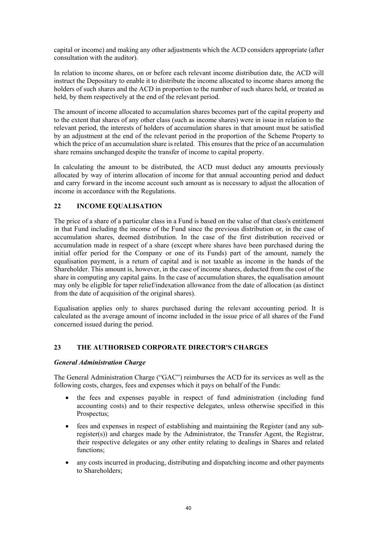capital or income) and making any other adjustments which the ACD considers appropriate (after consultation with the auditor).

In relation to income shares, on or before each relevant income distribution date, the ACD will instruct the Depositary to enable it to distribute the income allocated to income shares among the holders of such shares and the ACD in proportion to the number of such shares held, or treated as held, by them respectively at the end of the relevant period.

The amount of income allocated to accumulation shares becomes part of the capital property and to the extent that shares of any other class (such as income shares) were in issue in relation to the relevant period, the interests of holders of accumulation shares in that amount must be satisfied by an adjustment at the end of the relevant period in the proportion of the Scheme Property to which the price of an accumulation share is related. This ensures that the price of an accumulation share remains unchanged despite the transfer of income to capital property.

In calculating the amount to be distributed, the ACD must deduct any amounts previously allocated by way of interim allocation of income for that annual accounting period and deduct and carry forward in the income account such amount as is necessary to adjust the allocation of income in accordance with the Regulations.

# **22 INCOME EQUALISATION**

The price of a share of a particular class in a Fund is based on the value of that class's entitlement in that Fund including the income of the Fund since the previous distribution or, in the case of accumulation shares, deemed distribution. In the case of the first distribution received or accumulation made in respect of a share (except where shares have been purchased during the initial offer period for the Company or one of its Funds) part of the amount, namely the equalisation payment, is a return of capital and is not taxable as income in the hands of the Shareholder. This amount is, however, in the case of income shares, deducted from the cost of the share in computing any capital gains. In the case of accumulation shares, the equalisation amount may only be eligible for taper relief/indexation allowance from the date of allocation (as distinct from the date of acquisition of the original shares).

Equalisation applies only to shares purchased during the relevant accounting period. It is calculated as the average amount of income included in the issue price of all shares of the Fund concerned issued during the period.

# **23 THE AUTHORISED CORPORATE DIRECTOR'S CHARGES**

### *General Administration Charge*

The General Administration Charge ("GAC") reimburses the ACD for its services as well as the following costs, charges, fees and expenses which it pays on behalf of the Funds:

- the fees and expenses payable in respect of fund administration (including fund accounting costs) and to their respective delegates, unless otherwise specified in this Prospectus;
- fees and expenses in respect of establishing and maintaining the Register (and any subregister(s)) and charges made by the Administrator, the Transfer Agent, the Registrar, their respective delegates or any other entity relating to dealings in Shares and related functions;
- any costs incurred in producing, distributing and dispatching income and other payments to Shareholders;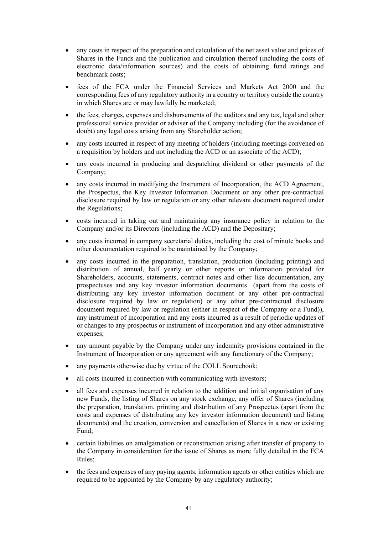- any costs in respect of the preparation and calculation of the net asset value and prices of Shares in the Funds and the publication and circulation thereof (including the costs of electronic data/information sources) and the costs of obtaining fund ratings and benchmark costs;
- fees of the FCA under the Financial Services and Markets Act 2000 and the corresponding fees of any regulatory authority in a country or territory outside the country in which Shares are or may lawfully be marketed;
- the fees, charges, expenses and disbursements of the auditors and any tax, legal and other professional service provider or adviser of the Company including (for the avoidance of doubt) any legal costs arising from any Shareholder action;
- any costs incurred in respect of any meeting of holders (including meetings convened on a requisition by holders and not including the ACD or an associate of the ACD);
- any costs incurred in producing and despatching dividend or other payments of the Company;
- any costs incurred in modifying the Instrument of Incorporation, the ACD Agreement, the Prospectus, the Key Investor Information Document or any other pre-contractual disclosure required by law or regulation or any other relevant document required under the Regulations;
- costs incurred in taking out and maintaining any insurance policy in relation to the Company and/or its Directors (including the ACD) and the Depositary;
- any costs incurred in company secretarial duties, including the cost of minute books and other documentation required to be maintained by the Company;
- any costs incurred in the preparation, translation, production (including printing) and distribution of annual, half yearly or other reports or information provided for Shareholders, accounts, statements, contract notes and other like documentation, any prospectuses and any key investor information documents (apart from the costs of distributing any key investor information document or any other pre-contractual disclosure required by law or regulation) or any other pre-contractual disclosure document required by law or regulation (either in respect of the Company or a Fund)), any instrument of incorporation and any costs incurred as a result of periodic updates of or changes to any prospectus or instrument of incorporation and any other administrative expenses;
- any amount payable by the Company under any indemnity provisions contained in the Instrument of Incorporation or any agreement with any functionary of the Company;
- any payments otherwise due by virtue of the COLL Sourcebook;
- all costs incurred in connection with communicating with investors;
- all fees and expenses incurred in relation to the addition and initial organisation of any new Funds, the listing of Shares on any stock exchange, any offer of Shares (including the preparation, translation, printing and distribution of any Prospectus (apart from the costs and expenses of distributing any key investor information document) and listing documents) and the creation, conversion and cancellation of Shares in a new or existing Fund;
- certain liabilities on amalgamation or reconstruction arising after transfer of property to the Company in consideration for the issue of Shares as more fully detailed in the FCA Rules;
- the fees and expenses of any paying agents, information agents or other entities which are required to be appointed by the Company by any regulatory authority;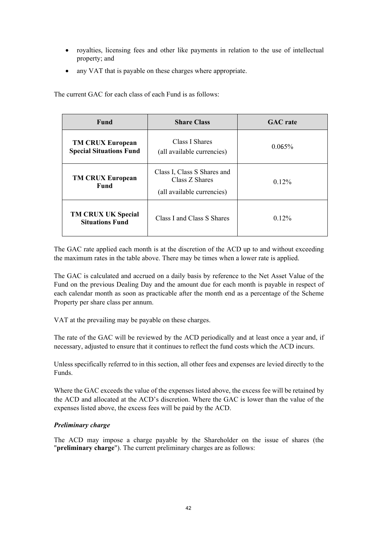- royalties, licensing fees and other like payments in relation to the use of intellectual property; and
- any VAT that is payable on these charges where appropriate.

The current GAC for each class of each Fund is as follows:

| Fund                                                      | <b>Share Class</b>                                                          | <b>GAC</b> rate |
|-----------------------------------------------------------|-----------------------------------------------------------------------------|-----------------|
| <b>TM CRUX European</b><br><b>Special Situations Fund</b> | Class I Shares<br>(all available currencies)                                | $0.065\%$       |
| <b>TM CRUX European</b><br>Fund                           | Class I, Class S Shares and<br>Class Z Shares<br>(all available currencies) | $0.12\%$        |
| <b>TM CRUX UK Special</b><br><b>Situations Fund</b>       | Class I and Class S Shares                                                  | $0.12\%$        |

The GAC rate applied each month is at the discretion of the ACD up to and without exceeding the maximum rates in the table above. There may be times when a lower rate is applied.

The GAC is calculated and accrued on a daily basis by reference to the Net Asset Value of the Fund on the previous Dealing Day and the amount due for each month is payable in respect of each calendar month as soon as practicable after the month end as a percentage of the Scheme Property per share class per annum.

VAT at the prevailing may be payable on these charges.

The rate of the GAC will be reviewed by the ACD periodically and at least once a year and, if necessary, adjusted to ensure that it continues to reflect the fund costs which the ACD incurs.

Unless specifically referred to in this section, all other fees and expenses are levied directly to the Funds.

Where the GAC exceeds the value of the expenses listed above, the excess fee will be retained by the ACD and allocated at the ACD's discretion. Where the GAC is lower than the value of the expenses listed above, the excess fees will be paid by the ACD.

# *Preliminary charge*

The ACD may impose a charge payable by the Shareholder on the issue of shares (the "**preliminary charge**"). The current preliminary charges are as follows: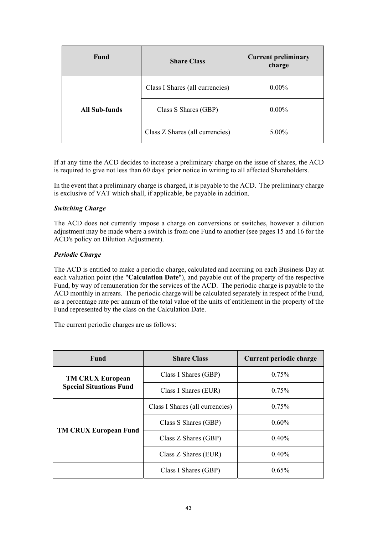| <b>Fund</b>          | <b>Share Class</b>              | <b>Current preliminary</b><br>charge |
|----------------------|---------------------------------|--------------------------------------|
|                      | Class I Shares (all currencies) | $0.00\%$                             |
| <b>All Sub-funds</b> | Class S Shares (GBP)            | $0.00\%$                             |
|                      | Class Z Shares (all currencies) | 5.00%                                |

If at any time the ACD decides to increase a preliminary charge on the issue of shares, the ACD is required to give not less than 60 days' prior notice in writing to all affected Shareholders.

In the event that a preliminary charge is charged, it is payable to the ACD. The preliminary charge is exclusive of VAT which shall, if applicable, be payable in addition.

## *Switching Charge*

The ACD does not currently impose a charge on conversions or switches, however a dilution adjustment may be made where a switch is from one Fund to another (see pages 15 and 16 for the ACD's policy on Dilution Adjustment).

## *Periodic Charge*

The ACD is entitled to make a periodic charge, calculated and accruing on each Business Day at each valuation point (the "**Calculation Date**"), and payable out of the property of the respective Fund, by way of remuneration for the services of the ACD. The periodic charge is payable to the ACD monthly in arrears. The periodic charge will be calculated separately in respect of the Fund, as a percentage rate per annum of the total value of the units of entitlement in the property of the Fund represented by the class on the Calculation Date.

The current periodic charges are as follows:

| <b>Fund</b>                    | <b>Share Class</b>              | Current periodic charge |
|--------------------------------|---------------------------------|-------------------------|
| <b>TM CRUX European</b>        | Class I Shares (GBP)            | $0.75\%$                |
| <b>Special Situations Fund</b> | Class I Shares (EUR)            | 0.75%                   |
|                                | Class I Shares (all currencies) | 0.75%                   |
| <b>TM CRUX European Fund</b>   | Class S Shares (GBP)            | $0.60\%$                |
|                                | Class Z Shares (GBP)            | $0.40\%$                |
|                                | Class Z Shares (EUR)            | 0.40%                   |
|                                | Class I Shares (GBP)            | $0.65\%$                |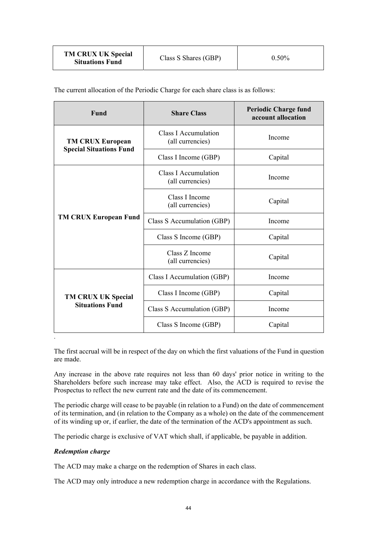| <b>TM CRUX UK Special</b><br><b>Situations Fund</b> | Class S Shares (GBP) | $0.50\%$ |
|-----------------------------------------------------|----------------------|----------|
|-----------------------------------------------------|----------------------|----------|

The current allocation of the Periodic Charge for each share class is as follows:

| <b>Class I Accumulation</b><br>Income<br>(all currencies)<br><b>TM CRUX European</b><br><b>Special Situations Fund</b><br>Class I Income (GBP)<br>Capital<br>Class I Accumulation<br>Income<br>(all currencies)<br>Class I Income<br>Capital<br>(all currencies)<br><b>TM CRUX European Fund</b><br>Class S Accumulation (GBP)<br>Income<br>Class S Income (GBP)<br>Capital<br>Class Z Income<br>Capital<br>(all currencies)<br>Class I Accumulation (GBP)<br>Income<br>Class I Income (GBP)<br>Capital | Fund                                                | <b>Share Class</b> | <b>Periodic Charge fund</b><br>account allocation |
|---------------------------------------------------------------------------------------------------------------------------------------------------------------------------------------------------------------------------------------------------------------------------------------------------------------------------------------------------------------------------------------------------------------------------------------------------------------------------------------------------------|-----------------------------------------------------|--------------------|---------------------------------------------------|
|                                                                                                                                                                                                                                                                                                                                                                                                                                                                                                         |                                                     |                    |                                                   |
|                                                                                                                                                                                                                                                                                                                                                                                                                                                                                                         |                                                     |                    |                                                   |
|                                                                                                                                                                                                                                                                                                                                                                                                                                                                                                         |                                                     |                    |                                                   |
|                                                                                                                                                                                                                                                                                                                                                                                                                                                                                                         |                                                     |                    |                                                   |
|                                                                                                                                                                                                                                                                                                                                                                                                                                                                                                         |                                                     |                    |                                                   |
|                                                                                                                                                                                                                                                                                                                                                                                                                                                                                                         |                                                     |                    |                                                   |
|                                                                                                                                                                                                                                                                                                                                                                                                                                                                                                         |                                                     |                    |                                                   |
|                                                                                                                                                                                                                                                                                                                                                                                                                                                                                                         |                                                     |                    |                                                   |
|                                                                                                                                                                                                                                                                                                                                                                                                                                                                                                         | <b>TM CRUX UK Special</b><br><b>Situations Fund</b> |                    |                                                   |
| Class S Accumulation (GBP)<br>Income                                                                                                                                                                                                                                                                                                                                                                                                                                                                    |                                                     |                    |                                                   |
| Class S Income (GBP)<br>Capital                                                                                                                                                                                                                                                                                                                                                                                                                                                                         |                                                     |                    |                                                   |

The first accrual will be in respect of the day on which the first valuations of the Fund in question are made.

Any increase in the above rate requires not less than 60 days' prior notice in writing to the Shareholders before such increase may take effect. Also, the ACD is required to revise the Prospectus to reflect the new current rate and the date of its commencement.

The periodic charge will cease to be payable (in relation to a Fund) on the date of commencement of its termination, and (in relation to the Company as a whole) on the date of the commencement of its winding up or, if earlier, the date of the termination of the ACD's appointment as such.

The periodic charge is exclusive of VAT which shall, if applicable, be payable in addition.

# *Redemption charge*

The ACD may make a charge on the redemption of Shares in each class.

The ACD may only introduce a new redemption charge in accordance with the Regulations.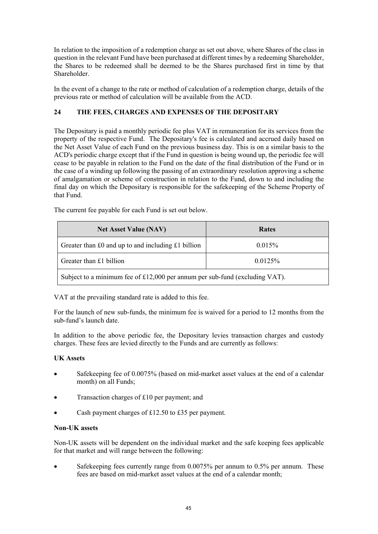In relation to the imposition of a redemption charge as set out above, where Shares of the class in question in the relevant Fund have been purchased at different times by a redeeming Shareholder, the Shares to be redeemed shall be deemed to be the Shares purchased first in time by that Shareholder.

In the event of a change to the rate or method of calculation of a redemption charge, details of the previous rate or method of calculation will be available from the ACD.

# **THE FEES, CHARGES AND EXPENSES OF THE DEPOSITARY 24**

The Depositary is paid a monthly periodic fee plus VAT in remuneration for its services from the property of the respective Fund. The Depositary's fee is calculated and accrued daily based on the Net Asset Value of each Fund on the previous business day. This is on a similar basis to the ACD's periodic charge except that if the Fund in question is being wound up, the periodic fee will cease to be payable in relation to the Fund on the date of the final distribution of the Fund or in the case of a winding up following the passing of an extraordinary resolution approving a scheme of amalgamation or scheme of construction in relation to the Fund, down to and including the final day on which the Depositary is responsible for the safekeeping of the Scheme Property of that Fund.

| <b>Net Asset Value (NAV)</b>                                                | Rates  |  |
|-----------------------------------------------------------------------------|--------|--|
| Greater than £0 and up to and including £1 billion                          | 0.015% |  |
| Greater than £1 billion<br>$0.0125\%$                                       |        |  |
| Subject to a minimum fee of £12,000 per annum per sub-fund (excluding VAT). |        |  |

The current fee payable for each Fund is set out below.

VAT at the prevailing standard rate is added to this fee.

For the launch of new sub-funds, the minimum fee is waived for a period to 12 months from the sub-fund's launch date.

In addition to the above periodic fee, the Depositary levies transaction charges and custody charges. These fees are levied directly to the Funds and are currently as follows:

# **UK Assets**

- Safekeeping fee of 0.0075% (based on mid-market asset values at the end of a calendar month) on all Funds;
- Transaction charges of £10 per payment; and
- Cash payment charges of £12.50 to £35 per payment.

### **Non-UK assets**

Non-UK assets will be dependent on the individual market and the safe keeping fees applicable for that market and will range between the following:

 Safekeeping fees currently range from 0.0075% per annum to 0.5% per annum. These fees are based on mid-market asset values at the end of a calendar month;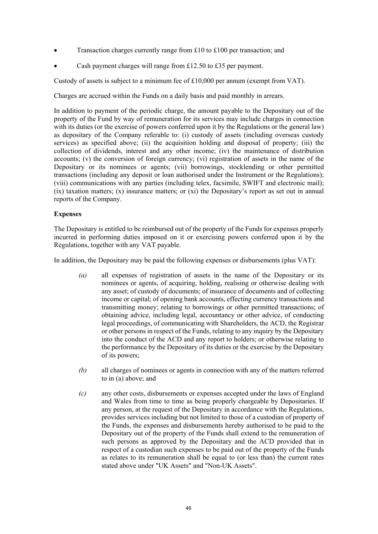- Transaction charges currently range from £10 to £100 per transaction; and
- Cash payment charges will range from £12.50 to £35 per payment.

Custody of assets is subject to a minimum fee of  $£10,000$  per annum (exempt from VAT).

Charges are accrued within the Funds on a daily basis and paid monthly in arrears.

In addition to payment of the periodic charge, the amount payable to the Depositary out of the property of the Fund by way of remuneration for its services may include charges in connection with its duties (or the exercise of powers conferred upon it by the Regulations or the general law) as depositary of the Company referable to: (i) custody of assets (including overseas custody services) as specified above; (ii) the acquisition holding and disposal of property; (iii) the collection of dividends, interest and any other income; (iv) the maintenance of distribution accounts; (v) the conversion of foreign currency; (vi) registration of assets in the name of the Depositary or its nominees or agents; (vii) borrowings, stocklending or other permitted transactions (including any deposit or loan authorised under the Instrument or the Regulations); (viii) communications with any parties (including telex, facsimile, SWIFT and electronic mail);  $(ix)$  taxation matters;  $(x)$  insurance matters; or  $(xi)$  the Depositary's report as set out in annual reports of the Company.

## **Expenses**

The Depositary is entitled to be reimbursed out of the property of the Funds for expenses properly incurred in performing duties imposed on it or exercising powers conferred upon it by the Regulations, together with any VAT payable.

In addition, the Depositary may be paid the following expenses or disbursements (plus VAT):

- *(a)* all expenses of registration of assets in the name of the Depositary or its nominees or agents, of acquiring, holding, realising or otherwise dealing with any asset; of custody of documents; of insurance of documents and of collecting income or capital; of opening bank accounts, effecting currency transactions and transmitting money; relating to borrowings or other permitted transactions; of obtaining advice, including legal, accountancy or other advice, of conducting legal proceedings, of communicating with Shareholders, the ACD, the Registrar or other persons in respect of the Funds, relating to any inquiry by the Depositary into the conduct of the ACD and any report to holders; or otherwise relating to the performance by the Depositary of its duties or the exercise by the Depositary of its powers;
- *(b)* all charges of nominees or agents in connection with any of the matters referred to in (a) above; and
- *(c)* any other costs, disbursements or expenses accepted under the laws of England and Wales from time to time as being properly chargeable by Depositaries. If any person, at the request of the Depositary in accordance with the Regulations, provides services including but not limited to those of a custodian of property of the Funds, the expenses and disbursements hereby authorised to be paid to the Depositary out of the property of the Funds shall extend to the remuneration of such persons as approved by the Depositary and the ACD provided that in respect of a custodian such expenses to be paid out of the property of the Funds as relates to its remuneration shall be equal to (or less than) the current rates stated above under "UK Assets" and "Non-UK Assets".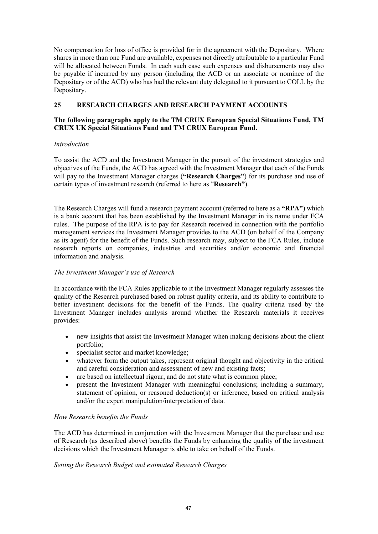No compensation for loss of office is provided for in the agreement with the Depositary. Where shares in more than one Fund are available, expenses not directly attributable to a particular Fund will be allocated between Funds. In each such case such expenses and disbursements may also be payable if incurred by any person (including the ACD or an associate or nominee of the Depositary or of the ACD) who has had the relevant duty delegated to it pursuant to COLL by the Depositary.

# **25 RESEARCH CHARGES AND RESEARCH PAYMENT ACCOUNTS**

## **The following paragraphs apply to the TM CRUX European Special Situations Fund, TM CRUX UK Special Situations Fund and TM CRUX European Fund.**

# *Introduction*

To assist the ACD and the Investment Manager in the pursuit of the investment strategies and objectives of the Funds, the ACD has agreed with the Investment Manager that each of the Funds will pay to the Investment Manager charges (**"Research Charges"**) for its purchase and use of certain types of investment research (referred to here as "**Research"**).

The Research Charges will fund a research payment account (referred to here as a **"RPA"**) which is a bank account that has been established by the Investment Manager in its name under FCA rules. The purpose of the RPA is to pay for Research received in connection with the portfolio management services the Investment Manager provides to the ACD (on behalf of the Company as its agent) for the benefit of the Funds. Such research may, subject to the FCA Rules, include research reports on companies, industries and securities and/or economic and financial information and analysis.

# *The Investment Manager's use of Research*

In accordance with the FCA Rules applicable to it the Investment Manager regularly assesses the quality of the Research purchased based on robust quality criteria, and its ability to contribute to better investment decisions for the benefit of the Funds. The quality criteria used by the Investment Manager includes analysis around whether the Research materials it receives provides:

- new insights that assist the Investment Manager when making decisions about the client portfolio;
- specialist sector and market knowledge;
- whatever form the output takes, represent original thought and objectivity in the critical and careful consideration and assessment of new and existing facts;
- are based on intellectual rigour, and do not state what is common place;
- present the Investment Manager with meaningful conclusions; including a summary, statement of opinion, or reasoned deduction(s) or inference, based on critical analysis and/or the expert manipulation/interpretation of data.

# *How Research benefits the Funds*

The ACD has determined in conjunction with the Investment Manager that the purchase and use of Research (as described above) benefits the Funds by enhancing the quality of the investment decisions which the Investment Manager is able to take on behalf of the Funds.

# *Setting the Research Budget and estimated Research Charges*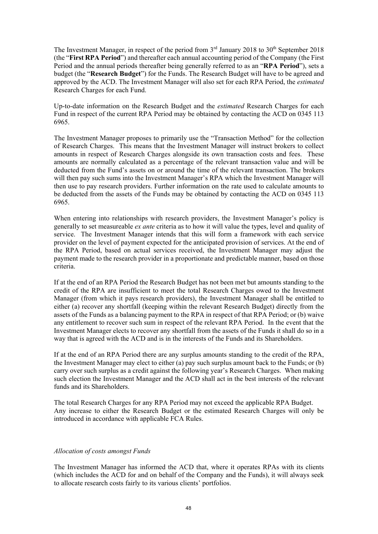The Investment Manager, in respect of the period from  $3<sup>rd</sup>$  January 2018 to  $30<sup>th</sup>$  September 2018 (the "**First RPA Period**") and thereafter each annual accounting period of the Company (the First Period and the annual periods thereafter being generally referred to as an "**RPA Period**"), sets a budget (the "**Research Budget**") for the Funds. The Research Budget will have to be agreed and approved by the ACD. The Investment Manager will also set for each RPA Period, the *estimated* Research Charges for each Fund.

Up-to-date information on the Research Budget and the *estimated* Research Charges for each Fund in respect of the current RPA Period may be obtained by contacting the ACD on 0345 113 6965.

The Investment Manager proposes to primarily use the "Transaction Method" for the collection of Research Charges. This means that the Investment Manager will instruct brokers to collect amounts in respect of Research Charges alongside its own transaction costs and fees. These amounts are normally calculated as a percentage of the relevant transaction value and will be deducted from the Fund's assets on or around the time of the relevant transaction. The brokers will then pay such sums into the Investment Manager's RPA which the Investment Manager will then use to pay research providers. Further information on the rate used to calculate amounts to be deducted from the assets of the Funds may be obtained by contacting the ACD on 0345 113 6965.

When entering into relationships with research providers, the Investment Manager's policy is generally to set measureable *ex ante* criteria as to how it will value the types, level and quality of service. The Investment Manager intends that this will form a framework with each service provider on the level of payment expected for the anticipated provision of services. At the end of the RPA Period, based on actual services received, the Investment Manager may adjust the payment made to the research provider in a proportionate and predictable manner, based on those criteria.

If at the end of an RPA Period the Research Budget has not been met but amounts standing to the credit of the RPA are insufficient to meet the total Research Charges owed to the Investment Manager (from which it pays research providers), the Investment Manager shall be entitled to either (a) recover any shortfall (keeping within the relevant Research Budget) directly from the assets of the Funds as a balancing payment to the RPA in respect of that RPA Period; or (b) waive any entitlement to recover such sum in respect of the relevant RPA Period. In the event that the Investment Manager elects to recover any shortfall from the assets of the Funds it shall do so in a way that is agreed with the ACD and is in the interests of the Funds and its Shareholders.

If at the end of an RPA Period there are any surplus amounts standing to the credit of the RPA, the Investment Manager may elect to either (a) pay such surplus amount back to the Funds; or (b) carry over such surplus as a credit against the following year's Research Charges. When making such election the Investment Manager and the ACD shall act in the best interests of the relevant funds and its Shareholders.

The total Research Charges for any RPA Period may not exceed the applicable RPA Budget. Any increase to either the Research Budget or the estimated Research Charges will only be introduced in accordance with applicable FCA Rules.

### *Allocation of costs amongst Funds*

The Investment Manager has informed the ACD that, where it operates RPAs with its clients (which includes the ACD for and on behalf of the Company and the Funds), it will always seek to allocate research costs fairly to its various clients' portfolios.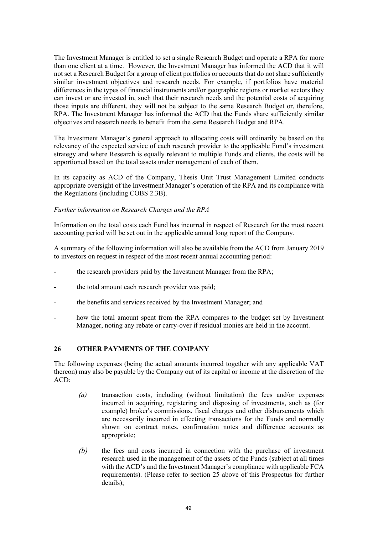The Investment Manager is entitled to set a single Research Budget and operate a RPA for more than one client at a time. However, the Investment Manager has informed the ACD that it will not set a Research Budget for a group of client portfolios or accounts that do not share sufficiently similar investment objectives and research needs. For example, if portfolios have material differences in the types of financial instruments and/or geographic regions or market sectors they can invest or are invested in, such that their research needs and the potential costs of acquiring those inputs are different, they will not be subject to the same Research Budget or, therefore, RPA. The Investment Manager has informed the ACD that the Funds share sufficiently similar objectives and research needs to benefit from the same Research Budget and RPA.

The Investment Manager's general approach to allocating costs will ordinarily be based on the relevancy of the expected service of each research provider to the applicable Fund's investment strategy and where Research is equally relevant to multiple Funds and clients, the costs will be apportioned based on the total assets under management of each of them.

In its capacity as ACD of the Company, Thesis Unit Trust Management Limited conducts appropriate oversight of the Investment Manager's operation of the RPA and its compliance with the Regulations (including COBS 2.3B).

### *Further information on Research Charges and the RPA*

Information on the total costs each Fund has incurred in respect of Research for the most recent accounting period will be set out in the applicable annual long report of the Company.

A summary of the following information will also be available from the ACD from January 2019 to investors on request in respect of the most recent annual accounting period:

- the research providers paid by the Investment Manager from the RPA;
- the total amount each research provider was paid;
- the benefits and services received by the Investment Manager; and
- how the total amount spent from the RPA compares to the budget set by Investment Manager, noting any rebate or carry-over if residual monies are held in the account.

# **26 OTHER PAYMENTS OF THE COMPANY**

The following expenses (being the actual amounts incurred together with any applicable VAT thereon) may also be payable by the Company out of its capital or income at the discretion of the ACD:

- *(a)* transaction costs, including (without limitation) the fees and/or expenses incurred in acquiring, registering and disposing of investments, such as (for example) broker's commissions, fiscal charges and other disbursements which are necessarily incurred in effecting transactions for the Funds and normally shown on contract notes, confirmation notes and difference accounts as appropriate;
- *(b)* the fees and costs incurred in connection with the purchase of investment research used in the management of the assets of the Funds (subject at all times with the ACD's and the Investment Manager's compliance with applicable FCA requirements). (Please refer to section 25 above of this Prospectus for further details);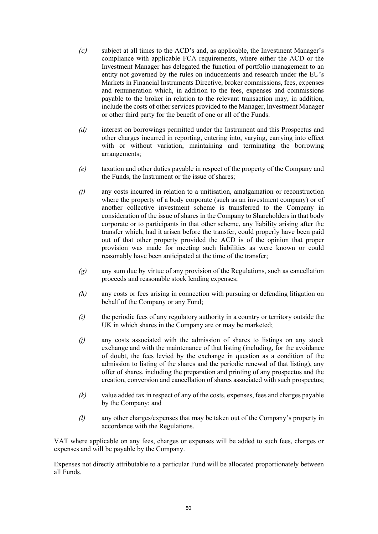- *(c)* subject at all times to the ACD's and, as applicable, the Investment Manager's compliance with applicable FCA requirements, where either the ACD or the Investment Manager has delegated the function of portfolio management to an entity not governed by the rules on inducements and research under the EU's Markets in Financial Instruments Directive, broker commissions, fees, expenses and remuneration which, in addition to the fees, expenses and commissions payable to the broker in relation to the relevant transaction may, in addition, include the costs of other services provided to the Manager, Investment Manager or other third party for the benefit of one or all of the Funds.
- *(d)* interest on borrowings permitted under the Instrument and this Prospectus and other charges incurred in reporting, entering into, varying, carrying into effect with or without variation, maintaining and terminating the borrowing arrangements;
- *(e)* taxation and other duties payable in respect of the property of the Company and the Funds, the Instrument or the issue of shares;
- *(f)* any costs incurred in relation to a unitisation, amalgamation or reconstruction where the property of a body corporate (such as an investment company) or of another collective investment scheme is transferred to the Company in consideration of the issue of shares in the Company to Shareholders in that body corporate or to participants in that other scheme, any liability arising after the transfer which, had it arisen before the transfer, could properly have been paid out of that other property provided the ACD is of the opinion that proper provision was made for meeting such liabilities as were known or could reasonably have been anticipated at the time of the transfer;
- *(g)* any sum due by virtue of any provision of the Regulations, such as cancellation proceeds and reasonable stock lending expenses;
- *(h)* any costs or fees arising in connection with pursuing or defending litigation on behalf of the Company or any Fund;
- *(i)* the periodic fees of any regulatory authority in a country or territory outside the UK in which shares in the Company are or may be marketed;
- *(j)* any costs associated with the admission of shares to listings on any stock exchange and with the maintenance of that listing (including, for the avoidance of doubt, the fees levied by the exchange in question as a condition of the admission to listing of the shares and the periodic renewal of that listing), any offer of shares, including the preparation and printing of any prospectus and the creation, conversion and cancellation of shares associated with such prospectus;
- *(k)* value added tax in respect of any of the costs, expenses, fees and charges payable by the Company; and
- *(l)* any other charges/expenses that may be taken out of the Company's property in accordance with the Regulations.

VAT where applicable on any fees, charges or expenses will be added to such fees, charges or expenses and will be payable by the Company.

Expenses not directly attributable to a particular Fund will be allocated proportionately between all Funds.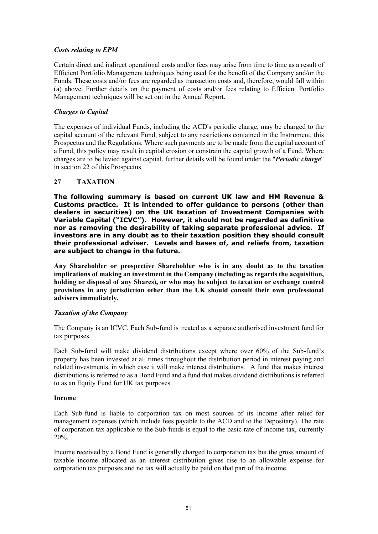## *Costs relating to EPM*

Certain direct and indirect operational costs and/or fees may arise from time to time as a result of Efficient Portfolio Management techniques being used for the benefit of the Company and/or the Funds. These costs and/or fees are regarded as transaction costs and, therefore, would fall within (a) above. Further details on the payment of costs and/or fees relating to Efficient Portfolio Management techniques will be set out in the Annual Report.

## *Charges to Capital*

The expenses of individual Funds, including the ACD's periodic charge, may be charged to the capital account of the relevant Fund, subject to any restrictions contained in the Instrument, this Prospectus and the Regulations. Where such payments are to be made from the capital account of a Fund, this policy may result in capital erosion or constrain the capital growth of a Fund. Where charges are to be levied against capital, further details will be found under the "*Periodic charge*" in section 22 of this Prospectus.

## **27 TAXATION**

**The following summary is based on current UK law and HM Revenue & Customs practice. It is intended to offer guidance to persons (other than dealers in securities) on the UK taxation of Investment Companies with Variable Capital ("ICVC"). However, it should not be regarded as definitive nor as removing the desirability of taking separate professional advice. If investors are in any doubt as to their taxation position they should consult their professional adviser. Levels and bases of, and reliefs from, taxation are subject to change in the future.**.

**Any Shareholder or prospective Shareholder who is in any doubt as to the taxation implications of making an investment in the Company (including as regards the acquisition, holding or disposal of any Shares), or who may be subject to taxation or exchange control provisions in any jurisdiction other than the UK should consult their own professional advisers immediately.** 

### *Taxation of the Company*

The Company is an ICVC. Each Sub-fund is treated as a separate authorised investment fund for tax purposes.

Each Sub-fund will make dividend distributions except where over 60% of the Sub-fund's property has been invested at all times throughout the distribution period in interest paying and related investments, in which case it will make interest distributions. A fund that makes interest distributions is referred to as a Bond Fund and a fund that makes dividend distributions is referred to as an Equity Fund for UK tax purposes.

### **Income**

Each Sub-fund is liable to corporation tax on most sources of its income after relief for management expenses (which include fees payable to the ACD and to the Depositary). The rate of corporation tax applicable to the Sub-funds is equal to the basic rate of income tax, currently 20%.

Income received by a Bond Fund is generally charged to corporation tax but the gross amount of taxable income allocated as an interest distribution gives rise to an allowable expense for corporation tax purposes and no tax will actually be paid on that part of the income.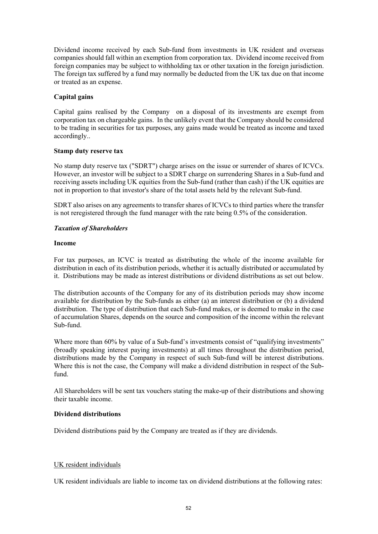Dividend income received by each Sub-fund from investments in UK resident and overseas companies should fall within an exemption from corporation tax. Dividend income received from foreign companies may be subject to withholding tax or other taxation in the foreign jurisdiction. The foreign tax suffered by a fund may normally be deducted from the UK tax due on that income or treated as an expense.

## **Capital gains**

Capital gains realised by the Company on a disposal of its investments are exempt from corporation tax on chargeable gains. In the unlikely event that the Company should be considered to be trading in securities for tax purposes, any gains made would be treated as income and taxed accordingly..

### **Stamp duty reserve tax**

No stamp duty reserve tax ("SDRT") charge arises on the issue or surrender of shares of ICVCs. However, an investor will be subject to a SDRT charge on surrendering Shares in a Sub-fund and receiving assets including UK equities from the Sub-fund (rather than cash) if the UK equities are not in proportion to that investor's share of the total assets held by the relevant Sub-fund.

SDRT also arises on any agreements to transfer shares of ICVCs to third parties where the transfer is not reregistered through the fund manager with the rate being 0.5% of the consideration.

## *Taxation of Shareholders*

## **Income**

For tax purposes, an ICVC is treated as distributing the whole of the income available for distribution in each of its distribution periods, whether it is actually distributed or accumulated by it. Distributions may be made as interest distributions or dividend distributions as set out below.

The distribution accounts of the Company for any of its distribution periods may show income available for distribution by the Sub-funds as either (a) an interest distribution or (b) a dividend distribution. The type of distribution that each Sub-fund makes, or is deemed to make in the case of accumulation Shares, depends on the source and composition of the income within the relevant Sub-fund.

Where more than 60% by value of a Sub-fund's investments consist of "qualifying investments" (broadly speaking interest paying investments) at all times throughout the distribution period, distributions made by the Company in respect of such Sub-fund will be interest distributions. Where this is not the case, the Company will make a dividend distribution in respect of the Subfund.

All Shareholders will be sent tax vouchers stating the make-up of their distributions and showing their taxable income.

## **Dividend distributions**

Dividend distributions paid by the Company are treated as if they are dividends.

# UK resident individuals

UK resident individuals are liable to income tax on dividend distributions at the following rates: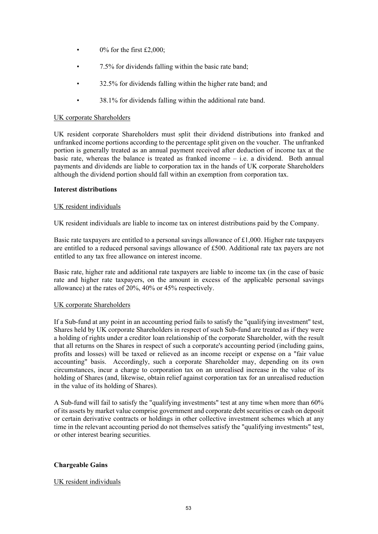- $\bullet$  0% for the first £2,000;
- 7.5% for dividends falling within the basic rate band;
- 32.5% for dividends falling within the higher rate band; and
- 38.1% for dividends falling within the additional rate band.

### UK corporate Shareholders

UK resident corporate Shareholders must split their dividend distributions into franked and unfranked income portions according to the percentage split given on the voucher. The unfranked portion is generally treated as an annual payment received after deduction of income tax at the basic rate, whereas the balance is treated as franked income – i.e. a dividend. Both annual payments and dividends are liable to corporation tax in the hands of UK corporate Shareholders although the dividend portion should fall within an exemption from corporation tax.

#### **Interest distributions**

#### UK resident individuals

UK resident individuals are liable to income tax on interest distributions paid by the Company.

Basic rate taxpayers are entitled to a personal savings allowance of  $\pounds$ 1,000. Higher rate taxpayers are entitled to a reduced personal savings allowance of £500. Additional rate tax payers are not entitled to any tax free allowance on interest income.

Basic rate, higher rate and additional rate taxpayers are liable to income tax (in the case of basic rate and higher rate taxpayers, on the amount in excess of the applicable personal savings allowance) at the rates of 20%, 40% or 45% respectively.

### UK corporate Shareholders

If a Sub-fund at any point in an accounting period fails to satisfy the "qualifying investment" test, Shares held by UK corporate Shareholders in respect of such Sub-fund are treated as if they were a holding of rights under a creditor loan relationship of the corporate Shareholder, with the result that all returns on the Shares in respect of such a corporate's accounting period (including gains, profits and losses) will be taxed or relieved as an income receipt or expense on a "fair value accounting" basis. Accordingly, such a corporate Shareholder may, depending on its own circumstances, incur a charge to corporation tax on an unrealised increase in the value of its holding of Shares (and, likewise, obtain relief against corporation tax for an unrealised reduction in the value of its holding of Shares).

A Sub-fund will fail to satisfy the "qualifying investments" test at any time when more than 60% of its assets by market value comprise government and corporate debt securities or cash on deposit or certain derivative contracts or holdings in other collective investment schemes which at any time in the relevant accounting period do not themselves satisfy the "qualifying investments" test, or other interest bearing securities.

### **Chargeable Gains**

### UK resident individuals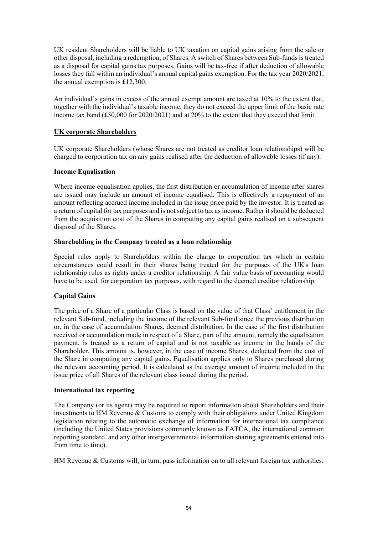UK resident Shareholders will be liable to UK taxation on capital gains arising from the sale or other disposal, including a redemption, of Shares. A switch of Shares between Sub-funds is treated as a disposal for capital gains tax purposes. Gains will be tax-free if after deduction of allowable losses they fall within an individual's annual capital gains exemption. For the tax year 2020/2021, the annual exemption is £12,300.

An individual's gains in excess of the annual exempt amount are taxed at 10% to the extent that, together with the individual's taxable income, they do not exceed the upper limit of the basic rate income tax band (£50,000 for 2020/2021) and at 20% to the extent that they exceed that limit.

## **UK corporate Shareholders**

UK corporate Shareholders (whose Shares are not treated as creditor loan relationships) will be charged to corporation tax on any gains realised after the deduction of allowable losses (if any).

### **Income Equalisation**

Where income equalisation applies, the first distribution or accumulation of income after shares are issued may include an amount of income equalised. This is effectively a repayment of an amount reflecting accrued income included in the issue price paid by the investor. It is treated as a return of capital for tax purposes and is not subject to tax as income. Rather it should be deducted from the acquisition cost of the Shares in computing any capital gains realised on a subsequent disposal of the Shares.

## **Shareholding in the Company treated as a loan relationship**

Special rules apply to Shareholders within the charge to corporation tax which in certain circumstances could result in their shares being treated for the purposes of the UK's loan relationship rules as rights under a creditor relationship. A fair value basis of accounting would have to be used, for corporation tax purposes, with regard to the deemed creditor relationship.

# **Capital Gains**

The price of a Share of a particular Class is based on the value of that Class' entitlement in the relevant Sub-fund, including the income of the relevant Sub-fund since the previous distribution or, in the case of accumulation Shares, deemed distribution. In the case of the first distribution received or accumulation made in respect of a Share, part of the amount, namely the equalisation payment, is treated as a return of capital and is not taxable as income in the hands of the Shareholder. This amount is, however, in the case of income Shares, deducted from the cost of the Share in computing any capital gains. Equalisation applies only to Shares purchased during the relevant accounting period. It is calculated as the average amount of income included in the issue price of all Shares of the relevant class issued during the period.

### **International tax reporting**

The Company (or its agent) may be required to report information about Shareholders and their investments to HM Revenue & Customs to comply with their obligations under United Kingdom legislation relating to the automatic exchange of information for international tax compliance (including the United States provisions commonly known as FATCA, the international common reporting standard, and any other intergovernmental information sharing agreements entered into from time to time).

HM Revenue & Customs will, in turn, pass information on to all relevant foreign tax authorities.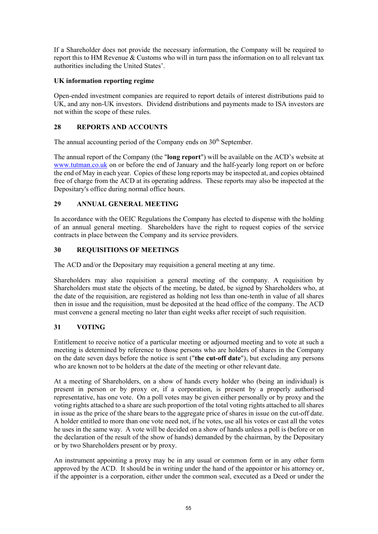If a Shareholder does not provide the necessary information, the Company will be required to report this to HM Revenue & Customs who will in turn pass the information on to all relevant tax authorities including the United States'.

# **UK information reporting regime**

Open-ended investment companies are required to report details of interest distributions paid to UK, and any non-UK investors. Dividend distributions and payments made to ISA investors are not within the scope of these rules.

# **28 REPORTS AND ACCOUNTS**

The annual accounting period of the Company ends on  $30<sup>th</sup>$  September.

The annual report of the Company (the "**long report**") will be available on the ACD's website at www.tutman.co.uk on or before the end of January and the half-yearly long report on or before the end of May in each year. Copies of these long reports may be inspected at, and copies obtained free of charge from the ACD at its operating address. These reports may also be inspected at the Depositary's office during normal office hours.

# **29 ANNUAL GENERAL MEETING**

In accordance with the OEIC Regulations the Company has elected to dispense with the holding of an annual general meeting. Shareholders have the right to request copies of the service contracts in place between the Company and its service providers.

# **30 REQUISITIONS OF MEETINGS**

The ACD and/or the Depositary may requisition a general meeting at any time.

Shareholders may also requisition a general meeting of the company. A requisition by Shareholders must state the objects of the meeting, be dated, be signed by Shareholders who, at the date of the requisition, are registered as holding not less than one-tenth in value of all shares then in issue and the requisition, must be deposited at the head office of the company. The ACD must convene a general meeting no later than eight weeks after receipt of such requisition.

# **31 VOTING**

Entitlement to receive notice of a particular meeting or adjourned meeting and to vote at such a meeting is determined by reference to those persons who are holders of shares in the Company on the date seven days before the notice is sent ("**the cut-off date**"), but excluding any persons who are known not to be holders at the date of the meeting or other relevant date.

At a meeting of Shareholders, on a show of hands every holder who (being an individual) is present in person or by proxy or, if a corporation, is present by a properly authorised representative, has one vote. On a poll votes may be given either personally or by proxy and the voting rights attached to a share are such proportion of the total voting rights attached to all shares in issue as the price of the share bears to the aggregate price of shares in issue on the cut-off date. A holder entitled to more than one vote need not, if he votes, use all his votes or cast all the votes he uses in the same way. A vote will be decided on a show of hands unless a poll is (before or on the declaration of the result of the show of hands) demanded by the chairman, by the Depositary or by two Shareholders present or by proxy.

An instrument appointing a proxy may be in any usual or common form or in any other form approved by the ACD. It should be in writing under the hand of the appointor or his attorney or, if the appointer is a corporation, either under the common seal, executed as a Deed or under the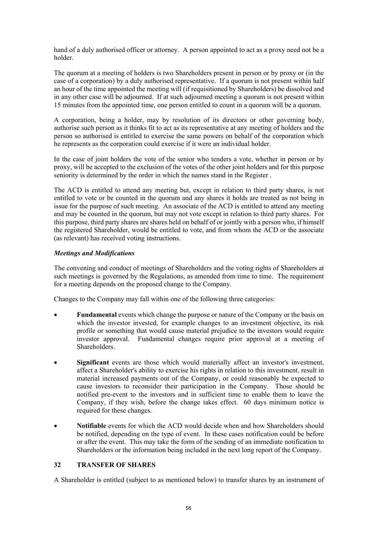hand of a duly authorised officer or attorney. A person appointed to act as a proxy need not be a holder.

The quorum at a meeting of holders is two Shareholders present in person or by proxy or (in the case of a corporation) by a duly authorised representative. If a quorum is not present within half an hour of the time appointed the meeting will (if requisitioned by Shareholders) be dissolved and in any other case will be adjourned. If at such adjourned meeting a quorum is not present within 15 minutes from the appointed time, one person entitled to count in a quorum will be a quorum.

A corporation, being a holder, may by resolution of its directors or other governing body, authorise such person as it thinks fit to act as its representative at any meeting of holders and the person so authorised is entitled to exercise the same powers on behalf of the corporation which he represents as the corporation could exercise if it were an individual holder.

In the case of joint holders the vote of the senior who tenders a vote, whether in person or by proxy, will be accepted to the exclusion of the votes of the other joint holders and for this purpose seniority is determined by the order in which the names stand in the Register .

The ACD is entitled to attend any meeting but, except in relation to third party shares, is not entitled to vote or be counted in the quorum and any shares it holds are treated as not being in issue for the purpose of such meeting. An associate of the ACD is entitled to attend any meeting and may be counted in the quorum, but may not vote except in relation to third party shares. For this purpose, third party shares are shares held on behalf of or jointly with a person who, if himself the registered Shareholder, would be entitled to vote, and from whom the ACD or the associate (as relevant) has received voting instructions.

## *Meetings and Modifications*

The convening and conduct of meetings of Shareholders and the voting rights of Shareholders at such meetings is governed by the Regulations, as amended from time to time. The requirement for a meeting depends on the proposed change to the Company.

Changes to the Company may fall within one of the following three categories:

- **Fundamental** events which change the purpose or nature of the Company or the basis on which the investor invested, for example changes to an investment objective, its risk profile or something that would cause material prejudice to the investors would require investor approval. Fundamental changes require prior approval at a meeting of Shareholders.
- **Significant** events are those which would materially affect an investor's investment, affect a Shareholder's ability to exercise his rights in relation to this investment, result in material increased payments out of the Company, or could reasonably be expected to cause investors to reconsider their participation in the Company. Those should be notified pre-event to the investors and in sufficient time to enable them to leave the Company, if they wish, before the change takes effect. 60 days minimum notice is required for these changes.
- **Notifiable** events for which the ACD would decide when and how Shareholders should be notified, depending on the type of event. In these cases notification could be before or after the event. This may take the form of the sending of an immediate notification to Shareholders or the information being included in the next long report of the Company.

# **32 TRANSFER OF SHARES**

A Shareholder is entitled (subject to as mentioned below) to transfer shares by an instrument of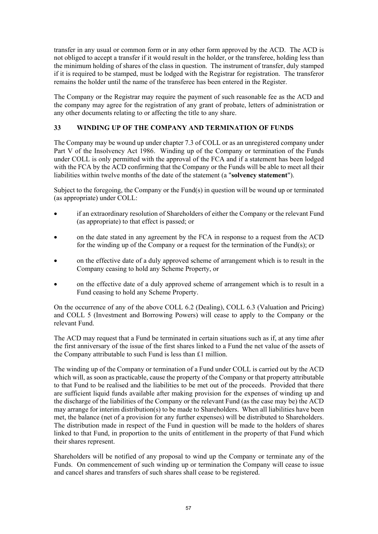transfer in any usual or common form or in any other form approved by the ACD. The ACD is not obliged to accept a transfer if it would result in the holder, or the transferee, holding less than the minimum holding of shares of the class in question. The instrument of transfer, duly stamped if it is required to be stamped, must be lodged with the Registrar for registration. The transferor remains the holder until the name of the transferee has been entered in the Register.

The Company or the Registrar may require the payment of such reasonable fee as the ACD and the company may agree for the registration of any grant of probate, letters of administration or any other documents relating to or affecting the title to any share.

# **33 WINDING UP OF THE COMPANY AND TERMINATION OF FUNDS**

The Company may be wound up under chapter 7.3 of COLL or as an unregistered company under Part V of the Insolvency Act 1986. Winding up of the Company or termination of the Funds under COLL is only permitted with the approval of the FCA and if a statement has been lodged with the FCA by the ACD confirming that the Company or the Funds will be able to meet all their liabilities within twelve months of the date of the statement (a "**solvency statement**").

Subject to the foregoing, the Company or the Fund(s) in question will be wound up or terminated (as appropriate) under COLL:

- if an extraordinary resolution of Shareholders of either the Company or the relevant Fund (as appropriate) to that effect is passed; or
- on the date stated in any agreement by the FCA in response to a request from the ACD for the winding up of the Company or a request for the termination of the Fund(s); or
- on the effective date of a duly approved scheme of arrangement which is to result in the Company ceasing to hold any Scheme Property, or
- on the effective date of a duly approved scheme of arrangement which is to result in a Fund ceasing to hold any Scheme Property.

On the occurrence of any of the above COLL 6.2 (Dealing), COLL 6.3 (Valuation and Pricing) and COLL 5 (Investment and Borrowing Powers) will cease to apply to the Company or the relevant Fund.

The ACD may request that a Fund be terminated in certain situations such as if, at any time after the first anniversary of the issue of the first shares linked to a Fund the net value of the assets of the Company attributable to such Fund is less than £1 million.

The winding up of the Company or termination of a Fund under COLL is carried out by the ACD which will, as soon as practicable, cause the property of the Company or that property attributable to that Fund to be realised and the liabilities to be met out of the proceeds. Provided that there are sufficient liquid funds available after making provision for the expenses of winding up and the discharge of the liabilities of the Company or the relevant Fund (as the case may be) the ACD may arrange for interim distribution(s) to be made to Shareholders. When all liabilities have been met, the balance (net of a provision for any further expenses) will be distributed to Shareholders. The distribution made in respect of the Fund in question will be made to the holders of shares linked to that Fund, in proportion to the units of entitlement in the property of that Fund which their shares represent.

Shareholders will be notified of any proposal to wind up the Company or terminate any of the Funds. On commencement of such winding up or termination the Company will cease to issue and cancel shares and transfers of such shares shall cease to be registered.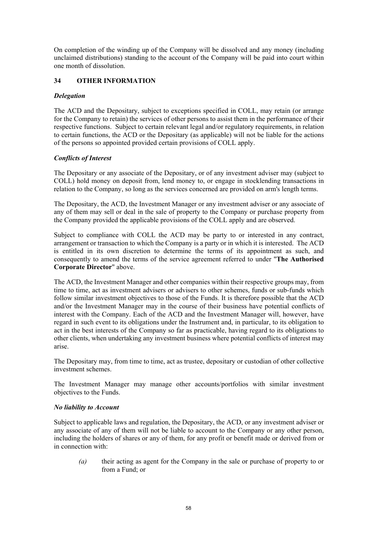On completion of the winding up of the Company will be dissolved and any money (including unclaimed distributions) standing to the account of the Company will be paid into court within one month of dissolution.

# **34 OTHER INFORMATION**

## *Delegation*

The ACD and the Depositary, subject to exceptions specified in COLL, may retain (or arrange for the Company to retain) the services of other persons to assist them in the performance of their respective functions. Subject to certain relevant legal and/or regulatory requirements, in relation to certain functions, the ACD or the Depositary (as applicable) will not be liable for the actions of the persons so appointed provided certain provisions of COLL apply.

## *Conflicts of Interest*

The Depositary or any associate of the Depositary, or of any investment adviser may (subject to COLL) hold money on deposit from, lend money to, or engage in stocklending transactions in relation to the Company, so long as the services concerned are provided on arm's length terms.

The Depositary, the ACD, the Investment Manager or any investment adviser or any associate of any of them may sell or deal in the sale of property to the Company or purchase property from the Company provided the applicable provisions of the COLL apply and are observed.

Subject to compliance with COLL the ACD may be party to or interested in any contract, arrangement or transaction to which the Company is a party or in which it is interested. The ACD is entitled in its own discretion to determine the terms of its appointment as such, and consequently to amend the terms of the service agreement referred to under "**The Authorised Corporate Director**" above.

The ACD, the Investment Manager and other companies within their respective groups may, from time to time, act as investment advisers or advisers to other schemes, funds or sub-funds which follow similar investment objectives to those of the Funds. It is therefore possible that the ACD and/or the Investment Manager may in the course of their business have potential conflicts of interest with the Company. Each of the ACD and the Investment Manager will, however, have regard in such event to its obligations under the Instrument and, in particular, to its obligation to act in the best interests of the Company so far as practicable, having regard to its obligations to other clients, when undertaking any investment business where potential conflicts of interest may arise.

The Depositary may, from time to time, act as trustee, depositary or custodian of other collective investment schemes.

The Investment Manager may manage other accounts/portfolios with similar investment objectives to the Funds.

### *No liability to Account*

Subject to applicable laws and regulation, the Depositary, the ACD, or any investment adviser or any associate of any of them will not be liable to account to the Company or any other person, including the holders of shares or any of them, for any profit or benefit made or derived from or in connection with:

*(a)* their acting as agent for the Company in the sale or purchase of property to or from a Fund; or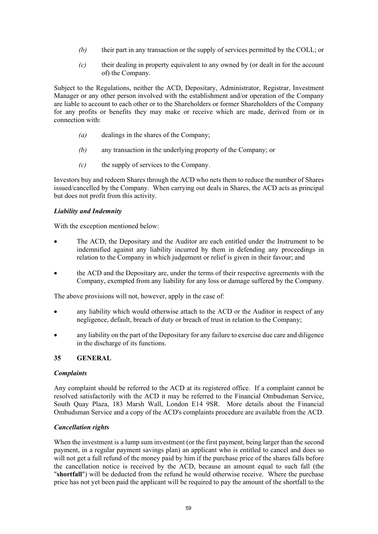- *(b)* their part in any transaction or the supply of services permitted by the COLL; or
- *(c)* their dealing in property equivalent to any owned by (or dealt in for the account of) the Company.

Subject to the Regulations, neither the ACD, Depositary, Administrator, Registrar, Investment Manager or any other person involved with the establishment and/or operation of the Company are liable to account to each other or to the Shareholders or former Shareholders of the Company for any profits or benefits they may make or receive which are made, derived from or in connection with:

- *(a)* dealings in the shares of the Company;
- *(b)* any transaction in the underlying property of the Company; or
- *(c)* the supply of services to the Company.

Investors buy and redeem Shares through the ACD who nets them to reduce the number of Shares issued/cancelled by the Company. When carrying out deals in Shares, the ACD acts as principal but does not profit from this activity.

## *Liability and Indemnity*

With the exception mentioned below:

- The ACD, the Depositary and the Auditor are each entitled under the Instrument to be indemnified against any liability incurred by them in defending any proceedings in relation to the Company in which judgement or relief is given in their favour; and
- the ACD and the Depositary are, under the terms of their respective agreements with the Company, exempted from any liability for any loss or damage suffered by the Company.

The above provisions will not, however, apply in the case of:

- any liability which would otherwise attach to the ACD or the Auditor in respect of any negligence, default, breach of duty or breach of trust in relation to the Company;
- any liability on the part of the Depositary for any failure to exercise due care and diligence in the discharge of its functions.

### **35 GENERAL**

### *Complaints*

Any complaint should be referred to the ACD at its registered office. If a complaint cannot be resolved satisfactorily with the ACD it may be referred to the Financial Ombudsman Service, South Quay Plaza, 183 Marsh Wall, London E14 9SR. More details about the Financial Ombudsman Service and a copy of the ACD's complaints procedure are available from the ACD.

# *Cancellation rights*

When the investment is a lump sum investment (or the first payment, being larger than the second payment, in a regular payment savings plan) an applicant who is entitled to cancel and does so will not get a full refund of the money paid by him if the purchase price of the shares falls before the cancellation notice is received by the ACD, because an amount equal to such fall (the "**shortfall**") will be deducted from the refund he would otherwise receive. Where the purchase price has not yet been paid the applicant will be required to pay the amount of the shortfall to the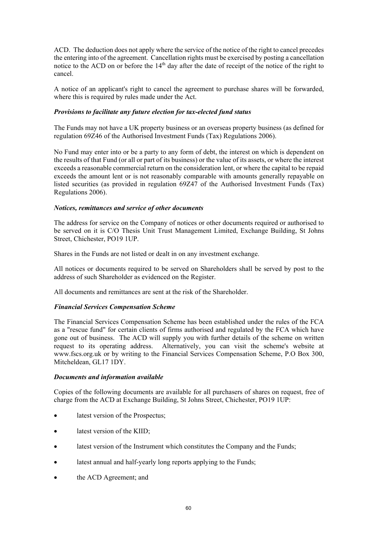ACD. The deduction does not apply where the service of the notice of the right to cancel precedes the entering into of the agreement. Cancellation rights must be exercised by posting a cancellation notice to the ACD on or before the 14<sup>th</sup> day after the date of receipt of the notice of the right to cancel.

A notice of an applicant's right to cancel the agreement to purchase shares will be forwarded, where this is required by rules made under the Act.

## *Provisions to facilitate any future election for tax-elected fund status*

The Funds may not have a UK property business or an overseas property business (as defined for regulation 69Z46 of the Authorised Investment Funds (Tax) Regulations 2006).

No Fund may enter into or be a party to any form of debt, the interest on which is dependent on the results of that Fund (or all or part of its business) or the value of its assets, or where the interest exceeds a reasonable commercial return on the consideration lent, or where the capital to be repaid exceeds the amount lent or is not reasonably comparable with amounts generally repayable on listed securities (as provided in regulation 69Z47 of the Authorised Investment Funds (Tax) Regulations 2006).

## *Notices, remittances and service of other documents*

The address for service on the Company of notices or other documents required or authorised to be served on it is C/O Thesis Unit Trust Management Limited, Exchange Building, St Johns Street, Chichester, PO19 1UP.

Shares in the Funds are not listed or dealt in on any investment exchange.

All notices or documents required to be served on Shareholders shall be served by post to the address of such Shareholder as evidenced on the Register.

All documents and remittances are sent at the risk of the Shareholder.

### *Financial Services Compensation Scheme*

The Financial Services Compensation Scheme has been established under the rules of the FCA as a "rescue fund" for certain clients of firms authorised and regulated by the FCA which have gone out of business. The ACD will supply you with further details of the scheme on written request to its operating address. Alternatively, you can visit the scheme's website at www.fscs.org.uk or by writing to the Financial Services Compensation Scheme, P.O Box 300, Mitcheldean, GL17 1DY.

### *Documents and information available*

Copies of the following documents are available for all purchasers of shares on request, free of charge from the ACD at Exchange Building, St Johns Street, Chichester, PO19 1UP:

- latest version of the Prospectus;
- latest version of the KIID;
- latest version of the Instrument which constitutes the Company and the Funds;
- latest annual and half-yearly long reports applying to the Funds;
- the ACD Agreement; and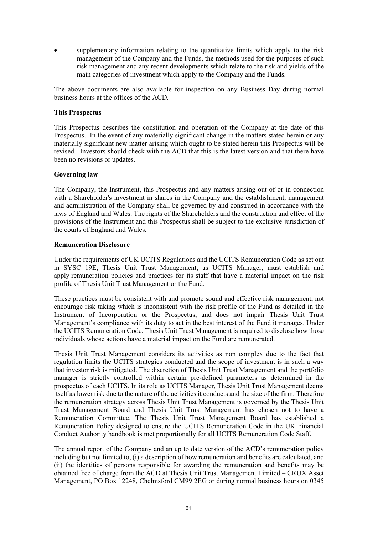supplementary information relating to the quantitative limits which apply to the risk management of the Company and the Funds, the methods used for the purposes of such risk management and any recent developments which relate to the risk and yields of the main categories of investment which apply to the Company and the Funds.

The above documents are also available for inspection on any Business Day during normal business hours at the offices of the ACD.

### **This Prospectus**

This Prospectus describes the constitution and operation of the Company at the date of this Prospectus. In the event of any materially significant change in the matters stated herein or any materially significant new matter arising which ought to be stated herein this Prospectus will be revised. Investors should check with the ACD that this is the latest version and that there have been no revisions or updates.

## **Governing law**

The Company, the Instrument, this Prospectus and any matters arising out of or in connection with a Shareholder's investment in shares in the Company and the establishment, management and administration of the Company shall be governed by and construed in accordance with the laws of England and Wales. The rights of the Shareholders and the construction and effect of the provisions of the Instrument and this Prospectus shall be subject to the exclusive jurisdiction of the courts of England and Wales.

## **Remuneration Disclosure**

Under the requirements of UK UCITS Regulations and the UCITS Remuneration Code as set out in SYSC 19E, Thesis Unit Trust Management, as UCITS Manager, must establish and apply remuneration policies and practices for its staff that have a material impact on the risk profile of Thesis Unit Trust Management or the Fund.

These practices must be consistent with and promote sound and effective risk management, not encourage risk taking which is inconsistent with the risk profile of the Fund as detailed in the Instrument of Incorporation or the Prospectus, and does not impair Thesis Unit Trust Management's compliance with its duty to act in the best interest of the Fund it manages. Under the UCITS Remuneration Code, Thesis Unit Trust Management is required to disclose how those individuals whose actions have a material impact on the Fund are remunerated.

Thesis Unit Trust Management considers its activities as non complex due to the fact that regulation limits the UCITS strategies conducted and the scope of investment is in such a way that investor risk is mitigated. The discretion of Thesis Unit Trust Management and the portfolio manager is strictly controlled within certain pre-defined parameters as determined in the prospectus of each UCITS. In its role as UCITS Manager, Thesis Unit Trust Management deems itself as lower risk due to the nature of the activities it conducts and the size of the firm. Therefore the remuneration strategy across Thesis Unit Trust Management is governed by the Thesis Unit Trust Management Board and Thesis Unit Trust Management has chosen not to have a Remuneration Committee. The Thesis Unit Trust Management Board has established a Remuneration Policy designed to ensure the UCITS Remuneration Code in the UK Financial Conduct Authority handbook is met proportionally for all UCITS Remuneration Code Staff.

The annual report of the Company and an up to date version of the ACD's remuneration policy including but not limited to, (i) a description of how remuneration and benefits are calculated, and (ii) the identities of persons responsible for awarding the remuneration and benefits may be obtained free of charge from the ACD at Thesis Unit Trust Management Limited – CRUX Asset Management, PO Box 12248, Chelmsford CM99 2EG or during normal business hours on 0345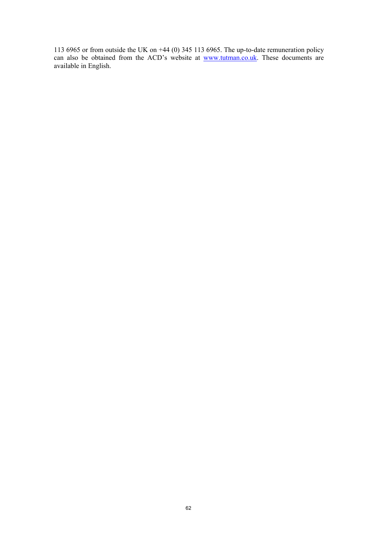113 6965 or from outside the UK on +44 (0) 345 113 6965. The up-to-date remuneration policy can also be obtained from the ACD's website at www.tutman.co.uk. These documents are available in English.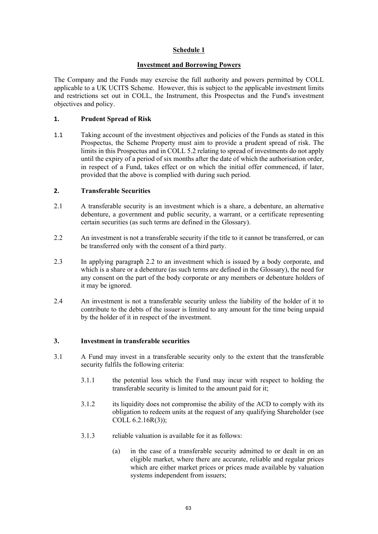# **Schedule 1**

## **Investment and Borrowing Powers**

The Company and the Funds may exercise the full authority and powers permitted by COLL applicable to a UK UCITS Scheme. However, this is subject to the applicable investment limits and restrictions set out in COLL, the Instrument, this Prospectus and the Fund's investment objectives and policy.

## **1. Prudent Spread of Risk**

1.1 Taking account of the investment objectives and policies of the Funds as stated in this Prospectus, the Scheme Property must aim to provide a prudent spread of risk. The limits in this Prospectus and in COLL 5.2 relating to spread of investments do not apply until the expiry of a period of six months after the date of which the authorisation order, in respect of a Fund, takes effect or on which the initial offer commenced, if later, provided that the above is complied with during such period.

### **2. Transferable Securities**

- 2.1 A transferable security is an investment which is a share, a debenture, an alternative debenture, a government and public security, a warrant, or a certificate representing certain securities (as such terms are defined in the Glossary).
- 2.2 An investment is not a transferable security if the title to it cannot be transferred, or can be transferred only with the consent of a third party.
- 2.3 In applying paragraph 2.2 to an investment which is issued by a body corporate, and which is a share or a debenture (as such terms are defined in the Glossary), the need for any consent on the part of the body corporate or any members or debenture holders of it may be ignored.
- 2.4 An investment is not a transferable security unless the liability of the holder of it to contribute to the debts of the issuer is limited to any amount for the time being unpaid by the holder of it in respect of the investment.

### **3. Investment in transferable securities**

- 3.1 A Fund may invest in a transferable security only to the extent that the transferable security fulfils the following criteria:
	- 3.1.1 the potential loss which the Fund may incur with respect to holding the transferable security is limited to the amount paid for it;
	- 3.1.2 its liquidity does not compromise the ability of the ACD to comply with its obligation to redeem units at the request of any qualifying Shareholder (see COLL 6.2.16R(3));
	- 3.1.3 reliable valuation is available for it as follows:
		- (a) in the case of a transferable security admitted to or dealt in on an eligible market, where there are accurate, reliable and regular prices which are either market prices or prices made available by valuation systems independent from issuers;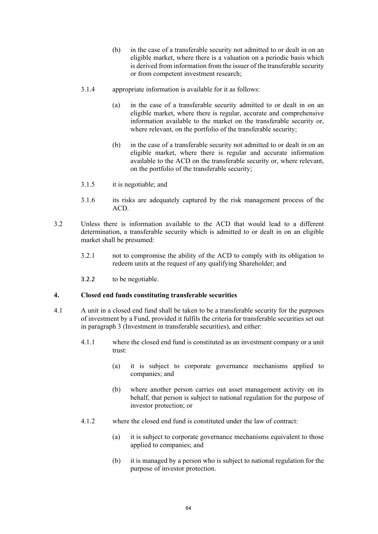- (b) in the case of a transferable security not admitted to or dealt in on an eligible market, where there is a valuation on a periodic basis which is derived from information from the issuer of the transferable security or from competent investment research;
- 3.1.4 appropriate information is available for it as follows:
	- (a) in the case of a transferable security admitted to or dealt in on an eligible market, where there is regular, accurate and comprehensive information available to the market on the transferable security or, where relevant, on the portfolio of the transferable security;
	- (b) in the case of a transferable security not admitted to or dealt in on an eligible market, where there is regular and accurate information available to the ACD on the transferable security or, where relevant, on the portfolio of the transferable security;
- 3.1.5 it is negotiable; and
- 3.1.6 its risks are adequately captured by the risk management process of the ACD.
- 3.2 Unless there is information available to the ACD that would lead to a different determination, a transferable security which is admitted to or dealt in on an eligible market shall be presumed:
	- 3.2.1 not to compromise the ability of the ACD to comply with its obligation to redeem units at the request of any qualifying Shareholder; and
	- 3.2.2 to be negotiable.

### **4. Closed end funds constituting transferable securities**

- 4.1 A unit in a closed end fund shall be taken to be a transferable security for the purposes of investment by a Fund, provided it fulfils the criteria for transferable securities set out in paragraph 3 (Investment in transferable securities), and either:
	- 4.1.1 where the closed end fund is constituted as an investment company or a unit trust:
		- (a) it is subject to corporate governance mechanisms applied to companies; and
		- (b) where another person carries out asset management activity on its behalf, that person is subject to national regulation for the purpose of investor protection; or
	- 4.1.2 where the closed end fund is constituted under the law of contract:
		- (a) it is subject to corporate governance mechanisms equivalent to those applied to companies; and
		- (b) it is managed by a person who is subject to national regulation for the purpose of investor protection.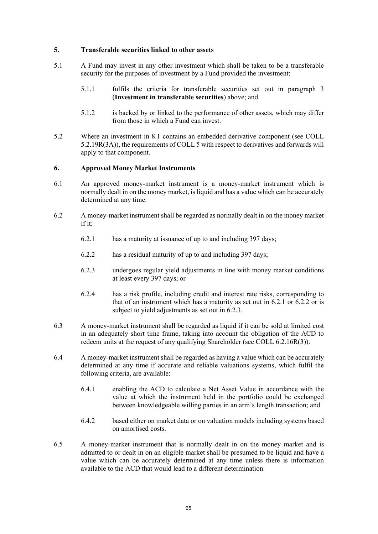### **5. Transferable securities linked to other assets**

- 5.1 A Fund may invest in any other investment which shall be taken to be a transferable security for the purposes of investment by a Fund provided the investment:
	- 5.1.1 fulfils the criteria for transferable securities set out in paragraph 3 (**Investment in transferable securities**) above; and
	- 5.1.2 is backed by or linked to the performance of other assets, which may differ from those in which a Fund can invest.
- 5.2 Where an investment in 8.1 contains an embedded derivative component (see COLL 5.2.19R(3A)), the requirements of COLL 5 with respect to derivatives and forwards will apply to that component.

#### **6. Approved Money Market Instruments**

- 6.1 An approved money-market instrument is a money-market instrument which is normally dealt in on the money market, is liquid and has a value which can be accurately determined at any time.
- 6.2 A money-market instrument shall be regarded as normally dealt in on the money market if it:
	- 6.2.1 has a maturity at issuance of up to and including 397 days;
	- 6.2.2 has a residual maturity of up to and including 397 days;
	- 6.2.3 undergoes regular yield adjustments in line with money market conditions at least every 397 days; or
	- 6.2.4 has a risk profile, including credit and interest rate risks, corresponding to that of an instrument which has a maturity as set out in 6.2.1 or 6.2.2 or is subject to yield adjustments as set out in 6.2.3.
- 6.3 A money-market instrument shall be regarded as liquid if it can be sold at limited cost in an adequately short time frame, taking into account the obligation of the ACD to redeem units at the request of any qualifying Shareholder (see COLL 6.2.16R(3)).
- 6.4 A money-market instrument shall be regarded as having a value which can be accurately determined at any time if accurate and reliable valuations systems, which fulfil the following criteria, are available:
	- 6.4.1 enabling the ACD to calculate a Net Asset Value in accordance with the value at which the instrument held in the portfolio could be exchanged between knowledgeable willing parties in an arm's length transaction; and
	- 6.4.2 based either on market data or on valuation models including systems based on amortised costs.
- 6.5 A money-market instrument that is normally dealt in on the money market and is admitted to or dealt in on an eligible market shall be presumed to be liquid and have a value which can be accurately determined at any time unless there is information available to the ACD that would lead to a different determination.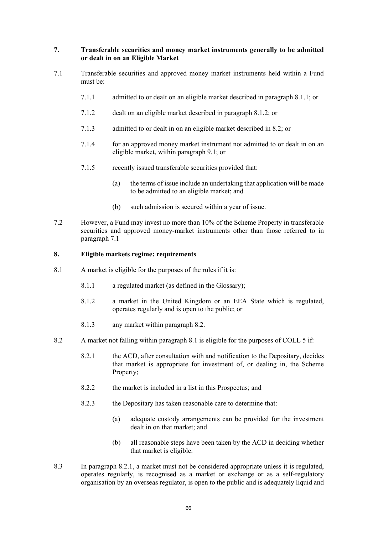## **7. Transferable securities and money market instruments generally to be admitted or dealt in on an Eligible Market**

- 7.1 Transferable securities and approved money market instruments held within a Fund must be:
	- 7.1.1 admitted to or dealt on an eligible market described in paragraph 8.1.1; or
	- 7.1.2 dealt on an eligible market described in paragraph 8.1.2; or
	- 7.1.3 admitted to or dealt in on an eligible market described in 8.2; or
	- 7.1.4 for an approved money market instrument not admitted to or dealt in on an eligible market, within paragraph 9.1; or
	- 7.1.5 recently issued transferable securities provided that:
		- (a) the terms of issue include an undertaking that application will be made to be admitted to an eligible market; and
		- (b) such admission is secured within a year of issue.
- 7.2 However, a Fund may invest no more than 10% of the Scheme Property in transferable securities and approved money-market instruments other than those referred to in paragraph 7.1

### **8. Eligible markets regime: requirements**

- 8.1 A market is eligible for the purposes of the rules if it is:
	- 8.1.1 a regulated market (as defined in the Glossary);
	- 8.1.2 a market in the United Kingdom or an EEA State which is regulated, operates regularly and is open to the public; or
	- 8.1.3 any market within paragraph 8.2.
- 8.2 A market not falling within paragraph 8.1 is eligible for the purposes of COLL 5 if:
	- 8.2.1 the ACD, after consultation with and notification to the Depositary, decides that market is appropriate for investment of, or dealing in, the Scheme Property;
	- 8.2.2 the market is included in a list in this Prospectus; and
	- 8.2.3 the Depositary has taken reasonable care to determine that:
		- (a) adequate custody arrangements can be provided for the investment dealt in on that market; and
		- (b) all reasonable steps have been taken by the ACD in deciding whether that market is eligible.
- 8.3 In paragraph 8.2.1, a market must not be considered appropriate unless it is regulated, operates regularly, is recognised as a market or exchange or as a self-regulatory organisation by an overseas regulator, is open to the public and is adequately liquid and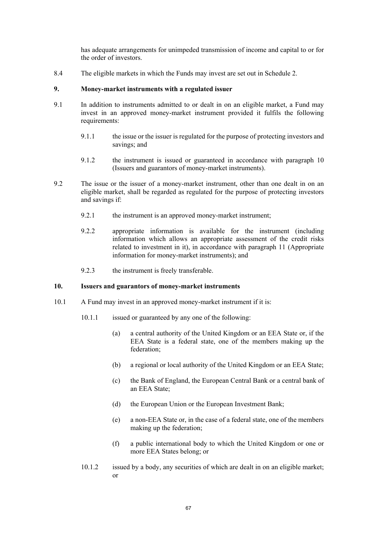has adequate arrangements for unimpeded transmission of income and capital to or for the order of investors.

8.4 The eligible markets in which the Funds may invest are set out in Schedule 2.

### **9. Money-market instruments with a regulated issuer**

- 9.1 In addition to instruments admitted to or dealt in on an eligible market, a Fund may invest in an approved money-market instrument provided it fulfils the following requirements:
	- 9.1.1 the issue or the issuer is regulated for the purpose of protecting investors and savings; and
	- 9.1.2 the instrument is issued or guaranteed in accordance with paragraph 10 (Issuers and guarantors of money-market instruments).
- 9.2 The issue or the issuer of a money-market instrument, other than one dealt in on an eligible market, shall be regarded as regulated for the purpose of protecting investors and savings if:
	- 9.2.1 the instrument is an approved money-market instrument;
	- 9.2.2 appropriate information is available for the instrument (including information which allows an appropriate assessment of the credit risks related to investment in it), in accordance with paragraph 11 (Appropriate information for money-market instruments); and
	- 9.2.3 the instrument is freely transferable.

#### **10. Issuers and guarantors of money-market instruments**

- 10.1 A Fund may invest in an approved money-market instrument if it is:
	- 10.1.1 issued or guaranteed by any one of the following:
		- (a) a central authority of the United Kingdom or an EEA State or, if the EEA State is a federal state, one of the members making up the federation;
		- (b) a regional or local authority of the United Kingdom or an EEA State;
		- (c) the Bank of England, the European Central Bank or a central bank of an EEA State;
		- (d) the European Union or the European Investment Bank;
		- (e) a non-EEA State or, in the case of a federal state, one of the members making up the federation;
		- (f) a public international body to which the United Kingdom or one or more EEA States belong; or
	- 10.1.2 issued by a body, any securities of which are dealt in on an eligible market; or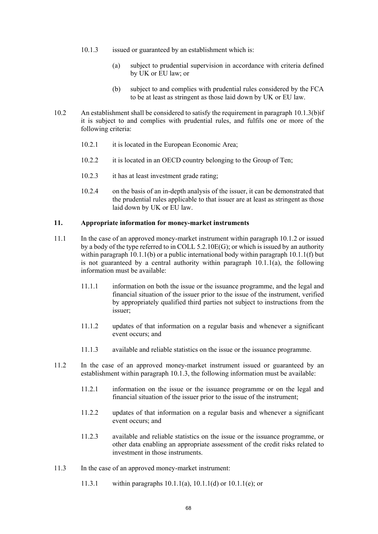- 10.1.3 issued or guaranteed by an establishment which is:
	- (a) subject to prudential supervision in accordance with criteria defined by UK or EU law; or
	- (b) subject to and complies with prudential rules considered by the FCA to be at least as stringent as those laid down by UK or EU law.
- 10.2 An establishment shall be considered to satisfy the requirement in paragraph 10.1.3(b)if it is subject to and complies with prudential rules, and fulfils one or more of the following criteria:
	- 10.2.1 it is located in the European Economic Area;
	- 10.2.2 it is located in an OECD country belonging to the Group of Ten;
	- 10.2.3 it has at least investment grade rating;
	- 10.2.4 on the basis of an in-depth analysis of the issuer, it can be demonstrated that the prudential rules applicable to that issuer are at least as stringent as those laid down by UK or EU law.

#### **11. Appropriate information for money-market instruments**

- 11.1 In the case of an approved money-market instrument within paragraph 10.1.2 or issued by a body of the type referred to in COLL 5.2.10E(G); or which is issued by an authority within paragraph  $10.1.1(b)$  or a public international body within paragraph  $10.1.1(f)$  but is not guaranteed by a central authority within paragraph  $10.1.1(a)$ , the following information must be available:
	- 11.1.1 information on both the issue or the issuance programme, and the legal and financial situation of the issuer prior to the issue of the instrument, verified by appropriately qualified third parties not subject to instructions from the issuer;
	- 11.1.2 updates of that information on a regular basis and whenever a significant event occurs; and
	- 11.1.3 available and reliable statistics on the issue or the issuance programme.
- 11.2 In the case of an approved money-market instrument issued or guaranteed by an establishment within paragraph 10.1.3, the following information must be available:
	- 11.2.1 information on the issue or the issuance programme or on the legal and financial situation of the issuer prior to the issue of the instrument;
	- 11.2.2 updates of that information on a regular basis and whenever a significant event occurs; and
	- 11.2.3 available and reliable statistics on the issue or the issuance programme, or other data enabling an appropriate assessment of the credit risks related to investment in those instruments.
- 11.3 In the case of an approved money-market instrument:
	- 11.3.1 within paragraphs 10.1.1(a), 10.1.1(d) or 10.1.1(e); or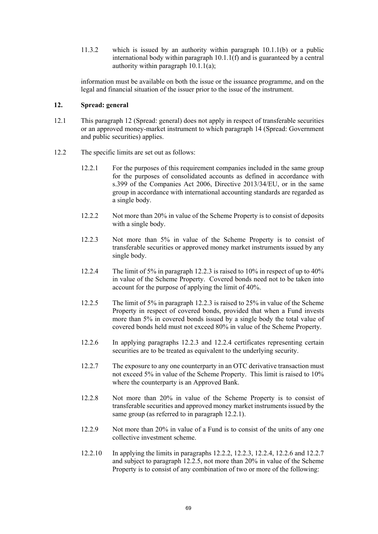11.3.2 which is issued by an authority within paragraph 10.1.1(b) or a public international body within paragraph 10.1.1(f) and is guaranteed by a central authority within paragraph 10.1.1(a);

information must be available on both the issue or the issuance programme, and on the legal and financial situation of the issuer prior to the issue of the instrument.

## **12. Spread: general**

- 12.1 This paragraph 12 (Spread: general) does not apply in respect of transferable securities or an approved money-market instrument to which paragraph 14 (Spread: Government and public securities) applies.
- 12.2 The specific limits are set out as follows:
	- 12.2.1 For the purposes of this requirement companies included in the same group for the purposes of consolidated accounts as defined in accordance with s.399 of the Companies Act 2006, Directive 2013/34/EU, or in the same group in accordance with international accounting standards are regarded as a single body.
	- 12.2.2 Not more than 20% in value of the Scheme Property is to consist of deposits with a single body.
	- 12.2.3 Not more than 5% in value of the Scheme Property is to consist of transferable securities or approved money market instruments issued by any single body.
	- 12.2.4 The limit of 5% in paragraph 12.2.3 is raised to 10% in respect of up to 40% in value of the Scheme Property. Covered bonds need not to be taken into account for the purpose of applying the limit of 40%.
	- 12.2.5 The limit of 5% in paragraph 12.2.3 is raised to 25% in value of the Scheme Property in respect of covered bonds, provided that when a Fund invests more than 5% in covered bonds issued by a single body the total value of covered bonds held must not exceed 80% in value of the Scheme Property.
	- 12.2.6 In applying paragraphs 12.2.3 and 12.2.4 certificates representing certain securities are to be treated as equivalent to the underlying security.
	- 12.2.7 The exposure to any one counterparty in an OTC derivative transaction must not exceed 5% in value of the Scheme Property. This limit is raised to 10% where the counterparty is an Approved Bank.
	- 12.2.8 Not more than 20% in value of the Scheme Property is to consist of transferable securities and approved money market instruments issued by the same group (as referred to in paragraph 12.2.1).
	- 12.2.9 Not more than 20% in value of a Fund is to consist of the units of any one collective investment scheme.
	- 12.2.10 In applying the limits in paragraphs 12.2.2, 12.2.3, 12.2.4, 12.2.6 and 12.2.7 and subject to paragraph 12.2.5, not more than 20% in value of the Scheme Property is to consist of any combination of two or more of the following: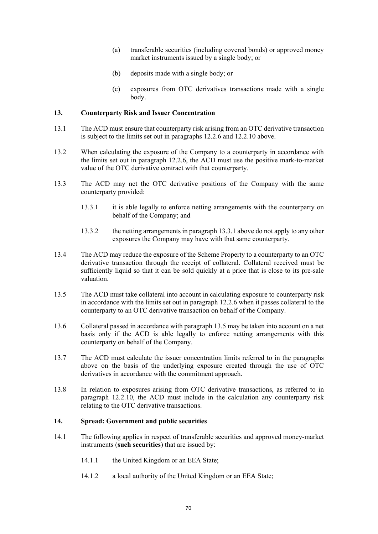- (a) transferable securities (including covered bonds) or approved money market instruments issued by a single body; or
- (b) deposits made with a single body; or
- (c) exposures from OTC derivatives transactions made with a single body.

### **13. Counterparty Risk and Issuer Concentration**

- 13.1 The ACD must ensure that counterparty risk arising from an OTC derivative transaction is subject to the limits set out in paragraphs 12.2.6 and 12.2.10 above.
- 13.2 When calculating the exposure of the Company to a counterparty in accordance with the limits set out in paragraph 12.2.6, the ACD must use the positive mark-to-market value of the OTC derivative contract with that counterparty.
- 13.3 The ACD may net the OTC derivative positions of the Company with the same counterparty provided:
	- 13.3.1 it is able legally to enforce netting arrangements with the counterparty on behalf of the Company; and
	- 13.3.2 the netting arrangements in paragraph 13.3.1 above do not apply to any other exposures the Company may have with that same counterparty.
- 13.4 The ACD may reduce the exposure of the Scheme Property to a counterparty to an OTC derivative transaction through the receipt of collateral. Collateral received must be sufficiently liquid so that it can be sold quickly at a price that is close to its pre-sale valuation.
- 13.5 The ACD must take collateral into account in calculating exposure to counterparty risk in accordance with the limits set out in paragraph 12.2.6 when it passes collateral to the counterparty to an OTC derivative transaction on behalf of the Company.
- 13.6 Collateral passed in accordance with paragraph 13.5 may be taken into account on a net basis only if the ACD is able legally to enforce netting arrangements with this counterparty on behalf of the Company.
- 13.7 The ACD must calculate the issuer concentration limits referred to in the paragraphs above on the basis of the underlying exposure created through the use of OTC derivatives in accordance with the commitment approach.
- 13.8 In relation to exposures arising from OTC derivative transactions, as referred to in paragraph 12.2.10, the ACD must include in the calculation any counterparty risk relating to the OTC derivative transactions.

# **14. Spread: Government and public securities**

- 14.1 The following applies in respect of transferable securities and approved money-market instruments (**such securities**) that are issued by:
	- 14.1.1 the United Kingdom or an EEA State;
	- 14.1.2 a local authority of the United Kingdom or an EEA State;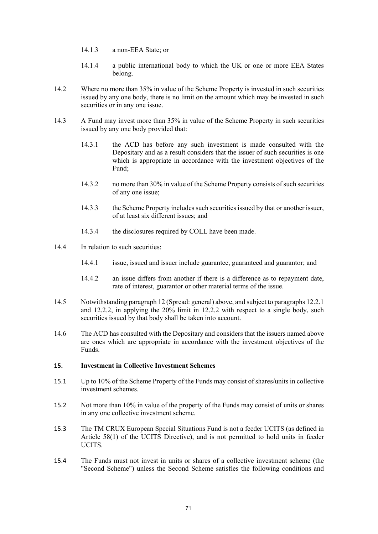- 14.1.3 a non-EEA State; or
- 14.1.4 a public international body to which the UK or one or more EEA States belong.
- 14.2 Where no more than 35% in value of the Scheme Property is invested in such securities issued by any one body, there is no limit on the amount which may be invested in such securities or in any one issue.
- 14.3 A Fund may invest more than 35% in value of the Scheme Property in such securities issued by any one body provided that:
	- 14.3.1 the ACD has before any such investment is made consulted with the Depositary and as a result considers that the issuer of such securities is one which is appropriate in accordance with the investment objectives of the Fund;
	- 14.3.2 no more than 30% in value of the Scheme Property consists of such securities of any one issue;
	- 14.3.3 the Scheme Property includes such securities issued by that or another issuer, of at least six different issues; and
	- 14.3.4 the disclosures required by COLL have been made.
- 14.4 In relation to such securities:
	- 14.4.1 issue, issued and issuer include guarantee, guaranteed and guarantor; and
	- 14.4.2 an issue differs from another if there is a difference as to repayment date, rate of interest, guarantor or other material terms of the issue.
- 14.5 Notwithstanding paragraph 12 (Spread: general) above, and subject to paragraphs 12.2.1 and 12.2.2, in applying the 20% limit in 12.2.2 with respect to a single body, such securities issued by that body shall be taken into account.
- 14.6 The ACD has consulted with the Depositary and considers that the issuers named above are ones which are appropriate in accordance with the investment objectives of the Funds.

### **15. Investment in Collective Investment Schemes**

- 15.1 Up to 10% of the Scheme Property of the Funds may consist of shares/units in collective investment schemes.
- 15.2 Not more than 10% in value of the property of the Funds may consist of units or shares in any one collective investment scheme.
- 15.3 The TM CRUX European Special Situations Fund is not a feeder UCITS (as defined in Article 58(1) of the UCITS Directive), and is not permitted to hold units in feeder UCITS.
- 15.4 The Funds must not invest in units or shares of a collective investment scheme (the "Second Scheme") unless the Second Scheme satisfies the following conditions and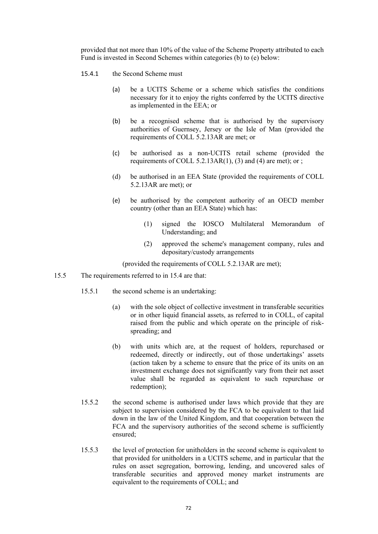provided that not more than 10% of the value of the Scheme Property attributed to each Fund is invested in Second Schemes within categories (b) to (e) below:

- 15.4.1 the Second Scheme must
	- (a) be a UCITS Scheme or a scheme which satisfies the conditions necessary for it to enjoy the rights conferred by the UCITS directive as implemented in the EEA; or
	- (b) be a recognised scheme that is authorised by the supervisory authorities of Guernsey, Jersey or the Isle of Man (provided the requirements of COLL 5.2.13AR are met; or
	- (c) be authorised as a non-UCITS retail scheme (provided the requirements of COLL  $5.2.13AR(1)$ ,  $(3)$  and  $(4)$  are met); or ;
	- (d) be authorised in an EEA State (provided the requirements of COLL 5.2.13AR are met); or
	- (e) be authorised by the competent authority of an OECD member country (other than an EEA State) which has:
		- (1) signed the IOSCO Multilateral Memorandum of Understanding; and
		- (2) approved the scheme's management company, rules and depositary/custody arrangements

(provided the requirements of COLL 5.2.13AR are met);

- 15.5 The requirements referred to in 15.4 are that:
	- 15.5.1 the second scheme is an undertaking:
		- (a) with the sole object of collective investment in transferable securities or in other liquid financial assets, as referred to in COLL, of capital raised from the public and which operate on the principle of riskspreading; and
		- (b) with units which are, at the request of holders, repurchased or redeemed, directly or indirectly, out of those undertakings' assets (action taken by a scheme to ensure that the price of its units on an investment exchange does not significantly vary from their net asset value shall be regarded as equivalent to such repurchase or redemption);
	- 15.5.2 the second scheme is authorised under laws which provide that they are subject to supervision considered by the FCA to be equivalent to that laid down in the law of the United Kingdom, and that cooperation between the FCA and the supervisory authorities of the second scheme is sufficiently ensured;
	- 15.5.3 the level of protection for unitholders in the second scheme is equivalent to that provided for unitholders in a UCITS scheme, and in particular that the rules on asset segregation, borrowing, lending, and uncovered sales of transferable securities and approved money market instruments are equivalent to the requirements of COLL; and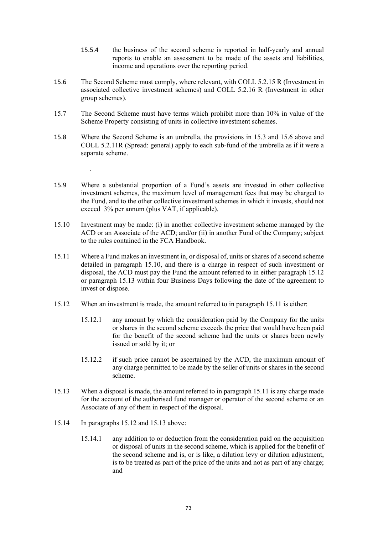- 15.5.4 the business of the second scheme is reported in half-yearly and annual reports to enable an assessment to be made of the assets and liabilities, income and operations over the reporting period.
- 15.6 The Second Scheme must comply, where relevant, with COLL 5.2.15 R (Investment in associated collective investment schemes) and COLL 5.2.16 R (Investment in other group schemes).
- 15.7 The Second Scheme must have terms which prohibit more than 10% in value of the Scheme Property consisting of units in collective investment schemes.
- 15.8 Where the Second Scheme is an umbrella, the provisions in 15.3 and 15.6 above and COLL 5.2.11R (Spread: general) apply to each sub-fund of the umbrella as if it were a separate scheme.
- 15.9 Where a substantial proportion of a Fund's assets are invested in other collective investment schemes, the maximum level of management fees that may be charged to the Fund, and to the other collective investment schemes in which it invests, should not exceed 3% per annum (plus VAT, if applicable).
- 15.10 Investment may be made: (i) in another collective investment scheme managed by the ACD or an Associate of the ACD; and/or (ii) in another Fund of the Company; subject to the rules contained in the FCA Handbook.
- 15.11 Where a Fund makes an investment in, or disposal of, units or shares of a second scheme detailed in paragraph 15.10, and there is a charge in respect of such investment or disposal, the ACD must pay the Fund the amount referred to in either paragraph 15.12 or paragraph 15.13 within four Business Days following the date of the agreement to invest or dispose.
- 15.12 When an investment is made, the amount referred to in paragraph 15.11 is either:
	- 15.12.1 any amount by which the consideration paid by the Company for the units or shares in the second scheme exceeds the price that would have been paid for the benefit of the second scheme had the units or shares been newly issued or sold by it; or
	- 15.12.2 if such price cannot be ascertained by the ACD, the maximum amount of any charge permitted to be made by the seller of units or shares in the second scheme.
- 15.13 When a disposal is made, the amount referred to in paragraph 15.11 is any charge made for the account of the authorised fund manager or operator of the second scheme or an Associate of any of them in respect of the disposal.
- 15.14 In paragraphs 15.12 and 15.13 above:

.

15.14.1 any addition to or deduction from the consideration paid on the acquisition or disposal of units in the second scheme, which is applied for the benefit of the second scheme and is, or is like, a dilution levy or dilution adjustment, is to be treated as part of the price of the units and not as part of any charge; and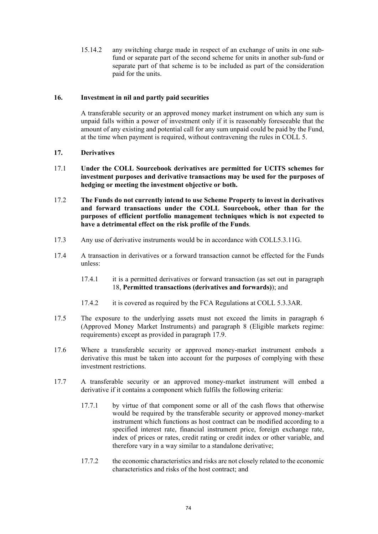15.14.2 any switching charge made in respect of an exchange of units in one subfund or separate part of the second scheme for units in another sub-fund or separate part of that scheme is to be included as part of the consideration paid for the units.

# **16. Investment in nil and partly paid securities**

A transferable security or an approved money market instrument on which any sum is unpaid falls within a power of investment only if it is reasonably foreseeable that the amount of any existing and potential call for any sum unpaid could be paid by the Fund, at the time when payment is required, without contravening the rules in COLL 5.

# **17. Derivatives**

- 17.1 **Under the COLL Sourcebook derivatives are permitted for UCITS schemes for investment purposes and derivative transactions may be used for the purposes of hedging or meeting the investment objective or both.**
- 17.2 **The Funds do not currently intend to use Scheme Property to invest in derivatives and forward transactions under the COLL Sourcebook, other than for the purposes of efficient portfolio management techniques which is not expected to have a detrimental effect on the risk profile of the Funds**.
- 17.3 Any use of derivative instruments would be in accordance with COLL5.3.11G.
- 17.4 A transaction in derivatives or a forward transaction cannot be effected for the Funds unless:
	- 17.4.1 it is a permitted derivatives or forward transaction (as set out in paragraph 18, **Permitted transactions (derivatives and forwards)**); and
	- 17.4.2 it is covered as required by the FCA Regulations at COLL 5.3.3AR.
- 17.5 The exposure to the underlying assets must not exceed the limits in paragraph 6 (Approved Money Market Instruments) and paragraph 8 (Eligible markets regime: requirements) except as provided in paragraph 17.9.
- 17.6 Where a transferable security or approved money-market instrument embeds a derivative this must be taken into account for the purposes of complying with these investment restrictions.
- 17.7 A transferable security or an approved money-market instrument will embed a derivative if it contains a component which fulfils the following criteria:
	- 17.7.1 by virtue of that component some or all of the cash flows that otherwise would be required by the transferable security or approved money-market instrument which functions as host contract can be modified according to a specified interest rate, financial instrument price, foreign exchange rate, index of prices or rates, credit rating or credit index or other variable, and therefore vary in a way similar to a standalone derivative;
	- 17.7.2 the economic characteristics and risks are not closely related to the economic characteristics and risks of the host contract; and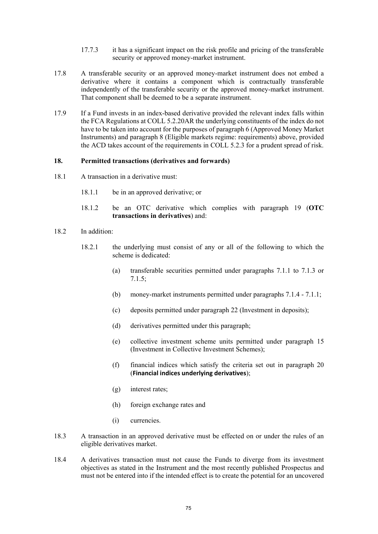- 17.7.3 it has a significant impact on the risk profile and pricing of the transferable security or approved money-market instrument.
- 17.8 A transferable security or an approved money-market instrument does not embed a derivative where it contains a component which is contractually transferable independently of the transferable security or the approved money-market instrument. That component shall be deemed to be a separate instrument.
- 17.9 If a Fund invests in an index-based derivative provided the relevant index falls within the FCA Regulations at COLL 5.2.20AR the underlying constituents of the index do not have to be taken into account for the purposes of paragraph 6 (Approved Money Market Instruments) and paragraph 8 (Eligible markets regime: requirements) above, provided the ACD takes account of the requirements in COLL 5.2.3 for a prudent spread of risk.

### **18. Permitted transactions (derivatives and forwards)**

- 18.1 A transaction in a derivative must:
	- 18.1.1 be in an approved derivative; or
	- 18.1.2 be an OTC derivative which complies with paragraph 19 (**OTC transactions in derivatives**) and:
- 18.2 In addition:
	- 18.2.1 the underlying must consist of any or all of the following to which the scheme is dedicated:
		- (a) transferable securities permitted under paragraphs 7.1.1 to 7.1.3 or 7.1.5;
		- (b) money-market instruments permitted under paragraphs 7.1.4 7.1.1;
		- (c) deposits permitted under paragraph 22 (Investment in deposits);
		- (d) derivatives permitted under this paragraph;
		- (e) collective investment scheme units permitted under paragraph 15 (Investment in Collective Investment Schemes);
		- (f) financial indices which satisfy the criteria set out in paragraph 20 (**Financial indices underlying derivatives**);
		- (g) interest rates;
		- (h) foreign exchange rates and
		- (i) currencies.
- 18.3 A transaction in an approved derivative must be effected on or under the rules of an eligible derivatives market.
- 18.4 A derivatives transaction must not cause the Funds to diverge from its investment objectives as stated in the Instrument and the most recently published Prospectus and must not be entered into if the intended effect is to create the potential for an uncovered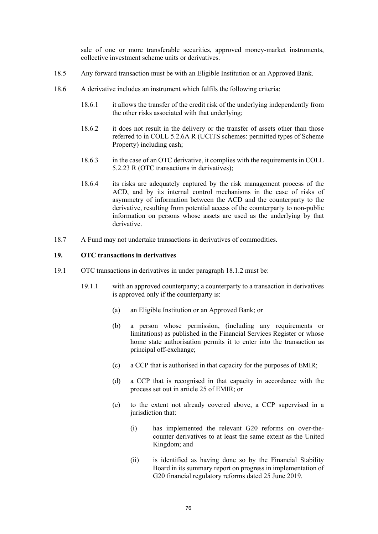sale of one or more transferable securities, approved money-market instruments, collective investment scheme units or derivatives.

- 18.5 Any forward transaction must be with an Eligible Institution or an Approved Bank.
- 18.6 A derivative includes an instrument which fulfils the following criteria:
	- 18.6.1 it allows the transfer of the credit risk of the underlying independently from the other risks associated with that underlying;
	- 18.6.2 it does not result in the delivery or the transfer of assets other than those referred to in COLL 5.2.6A R (UCITS schemes: permitted types of Scheme Property) including cash;
	- 18.6.3 in the case of an OTC derivative, it complies with the requirements in COLL 5.2.23 R (OTC transactions in derivatives);
	- 18.6.4 its risks are adequately captured by the risk management process of the ACD, and by its internal control mechanisms in the case of risks of asymmetry of information between the ACD and the counterparty to the derivative, resulting from potential access of the counterparty to non-public information on persons whose assets are used as the underlying by that derivative.
- 18.7 A Fund may not undertake transactions in derivatives of commodities.

### **19. OTC transactions in derivatives**

- 19.1 OTC transactions in derivatives in under paragraph 18.1.2 must be:
	- 19.1.1 with an approved counterparty; a counterparty to a transaction in derivatives is approved only if the counterparty is:
		- (a) an Eligible Institution or an Approved Bank; or
		- (b) a person whose permission, (including any requirements or limitations) as published in the Financial Services Register or whose home state authorisation permits it to enter into the transaction as principal off-exchange;
		- (c) a CCP that is authorised in that capacity for the purposes of EMIR;
		- (d) a CCP that is recognised in that capacity in accordance with the process set out in article 25 of EMIR; or
		- (e) to the extent not already covered above, a CCP supervised in a jurisdiction that:
			- (i) has implemented the relevant G20 reforms on over-thecounter derivatives to at least the same extent as the United Kingdom; and
			- (ii) is identified as having done so by the Financial Stability Board in its summary report on progress in implementation of G20 financial regulatory reforms dated 25 June 2019.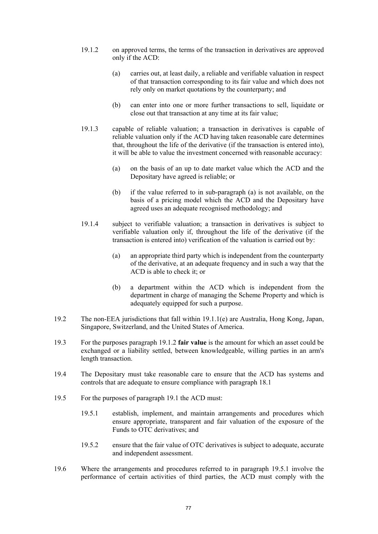- 19.1.2 on approved terms, the terms of the transaction in derivatives are approved only if the ACD:
	- (a) carries out, at least daily, a reliable and verifiable valuation in respect of that transaction corresponding to its fair value and which does not rely only on market quotations by the counterparty; and
	- (b) can enter into one or more further transactions to sell, liquidate or close out that transaction at any time at its fair value;
- 19.1.3 capable of reliable valuation; a transaction in derivatives is capable of reliable valuation only if the ACD having taken reasonable care determines that, throughout the life of the derivative (if the transaction is entered into), it will be able to value the investment concerned with reasonable accuracy:
	- (a) on the basis of an up to date market value which the ACD and the Depositary have agreed is reliable; or
	- (b) if the value referred to in sub-paragraph (a) is not available, on the basis of a pricing model which the ACD and the Depositary have agreed uses an adequate recognised methodology; and
- 19.1.4 subject to verifiable valuation; a transaction in derivatives is subject to verifiable valuation only if, throughout the life of the derivative (if the transaction is entered into) verification of the valuation is carried out by:
	- (a) an appropriate third party which is independent from the counterparty of the derivative, at an adequate frequency and in such a way that the ACD is able to check it; or
	- (b) a department within the ACD which is independent from the department in charge of managing the Scheme Property and which is adequately equipped for such a purpose.
- 19.2 The non-EEA jurisdictions that fall within 19.1.1(e) are Australia, Hong Kong, Japan, Singapore, Switzerland, and the United States of America.
- 19.3 For the purposes paragraph 19.1.2 **fair value** is the amount for which an asset could be exchanged or a liability settled, between knowledgeable, willing parties in an arm's length transaction.
- 19.4 The Depositary must take reasonable care to ensure that the ACD has systems and controls that are adequate to ensure compliance with paragraph 18.1
- 19.5 For the purposes of paragraph 19.1 the ACD must:
	- 19.5.1 establish, implement, and maintain arrangements and procedures which ensure appropriate, transparent and fair valuation of the exposure of the Funds to OTC derivatives; and
	- 19.5.2 ensure that the fair value of OTC derivatives is subject to adequate, accurate and independent assessment.
- 19.6 Where the arrangements and procedures referred to in paragraph 19.5.1 involve the performance of certain activities of third parties, the ACD must comply with the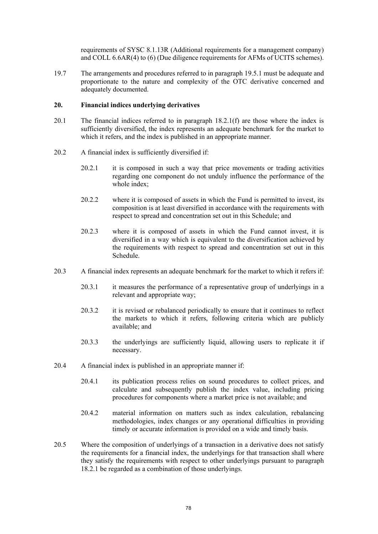requirements of SYSC 8.1.13R (Additional requirements for a management company) and COLL 6.6AR(4) to (6) (Due diligence requirements for AFMs of UCITS schemes).

19.7 The arrangements and procedures referred to in paragraph 19.5.1 must be adequate and proportionate to the nature and complexity of the OTC derivative concerned and adequately documented.

### **20. Financial indices underlying derivatives**

- 20.1 The financial indices referred to in paragraph 18.2.1(f) are those where the index is sufficiently diversified, the index represents an adequate benchmark for the market to which it refers, and the index is published in an appropriate manner.
- 20.2 A financial index is sufficiently diversified if:
	- 20.2.1 it is composed in such a way that price movements or trading activities regarding one component do not unduly influence the performance of the whole index;
	- 20.2.2 where it is composed of assets in which the Fund is permitted to invest, its composition is at least diversified in accordance with the requirements with respect to spread and concentration set out in this Schedule; and
	- 20.2.3 where it is composed of assets in which the Fund cannot invest, it is diversified in a way which is equivalent to the diversification achieved by the requirements with respect to spread and concentration set out in this Schedule.
- 20.3 A financial index represents an adequate benchmark for the market to which it refers if:
	- 20.3.1 it measures the performance of a representative group of underlyings in a relevant and appropriate way;
	- 20.3.2 it is revised or rebalanced periodically to ensure that it continues to reflect the markets to which it refers, following criteria which are publicly available; and
	- 20.3.3 the underlyings are sufficiently liquid, allowing users to replicate it if necessary.
- 20.4 A financial index is published in an appropriate manner if:
	- 20.4.1 its publication process relies on sound procedures to collect prices, and calculate and subsequently publish the index value, including pricing procedures for components where a market price is not available; and
	- 20.4.2 material information on matters such as index calculation, rebalancing methodologies, index changes or any operational difficulties in providing timely or accurate information is provided on a wide and timely basis.
- 20.5 Where the composition of underlyings of a transaction in a derivative does not satisfy the requirements for a financial index, the underlyings for that transaction shall where they satisfy the requirements with respect to other underlyings pursuant to paragraph 18.2.1 be regarded as a combination of those underlyings.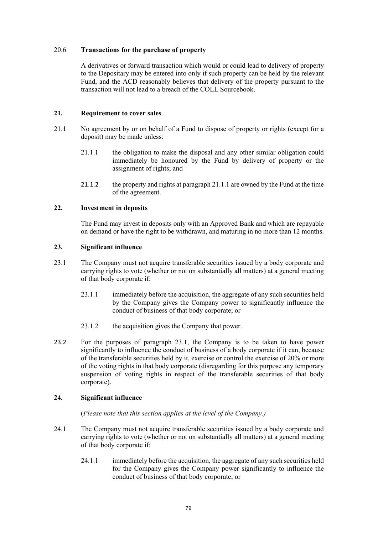### 20.6 **Transactions for the purchase of property**

A derivatives or forward transaction which would or could lead to delivery of property to the Depositary may be entered into only if such property can be held by the relevant Fund, and the ACD reasonably believes that delivery of the property pursuant to the transaction will not lead to a breach of the COLL Sourcebook.

# **21. Requirement to cover sales**

- 21.1 No agreement by or on behalf of a Fund to dispose of property or rights (except for a deposit) may be made unless:
	- 21.1.1 the obligation to make the disposal and any other similar obligation could immediately be honoured by the Fund by delivery of property or the assignment of rights; and
	- 21.1.2 the property and rights at paragraph 21.1.1 are owned by the Fund at the time of the agreement.

# **22. Investment in deposits**

The Fund may invest in deposits only with an Approved Bank and which are repayable on demand or have the right to be withdrawn, and maturing in no more than 12 months.

# **23. Significant influence**

- 23.1 The Company must not acquire transferable securities issued by a body corporate and carrying rights to vote (whether or not on substantially all matters) at a general meeting of that body corporate if:
	- 23.1.1 immediately before the acquisition, the aggregate of any such securities held by the Company gives the Company power to significantly influence the conduct of business of that body corporate; or
	- 23.1.2 the acquisition gives the Company that power.
- 23.2 For the purposes of paragraph 23.1, the Company is to be taken to have power significantly to influence the conduct of business of a body corporate if it can, because of the transferable securities held by it, exercise or control the exercise of 20% or more of the voting rights in that body corporate (disregarding for this purpose any temporary suspension of voting rights in respect of the transferable securities of that body corporate).

# **24. Significant influence**

(*Please note that this section applies at the level of the Company.)*

- 24.1 The Company must not acquire transferable securities issued by a body corporate and carrying rights to vote (whether or not on substantially all matters) at a general meeting of that body corporate if:
	- 24.1.1 immediately before the acquisition, the aggregate of any such securities held for the Company gives the Company power significantly to influence the conduct of business of that body corporate; or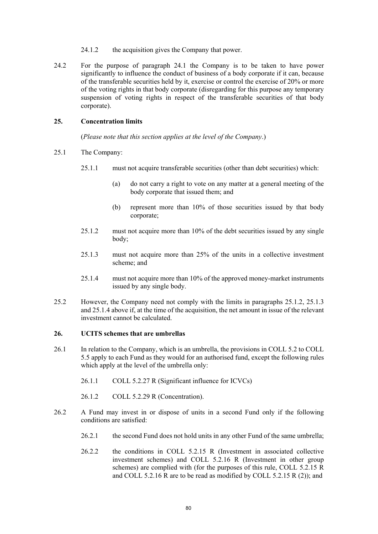- 24.1.2 the acquisition gives the Company that power.
- 24.2 For the purpose of paragraph 24.1 the Company is to be taken to have power significantly to influence the conduct of business of a body corporate if it can, because of the transferable securities held by it, exercise or control the exercise of 20% or more of the voting rights in that body corporate (disregarding for this purpose any temporary suspension of voting rights in respect of the transferable securities of that body corporate).

### **25. Concentration limits**

(*Please note that this section applies at the level of the Company*.)

- 25.1 The Company:
	- 25.1.1 must not acquire transferable securities (other than debt securities) which:
		- (a) do not carry a right to vote on any matter at a general meeting of the body corporate that issued them; and
		- (b) represent more than 10% of those securities issued by that body corporate;
	- 25.1.2 must not acquire more than 10% of the debt securities issued by any single body;
	- 25.1.3 must not acquire more than 25% of the units in a collective investment scheme; and
	- 25.1.4 must not acquire more than 10% of the approved money-market instruments issued by any single body.
- 25.2 However, the Company need not comply with the limits in paragraphs 25.1.2, 25.1.3 and 25.1.4 above if, at the time of the acquisition, the net amount in issue of the relevant investment cannot be calculated.

#### **26. UCITS schemes that are umbrellas**

- 26.1 In relation to the Company, which is an umbrella, the provisions in COLL 5.2 to COLL 5.5 apply to each Fund as they would for an authorised fund, except the following rules which apply at the level of the umbrella only:
	- 26.1.1 COLL 5.2.27 R (Significant influence for ICVCs)
	- 26.1.2 COLL 5.2.29 R (Concentration).
- 26.2 A Fund may invest in or dispose of units in a second Fund only if the following conditions are satisfied:
	- 26.2.1 the second Fund does not hold units in any other Fund of the same umbrella;
	- 26.2.2 the conditions in COLL 5.2.15 R (Investment in associated collective investment schemes) and COLL 5.2.16 R (Investment in other group schemes) are complied with (for the purposes of this rule, COLL 5.2.15 R and COLL 5.2.16 R are to be read as modified by COLL 5.2.15 R (2)); and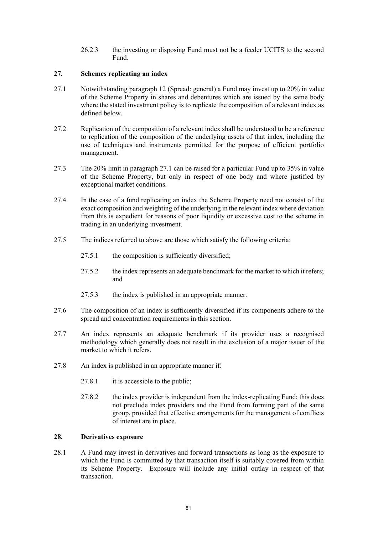26.2.3 the investing or disposing Fund must not be a feeder UCITS to the second Fund.

# **27. Schemes replicating an index**

- 27.1 Notwithstanding paragraph 12 (Spread: general) a Fund may invest up to 20% in value of the Scheme Property in shares and debentures which are issued by the same body where the stated investment policy is to replicate the composition of a relevant index as defined below.
- 27.2 Replication of the composition of a relevant index shall be understood to be a reference to replication of the composition of the underlying assets of that index, including the use of techniques and instruments permitted for the purpose of efficient portfolio management.
- 27.3 The 20% limit in paragraph 27.1 can be raised for a particular Fund up to 35% in value of the Scheme Property, but only in respect of one body and where justified by exceptional market conditions.
- 27.4 In the case of a fund replicating an index the Scheme Property need not consist of the exact composition and weighting of the underlying in the relevant index where deviation from this is expedient for reasons of poor liquidity or excessive cost to the scheme in trading in an underlying investment.
- 27.5 The indices referred to above are those which satisfy the following criteria:
	- 27.5.1 the composition is sufficiently diversified;
	- 27.5.2 the index represents an adequate benchmark for the market to which it refers; and
	- 27.5.3 the index is published in an appropriate manner.
- 27.6 The composition of an index is sufficiently diversified if its components adhere to the spread and concentration requirements in this section.
- 27.7 An index represents an adequate benchmark if its provider uses a recognised methodology which generally does not result in the exclusion of a major issuer of the market to which it refers.
- 27.8 An index is published in an appropriate manner if:
	- 27.8.1 it is accessible to the public;
	- 27.8.2 the index provider is independent from the index-replicating Fund; this does not preclude index providers and the Fund from forming part of the same group, provided that effective arrangements for the management of conflicts of interest are in place.

## **28. Derivatives exposure**

28.1 A Fund may invest in derivatives and forward transactions as long as the exposure to which the Fund is committed by that transaction itself is suitably covered from within its Scheme Property. Exposure will include any initial outlay in respect of that transaction.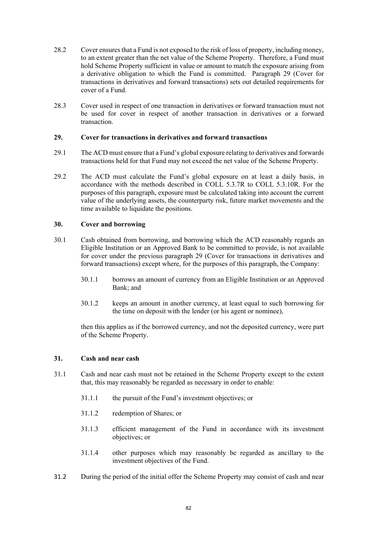- 28.2 Cover ensures that a Fund is not exposed to the risk of loss of property, including money, to an extent greater than the net value of the Scheme Property. Therefore, a Fund must hold Scheme Property sufficient in value or amount to match the exposure arising from a derivative obligation to which the Fund is committed. Paragraph 29 (Cover for transactions in derivatives and forward transactions) sets out detailed requirements for cover of a Fund.
- 28.3 Cover used in respect of one transaction in derivatives or forward transaction must not be used for cover in respect of another transaction in derivatives or a forward transaction.

### **29. Cover for transactions in derivatives and forward transactions**

- 29.1 The ACD must ensure that a Fund's global exposure relating to derivatives and forwards transactions held for that Fund may not exceed the net value of the Scheme Property.
- 29.2 The ACD must calculate the Fund's global exposure on at least a daily basis, in accordance with the methods described in COLL 5.3.7R to COLL 5.3.10R. For the purposes of this paragraph, exposure must be calculated taking into account the current value of the underlying assets, the counterparty risk, future market movements and the time available to liquidate the positions.

# **30. Cover and borrowing**

- 30.1 Cash obtained from borrowing, and borrowing which the ACD reasonably regards an Eligible Institution or an Approved Bank to be committed to provide, is not available for cover under the previous paragraph 29 (Cover for transactions in derivatives and forward transactions) except where, for the purposes of this paragraph, the Company:
	- 30.1.1 borrows an amount of currency from an Eligible Institution or an Approved Bank; and
	- 30.1.2 keeps an amount in another currency, at least equal to such borrowing for the time on deposit with the lender (or his agent or nominee),

then this applies as if the borrowed currency, and not the deposited currency, were part of the Scheme Property.

# **31. Cash and near cash**

- 31.1 Cash and near cash must not be retained in the Scheme Property except to the extent that, this may reasonably be regarded as necessary in order to enable:
	- 31.1.1 the pursuit of the Fund's investment objectives; or
	- 31.1.2 redemption of Shares; or
	- 31.1.3 efficient management of the Fund in accordance with its investment objectives; or
	- 31.1.4 other purposes which may reasonably be regarded as ancillary to the investment objectives of the Fund.
- 31.2 During the period of the initial offer the Scheme Property may consist of cash and near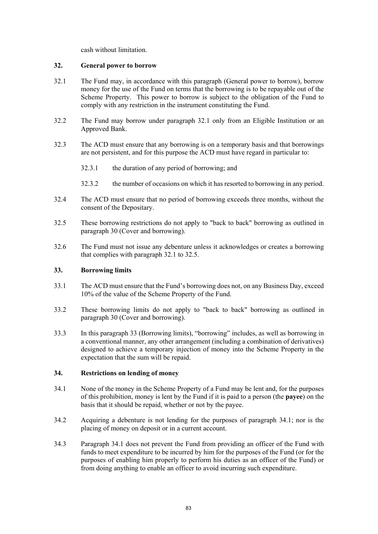cash without limitation.

### **32. General power to borrow**

- 32.1 The Fund may, in accordance with this paragraph (General power to borrow), borrow money for the use of the Fund on terms that the borrowing is to be repayable out of the Scheme Property. This power to borrow is subject to the obligation of the Fund to comply with any restriction in the instrument constituting the Fund.
- 32.2 The Fund may borrow under paragraph 32.1 only from an Eligible Institution or an Approved Bank.
- 32.3 The ACD must ensure that any borrowing is on a temporary basis and that borrowings are not persistent, and for this purpose the ACD must have regard in particular to:
	- 32.3.1 the duration of any period of borrowing; and
	- 32.3.2 the number of occasions on which it has resorted to borrowing in any period.
- 32.4 The ACD must ensure that no period of borrowing exceeds three months, without the consent of the Depositary.
- 32.5 These borrowing restrictions do not apply to "back to back" borrowing as outlined in paragraph 30 (Cover and borrowing).
- 32.6 The Fund must not issue any debenture unless it acknowledges or creates a borrowing that complies with paragraph 32.1 to 32.5.

### **33. Borrowing limits**

- 33.1 The ACD must ensure that the Fund's borrowing does not, on any Business Day, exceed 10% of the value of the Scheme Property of the Fund.
- 33.2 These borrowing limits do not apply to "back to back" borrowing as outlined in paragraph 30 (Cover and borrowing).
- 33.3 In this paragraph 33 (Borrowing limits), "borrowing" includes, as well as borrowing in a conventional manner, any other arrangement (including a combination of derivatives) designed to achieve a temporary injection of money into the Scheme Property in the expectation that the sum will be repaid.

# **34. Restrictions on lending of money**

- 34.1 None of the money in the Scheme Property of a Fund may be lent and, for the purposes of this prohibition, money is lent by the Fund if it is paid to a person (the **payee**) on the basis that it should be repaid, whether or not by the payee.
- 34.2 Acquiring a debenture is not lending for the purposes of paragraph 34.1; nor is the placing of money on deposit or in a current account.
- 34.3 Paragraph 34.1 does not prevent the Fund from providing an officer of the Fund with funds to meet expenditure to be incurred by him for the purposes of the Fund (or for the purposes of enabling him properly to perform his duties as an officer of the Fund) or from doing anything to enable an officer to avoid incurring such expenditure.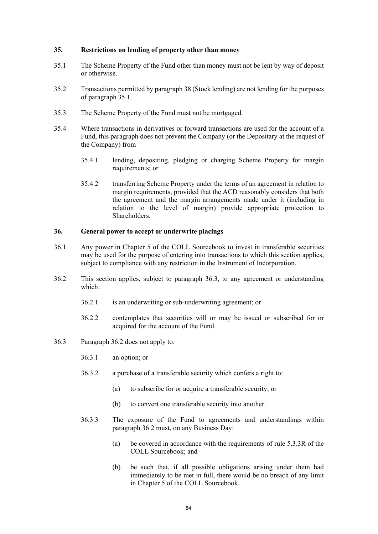### **35. Restrictions on lending of property other than money**

- 35.1 The Scheme Property of the Fund other than money must not be lent by way of deposit or otherwise.
- 35.2 Transactions permitted by paragraph 38 (Stock lending) are not lending for the purposes of paragraph 35.1.
- 35.3 The Scheme Property of the Fund must not be mortgaged.
- 35.4 Where transactions in derivatives or forward transactions are used for the account of a Fund, this paragraph does not prevent the Company (or the Depositary at the request of the Company) from
	- 35.4.1 lending, depositing, pledging or charging Scheme Property for margin requirements; or
	- 35.4.2 transferring Scheme Property under the terms of an agreement in relation to margin requirements, provided that the ACD reasonably considers that both the agreement and the margin arrangements made under it (including in relation to the level of margin) provide appropriate protection to Shareholders.

### **36. General power to accept or underwrite placings**

- 36.1 Any power in Chapter 5 of the COLL Sourcebook to invest in transferable securities may be used for the purpose of entering into transactions to which this section applies, subject to compliance with any restriction in the Instrument of Incorporation.
- 36.2 This section applies, subject to paragraph 36.3, to any agreement or understanding which:
	- 36.2.1 is an underwriting or sub-underwriting agreement; or
	- 36.2.2 contemplates that securities will or may be issued or subscribed for or acquired for the account of the Fund.
- 36.3 Paragraph 36.2 does not apply to:
	- 36.3.1 an option; or
	- 36.3.2 a purchase of a transferable security which confers a right to:
		- (a) to subscribe for or acquire a transferable security; or
		- (b) to convert one transferable security into another.
	- 36.3.3 The exposure of the Fund to agreements and understandings within paragraph 36.2 must, on any Business Day:
		- (a) be covered in accordance with the requirements of rule 5.3.3R of the COLL Sourcebook; and
		- (b) be such that, if all possible obligations arising under them had immediately to be met in full, there would be no breach of any limit in Chapter 5 of the COLL Sourcebook.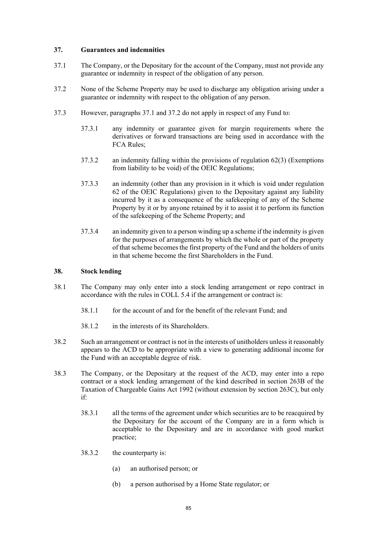### **37. Guarantees and indemnities**

- 37.1 The Company, or the Depositary for the account of the Company, must not provide any guarantee or indemnity in respect of the obligation of any person.
- 37.2 None of the Scheme Property may be used to discharge any obligation arising under a guarantee or indemnity with respect to the obligation of any person.
- 37.3 However, paragraphs 37.1 and 37.2 do not apply in respect of any Fund to:
	- 37.3.1 any indemnity or guarantee given for margin requirements where the derivatives or forward transactions are being used in accordance with the FCA Rules;
	- 37.3.2 an indemnity falling within the provisions of regulation 62(3) (Exemptions from liability to be void) of the OEIC Regulations;
	- 37.3.3 an indemnity (other than any provision in it which is void under regulation 62 of the OEIC Regulations) given to the Depositary against any liability incurred by it as a consequence of the safekeeping of any of the Scheme Property by it or by anyone retained by it to assist it to perform its function of the safekeeping of the Scheme Property; and
	- 37.3.4 an indemnity given to a person winding up a scheme if the indemnity is given for the purposes of arrangements by which the whole or part of the property of that scheme becomes the first property of the Fund and the holders of units in that scheme become the first Shareholders in the Fund.

### **38. Stock lending**

- 38.1 The Company may only enter into a stock lending arrangement or repo contract in accordance with the rules in COLL 5.4 if the arrangement or contract is:
	- 38.1.1 for the account of and for the benefit of the relevant Fund; and
	- 38.1.2 in the interests of its Shareholders.
- 38.2 Such an arrangement or contract is not in the interests of unitholders unless it reasonably appears to the ACD to be appropriate with a view to generating additional income for the Fund with an acceptable degree of risk.
- 38.3 The Company, or the Depositary at the request of the ACD, may enter into a repo contract or a stock lending arrangement of the kind described in section 263B of the Taxation of Chargeable Gains Act 1992 (without extension by section 263C), but only if:
	- 38.3.1 all the terms of the agreement under which securities are to be reacquired by the Depositary for the account of the Company are in a form which is acceptable to the Depositary and are in accordance with good market practice;
	- 38.3.2 the counterparty is:
		- (a) an authorised person; or
		- (b) a person authorised by a Home State regulator; or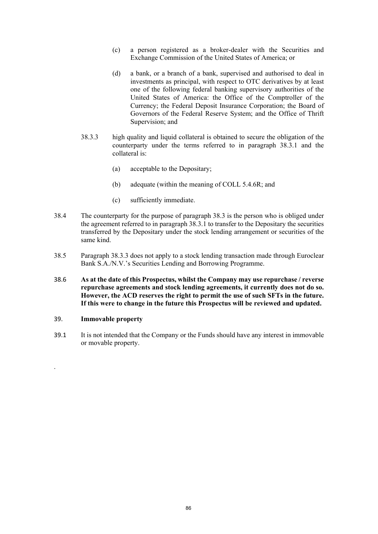- (c) a person registered as a broker-dealer with the Securities and Exchange Commission of the United States of America; or
- (d) a bank, or a branch of a bank, supervised and authorised to deal in investments as principal, with respect to OTC derivatives by at least one of the following federal banking supervisory authorities of the United States of America: the Office of the Comptroller of the Currency; the Federal Deposit Insurance Corporation; the Board of Governors of the Federal Reserve System; and the Office of Thrift Supervision; and
- 38.3.3 high quality and liquid collateral is obtained to secure the obligation of the counterparty under the terms referred to in paragraph 38.3.1 and the collateral is:
	- (a) acceptable to the Depositary;
	- (b) adequate (within the meaning of COLL 5.4.6R; and
	- (c) sufficiently immediate.
- 38.4 The counterparty for the purpose of paragraph 38.3 is the person who is obliged under the agreement referred to in paragraph 38.3.1 to transfer to the Depositary the securities transferred by the Depositary under the stock lending arrangement or securities of the same kind.
- 38.5 Paragraph 38.3.3 does not apply to a stock lending transaction made through Euroclear Bank S.A./N.V.'s Securities Lending and Borrowing Programme.
- 38.6 **As at the date of this Prospectus, whilst the Company may use repurchase / reverse repurchase agreements and stock lending agreements, it currently does not do so. However, the ACD reserves the right to permit the use of such SFTs in the future. If this were to change in the future this Prospectus will be reviewed and updated.**

### 39. **Immovable property**

.

39.1 It is not intended that the Company or the Funds should have any interest in immovable or movable property.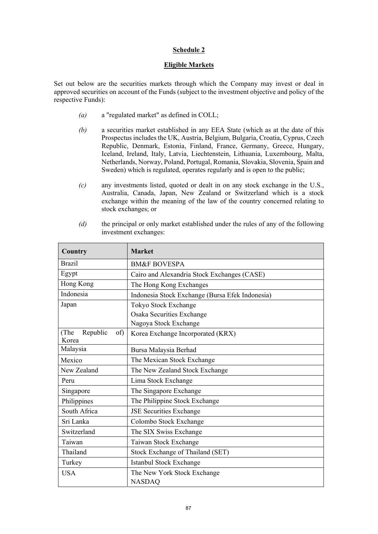# **Eligible Markets**

Set out below are the securities markets through which the Company may invest or deal in approved securities on account of the Funds (subject to the investment objective and policy of the respective Funds):

- *(a)* a "regulated market" as defined in COLL;
- *(b)* a securities market established in any EEA State (which as at the date of this Prospectus includes the UK, Austria, Belgium, Bulgaria, Croatia, Cyprus, Czech Republic, Denmark, Estonia, Finland, France, Germany, Greece, Hungary, Iceland, Ireland, Italy, Latvia, Liechtenstein, Lithuania, Luxembourg, Malta, Netherlands, Norway, Poland, Portugal, Romania, Slovakia, Slovenia, Spain and Sweden) which is regulated, operates regularly and is open to the public;
- *(c)* any investments listed, quoted or dealt in on any stock exchange in the U.S., Australia, Canada, Japan, New Zealand or Switzerland which is a stock exchange within the meaning of the law of the country concerned relating to stock exchanges; or
- *(d)* the principal or only market established under the rules of any of the following investment exchanges:

| Country                          | <b>Market</b>                                   |  |  |  |
|----------------------------------|-------------------------------------------------|--|--|--|
| <b>Brazil</b>                    | <b>BM&amp;F BOVESPA</b>                         |  |  |  |
| Egypt                            | Cairo and Alexandria Stock Exchanges (CASE)     |  |  |  |
| Hong Kong                        | The Hong Kong Exchanges                         |  |  |  |
| Indonesia                        | Indonesia Stock Exchange (Bursa Efek Indonesia) |  |  |  |
| Japan                            | Tokyo Stock Exchange                            |  |  |  |
|                                  | Osaka Securities Exchange                       |  |  |  |
|                                  | Nagoya Stock Exchange                           |  |  |  |
| (The<br>Republic<br>of)<br>Korea | Korea Exchange Incorporated (KRX)               |  |  |  |
| Malaysia                         | Bursa Malaysia Berhad                           |  |  |  |
| Mexico                           | The Mexican Stock Exchange                      |  |  |  |
| New Zealand                      | The New Zealand Stock Exchange                  |  |  |  |
| Peru                             | Lima Stock Exchange                             |  |  |  |
| Singapore                        | The Singapore Exchange                          |  |  |  |
| Philippines                      | The Philippine Stock Exchange                   |  |  |  |
| South Africa                     | <b>JSE Securities Exchange</b>                  |  |  |  |
| Sri Lanka                        | Colombo Stock Exchange                          |  |  |  |
| Switzerland                      | The SIX Swiss Exchange                          |  |  |  |
| Taiwan                           | Taiwan Stock Exchange                           |  |  |  |
| Thailand                         | Stock Exchange of Thailand (SET)                |  |  |  |
| Turkey                           | Istanbul Stock Exchange                         |  |  |  |
| <b>USA</b>                       | The New York Stock Exchange                     |  |  |  |
|                                  | <b>NASDAO</b>                                   |  |  |  |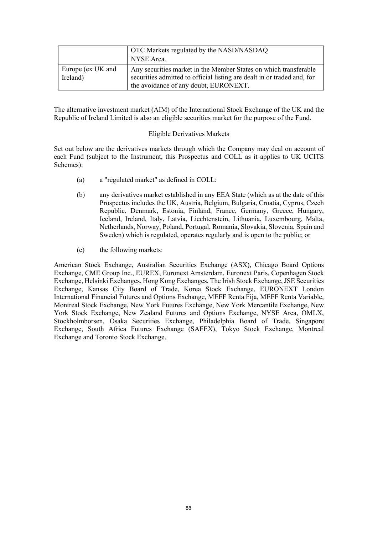|                               | OTC Markets regulated by the NASD/NASDAQ<br>NYSE Arca.                                                                                                                               |
|-------------------------------|--------------------------------------------------------------------------------------------------------------------------------------------------------------------------------------|
| Europe (ex UK and<br>Ireland) | Any securities market in the Member States on which transferable<br>securities admitted to official listing are dealt in or traded and, for<br>the avoidance of any doubt, EURONEXT. |

The alternative investment market (AIM) of the International Stock Exchange of the UK and the Republic of Ireland Limited is also an eligible securities market for the purpose of the Fund.

### Eligible Derivatives Markets

Set out below are the derivatives markets through which the Company may deal on account of each Fund (subject to the Instrument, this Prospectus and COLL as it applies to UK UCITS Schemes):

- (a) a "regulated market" as defined in COLL:
- (b) any derivatives market established in any EEA State (which as at the date of this Prospectus includes the UK, Austria, Belgium, Bulgaria, Croatia, Cyprus, Czech Republic, Denmark, Estonia, Finland, France, Germany, Greece, Hungary, Iceland, Ireland, Italy, Latvia, Liechtenstein, Lithuania, Luxembourg, Malta, Netherlands, Norway, Poland, Portugal, Romania, Slovakia, Slovenia, Spain and Sweden) which is regulated, operates regularly and is open to the public; or
- (c) the following markets:

American Stock Exchange, Australian Securities Exchange (ASX), Chicago Board Options Exchange, CME Group Inc., EUREX, Euronext Amsterdam, Euronext Paris, Copenhagen Stock Exchange, Helsinki Exchanges, Hong Kong Exchanges, The Irish Stock Exchange, JSE Securities Exchange, Kansas City Board of Trade, Korea Stock Exchange, EURONEXT London International Financial Futures and Options Exchange, MEFF Renta Fija, MEFF Renta Variable, Montreal Stock Exchange, New York Futures Exchange, New York Mercantile Exchange, New York Stock Exchange, New Zealand Futures and Options Exchange, NYSE Arca, OMLX, Stockholmborsen, Osaka Securities Exchange, Philadelphia Board of Trade, Singapore Exchange, South Africa Futures Exchange (SAFEX), Tokyo Stock Exchange, Montreal Exchange and Toronto Stock Exchange.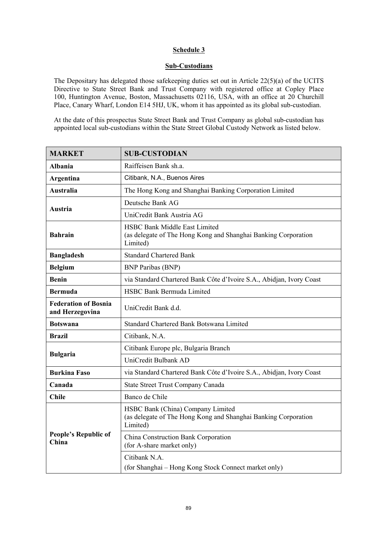# **Sub-Custodians**

The Depositary has delegated those safekeeping duties set out in Article 22(5)(a) of the UCITS Directive to State Street Bank and Trust Company with registered office at Copley Place 100, Huntington Avenue, Boston, Massachusetts 02116, USA, with an office at 20 Churchill Place, Canary Wharf, London E14 5HJ, UK, whom it has appointed as its global sub-custodian.

At the date of this prospectus State Street Bank and Trust Company as global sub-custodian has appointed local sub-custodians within the State Street Global Custody Network as listed below.

| <b>MARKET</b>                                  | <b>SUB-CUSTODIAN</b>                                                                                               |  |  |  |
|------------------------------------------------|--------------------------------------------------------------------------------------------------------------------|--|--|--|
| <b>Albania</b>                                 | Raiffeisen Bank sh.a.                                                                                              |  |  |  |
| Argentina                                      | Citibank, N.A., Buenos Aires                                                                                       |  |  |  |
| Australia                                      | The Hong Kong and Shanghai Banking Corporation Limited                                                             |  |  |  |
|                                                | Deutsche Bank AG                                                                                                   |  |  |  |
| Austria                                        | UniCredit Bank Austria AG                                                                                          |  |  |  |
| <b>Bahrain</b>                                 | <b>HSBC Bank Middle East Limited</b><br>(as delegate of The Hong Kong and Shanghai Banking Corporation<br>Limited) |  |  |  |
| <b>Bangladesh</b>                              | <b>Standard Chartered Bank</b>                                                                                     |  |  |  |
| <b>Belgium</b>                                 | <b>BNP</b> Paribas (BNP)                                                                                           |  |  |  |
| <b>Benin</b>                                   | via Standard Chartered Bank Côte d'Ivoire S.A., Abidjan, Ivory Coast                                               |  |  |  |
| <b>Bermuda</b>                                 | HSBC Bank Bermuda Limited                                                                                          |  |  |  |
| <b>Federation of Bosnia</b><br>and Herzegovina | UniCredit Bank d.d.                                                                                                |  |  |  |
| <b>Botswana</b>                                | Standard Chartered Bank Botswana Limited                                                                           |  |  |  |
| <b>Brazil</b>                                  | Citibank, N.A.                                                                                                     |  |  |  |
| <b>Bulgaria</b>                                | Citibank Europe plc, Bulgaria Branch                                                                               |  |  |  |
|                                                | UniCredit Bulbank AD                                                                                               |  |  |  |
| <b>Burkina Faso</b>                            | via Standard Chartered Bank Côte d'Ivoire S.A., Abidjan, Ivory Coast                                               |  |  |  |
| Canada                                         | State Street Trust Company Canada                                                                                  |  |  |  |
| <b>Chile</b>                                   | Banco de Chile                                                                                                     |  |  |  |
| <b>People's Republic of</b><br>China           | HSBC Bank (China) Company Limited<br>(as delegate of The Hong Kong and Shanghai Banking Corporation<br>Limited)    |  |  |  |
|                                                | China Construction Bank Corporation<br>(for A-share market only)                                                   |  |  |  |
|                                                | Citibank N.A.<br>(for Shanghai - Hong Kong Stock Connect market only)                                              |  |  |  |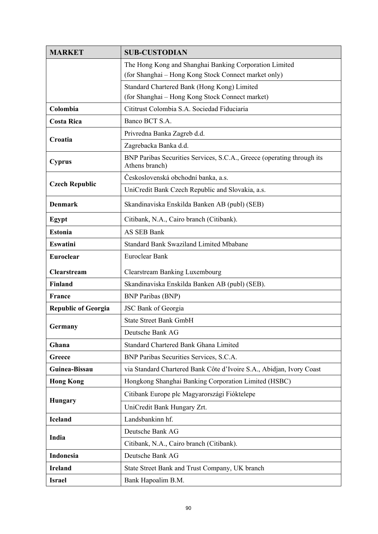| <b>MARKET</b>              | <b>SUB-CUSTODIAN</b>                                                                           |  |  |  |  |  |
|----------------------------|------------------------------------------------------------------------------------------------|--|--|--|--|--|
|                            | The Hong Kong and Shanghai Banking Corporation Limited                                         |  |  |  |  |  |
|                            | (for Shanghai - Hong Kong Stock Connect market only)                                           |  |  |  |  |  |
|                            | Standard Chartered Bank (Hong Kong) Limited                                                    |  |  |  |  |  |
| Colombia                   | (for Shanghai - Hong Kong Stock Connect market)<br>Cititrust Colombia S.A. Sociedad Fiduciaria |  |  |  |  |  |
|                            | Banco BCT S.A.                                                                                 |  |  |  |  |  |
| <b>Costa Rica</b>          |                                                                                                |  |  |  |  |  |
| Croatia                    | Privredna Banka Zagreb d.d.                                                                    |  |  |  |  |  |
|                            | Zagrebacka Banka d.d.                                                                          |  |  |  |  |  |
| <b>Cyprus</b>              | BNP Paribas Securities Services, S.C.A., Greece (operating through its<br>Athens branch)       |  |  |  |  |  |
| <b>Czech Republic</b>      | Československá obchodní banka, a.s.                                                            |  |  |  |  |  |
|                            | UniCredit Bank Czech Republic and Slovakia, a.s.                                               |  |  |  |  |  |
| <b>Denmark</b>             | Skandinaviska Enskilda Banken AB (publ) (SEB)                                                  |  |  |  |  |  |
| Egypt                      | Citibank, N.A., Cairo branch (Citibank).                                                       |  |  |  |  |  |
| <b>Estonia</b>             | AS SEB Bank                                                                                    |  |  |  |  |  |
| <b>Eswatini</b>            | <b>Standard Bank Swaziland Limited Mbabane</b>                                                 |  |  |  |  |  |
| Euroclear                  | Euroclear Bank                                                                                 |  |  |  |  |  |
| Clearstream                | <b>Clearstream Banking Luxembourg</b>                                                          |  |  |  |  |  |
| <b>Finland</b>             | Skandinaviska Enskilda Banken AB (publ) (SEB).                                                 |  |  |  |  |  |
| France                     | <b>BNP</b> Paribas (BNP)                                                                       |  |  |  |  |  |
| <b>Republic of Georgia</b> | JSC Bank of Georgia                                                                            |  |  |  |  |  |
| Germany                    | <b>State Street Bank GmbH</b>                                                                  |  |  |  |  |  |
|                            | Deutsche Bank AG                                                                               |  |  |  |  |  |
| Ghana                      | Standard Chartered Bank Ghana Limited                                                          |  |  |  |  |  |
| Greece                     | BNP Paribas Securities Services, S.C.A.                                                        |  |  |  |  |  |
| Guinea-Bissau              | via Standard Chartered Bank Côte d'Ivoire S.A., Abidjan, Ivory Coast                           |  |  |  |  |  |
| <b>Hong Kong</b>           | Hongkong Shanghai Banking Corporation Limited (HSBC)                                           |  |  |  |  |  |
| <b>Hungary</b>             | Citibank Europe plc Magyarországi Fióktelepe                                                   |  |  |  |  |  |
|                            | UniCredit Bank Hungary Zrt.                                                                    |  |  |  |  |  |
| <b>Iceland</b>             | Landsbankinn hf.                                                                               |  |  |  |  |  |
| India                      | Deutsche Bank AG                                                                               |  |  |  |  |  |
|                            | Citibank, N.A., Cairo branch (Citibank).                                                       |  |  |  |  |  |
| Indonesia                  | Deutsche Bank AG                                                                               |  |  |  |  |  |
| <b>Ireland</b>             | State Street Bank and Trust Company, UK branch                                                 |  |  |  |  |  |
| <b>Israel</b>              | Bank Hapoalim B.M.                                                                             |  |  |  |  |  |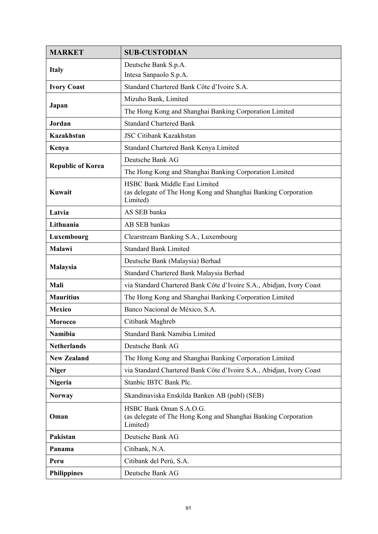| <b>MARKET</b>            | <b>SUB-CUSTODIAN</b>                                                                                               |  |  |  |  |
|--------------------------|--------------------------------------------------------------------------------------------------------------------|--|--|--|--|
| <b>Italy</b>             | Deutsche Bank S.p.A.<br>Intesa Sanpaolo S.p.A.                                                                     |  |  |  |  |
| <b>Ivory Coast</b>       | Standard Chartered Bank Côte d'Ivoire S.A.                                                                         |  |  |  |  |
| Japan                    | Mizuho Bank, Limited                                                                                               |  |  |  |  |
|                          | The Hong Kong and Shanghai Banking Corporation Limited                                                             |  |  |  |  |
| Jordan                   | <b>Standard Chartered Bank</b>                                                                                     |  |  |  |  |
| <b>Kazakhstan</b>        | <b>JSC Citibank Kazakhstan</b>                                                                                     |  |  |  |  |
| Kenya                    | Standard Chartered Bank Kenya Limited                                                                              |  |  |  |  |
|                          | Deutsche Bank AG                                                                                                   |  |  |  |  |
| <b>Republic of Korea</b> | The Hong Kong and Shanghai Banking Corporation Limited                                                             |  |  |  |  |
| <b>Kuwait</b>            | <b>HSBC Bank Middle East Limited</b><br>(as delegate of The Hong Kong and Shanghai Banking Corporation<br>Limited) |  |  |  |  |
| Latvia                   | AS SEB banka                                                                                                       |  |  |  |  |
| Lithuania                | AB SEB bankas                                                                                                      |  |  |  |  |
| Luxembourg               | Clearstream Banking S.A., Luxembourg                                                                               |  |  |  |  |
| Malawi                   | <b>Standard Bank Limited</b>                                                                                       |  |  |  |  |
| Malaysia                 | Deutsche Bank (Malaysia) Berhad                                                                                    |  |  |  |  |
|                          | Standard Chartered Bank Malaysia Berhad                                                                            |  |  |  |  |
| Mali                     | via Standard Chartered Bank Côte d'Ivoire S.A., Abidjan, Ivory Coast                                               |  |  |  |  |
| <b>Mauritius</b>         | The Hong Kong and Shanghai Banking Corporation Limited                                                             |  |  |  |  |
| <b>Mexico</b>            | Banco Nacional de México, S.A.                                                                                     |  |  |  |  |
| <b>Morocco</b>           | Citibank Maghreb                                                                                                   |  |  |  |  |
| <b>Namibia</b>           | <b>Standard Bank Namibia Limited</b>                                                                               |  |  |  |  |
| <b>Netherlands</b>       | Deutsche Bank AG                                                                                                   |  |  |  |  |
| <b>New Zealand</b>       | The Hong Kong and Shanghai Banking Corporation Limited                                                             |  |  |  |  |
| <b>Niger</b>             | via Standard Chartered Bank Côte d'Ivoire S.A., Abidjan, Ivory Coast                                               |  |  |  |  |
| <b>Nigeria</b>           | Stanbic IBTC Bank Plc.                                                                                             |  |  |  |  |
| <b>Norway</b>            | Skandinaviska Enskilda Banken AB (publ) (SEB)                                                                      |  |  |  |  |
| Oman                     | HSBC Bank Oman S.A.O.G.<br>(as delegate of The Hong Kong and Shanghai Banking Corporation<br>Limited)              |  |  |  |  |
| Pakistan                 | Deutsche Bank AG                                                                                                   |  |  |  |  |
| Panama                   | Citibank, N.A.                                                                                                     |  |  |  |  |
| Peru                     | Citibank del Perú, S.A.                                                                                            |  |  |  |  |
| <b>Philippines</b>       | Deutsche Bank AG                                                                                                   |  |  |  |  |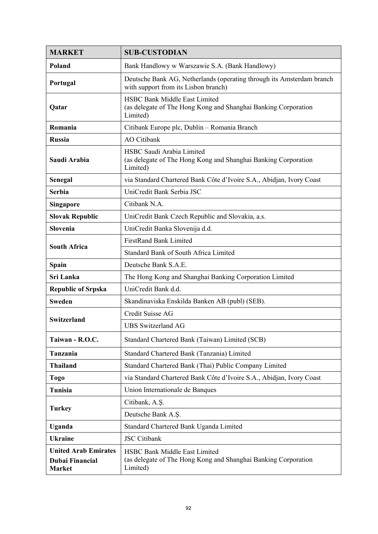| <b>MARKET</b>                                                          | <b>SUB-CUSTODIAN</b>                                                                                               |  |  |  |  |  |
|------------------------------------------------------------------------|--------------------------------------------------------------------------------------------------------------------|--|--|--|--|--|
| Poland                                                                 | Bank Handlowy w Warszawie S.A. (Bank Handlowy)                                                                     |  |  |  |  |  |
| Portugal                                                               | Deutsche Bank AG, Netherlands (operating through its Amsterdam branch<br>with support from its Lisbon branch)      |  |  |  |  |  |
| Qatar                                                                  | <b>HSBC Bank Middle East Limited</b><br>(as delegate of The Hong Kong and Shanghai Banking Corporation<br>Limited) |  |  |  |  |  |
| Romania                                                                | Citibank Europe plc, Dublin - Romania Branch                                                                       |  |  |  |  |  |
| <b>Russia</b>                                                          | <b>AO</b> Citibank                                                                                                 |  |  |  |  |  |
| Saudi Arabia                                                           | HSBC Saudi Arabia Limited<br>(as delegate of The Hong Kong and Shanghai Banking Corporation<br>Limited)            |  |  |  |  |  |
| Senegal                                                                | via Standard Chartered Bank Côte d'Ivoire S.A., Abidjan, Ivory Coast                                               |  |  |  |  |  |
| <b>Serbia</b>                                                          | UniCredit Bank Serbia JSC                                                                                          |  |  |  |  |  |
| <b>Singapore</b>                                                       | Citibank N.A.                                                                                                      |  |  |  |  |  |
| <b>Slovak Republic</b>                                                 | UniCredit Bank Czech Republic and Slovakia, a.s.                                                                   |  |  |  |  |  |
| Slovenia                                                               | UniCredit Banka Slovenija d.d.                                                                                     |  |  |  |  |  |
| <b>South Africa</b>                                                    | <b>FirstRand Bank Limited</b>                                                                                      |  |  |  |  |  |
|                                                                        | Standard Bank of South Africa Limited                                                                              |  |  |  |  |  |
| Spain                                                                  | Deutsche Bank S.A.E.                                                                                               |  |  |  |  |  |
| Sri Lanka                                                              | The Hong Kong and Shanghai Banking Corporation Limited                                                             |  |  |  |  |  |
| <b>Republic of Srpska</b>                                              | UniCredit Bank d.d.                                                                                                |  |  |  |  |  |
| <b>Sweden</b>                                                          | Skandinaviska Enskilda Banken AB (publ) (SEB).                                                                     |  |  |  |  |  |
| <b>Switzerland</b>                                                     | Credit Suisse AG                                                                                                   |  |  |  |  |  |
|                                                                        | <b>UBS</b> Switzerland AG                                                                                          |  |  |  |  |  |
| Taiwan - R.O.C.                                                        | Standard Chartered Bank (Taiwan) Limited (SCB)                                                                     |  |  |  |  |  |
| Tanzania                                                               | Standard Chartered Bank (Tanzania) Limited                                                                         |  |  |  |  |  |
| <b>Thailand</b>                                                        | Standard Chartered Bank (Thai) Public Company Limited                                                              |  |  |  |  |  |
| Togo                                                                   | via Standard Chartered Bank Côte d'Ivoire S.A., Abidjan, Ivory Coast                                               |  |  |  |  |  |
| Tunisia                                                                | Union Internationale de Banques                                                                                    |  |  |  |  |  |
| <b>Turkey</b>                                                          | Citibank, A.Ş.                                                                                                     |  |  |  |  |  |
|                                                                        | Deutsche Bank A.Ş.                                                                                                 |  |  |  |  |  |
| Uganda                                                                 | Standard Chartered Bank Uganda Limited                                                                             |  |  |  |  |  |
| <b>Ukraine</b>                                                         | <b>JSC</b> Citibank                                                                                                |  |  |  |  |  |
| <b>United Arab Emirates</b><br><b>Dubai Financial</b><br><b>Market</b> | <b>HSBC Bank Middle East Limited</b><br>(as delegate of The Hong Kong and Shanghai Banking Corporation<br>Limited) |  |  |  |  |  |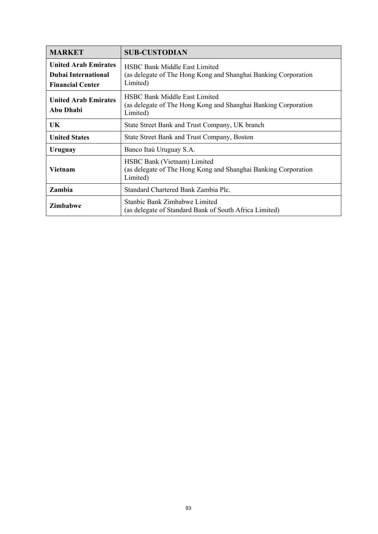| <b>MARKET</b>                                                                        | <b>SUB-CUSTODIAN</b>                                                                                               |  |  |  |
|--------------------------------------------------------------------------------------|--------------------------------------------------------------------------------------------------------------------|--|--|--|
| <b>United Arab Emirates</b><br><b>Dubai International</b><br><b>Financial Center</b> | <b>HSBC Bank Middle East Limited</b><br>(as delegate of The Hong Kong and Shanghai Banking Corporation<br>Limited) |  |  |  |
| <b>United Arab Emirates</b><br>Abu Dhabi                                             | <b>HSBC Bank Middle East Limited</b><br>(as delegate of The Hong Kong and Shanghai Banking Corporation<br>Limited) |  |  |  |
| UK                                                                                   | State Street Bank and Trust Company, UK branch                                                                     |  |  |  |
| <b>United States</b>                                                                 | State Street Bank and Trust Company, Boston                                                                        |  |  |  |
| Uruguay                                                                              | Banco Itaú Uruguay S.A.                                                                                            |  |  |  |
| Vietnam                                                                              | HSBC Bank (Vietnam) Limited<br>(as delegate of The Hong Kong and Shanghai Banking Corporation<br>Limited)          |  |  |  |
| Zambia                                                                               | Standard Chartered Bank Zambia Plc.                                                                                |  |  |  |
| <b>Zimbabwe</b>                                                                      | Stanbic Bank Zimbabwe Limited<br>(as delegate of Standard Bank of South Africa Limited)                            |  |  |  |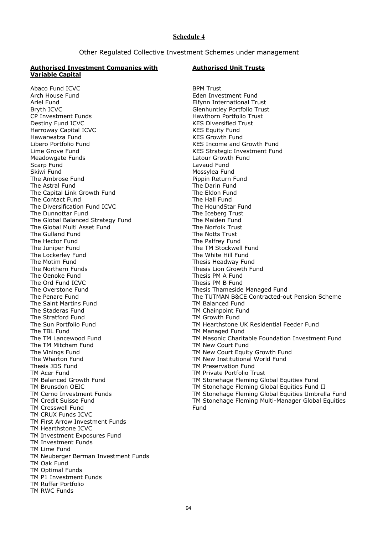Other Regulated Collective Investment Schemes under management

#### **Authorised Investment Companies with Variable Capital**

#### **Authorised Unit Trusts**

Abaco Fund ICVC Arch House Fund Ariel Fund Bryth ICVC CP Investment Funds Destiny Fund ICVC Harroway Capital ICVC Hawarwatza Fund Libero Portfolio Fund Lime Grove Fund Meadowgate Funds Scarp Fund Skiwi Fund The Ambrose Fund The Astral Fund The Capital Link Growth Fund The Contact Fund The Diversification Fund ICVC The Dunnottar Fund The Global Balanced Strategy Fund The Global Multi Asset Fund The Gulland Fund The Hector Fund The Juniper Fund The Lockerley Fund The Motim Fund The Northern Funds The Oenoke Fund The Ord Fund ICVC The Overstone Fund The Penare Fund The Saint Martins Fund The Staderas Fund The Stratford Fund The Sun Portfolio Fund The TBL Fund The TM Lancewood Fund The TM Mitcham Fund The Vinings Fund The Wharton Fund Thesis JDS Fund TM Acer Fund TM Balanced Growth Fund TM Brunsdon OEIC TM Cerno Investment Funds TM Credit Suisse Fund TM Cresswell Fund TM CRUX Funds ICVC TM First Arrow Investment Funds TM Hearthstone ICVC TM Investment Exposures Fund TM Investment Funds TM Lime Fund TM Neuberger Berman Investment Funds TM Oak Fund TM Optimal Funds TM P1 Investment Funds TM Ruffer Portfolio TM RWC Funds

BPM Trust Eden Investment Fund Elfynn International Trust Glenhuntley Portfolio Trust Hawthorn Portfolio Trust KES Diversified Trust KES Equity Fund KES Growth Fund KES Income and Growth Fund KES Strategic Investment Fund Latour Growth Fund Lavaud Fund Mossylea Fund Pippin Return Fund The Darin Fund The Eldon Fund The Hall Fund The HoundStar Fund The Iceberg Trust The Maiden Fund The Norfolk Trust The Notts Trust The Palfrey Fund The TM Stockwell Fund The White Hill Fund Thesis Headway Fund Thesis Lion Growth Fund Thesis PM A Fund Thesis PM B Fund Thesis Thameside Managed Fund The TUTMAN B&CE Contracted-out Pension Scheme TM Balanced Fund TM Chainpoint Fund TM Growth Fund TM Hearthstone UK Residential Feeder Fund TM Managed Fund TM Masonic Charitable Foundation Investment Fund TM New Court Fund TM New Court Equity Growth Fund TM New Institutional World Fund TM Preservation Fund TM Private Portfolio Trust TM Stonehage Fleming Global Equities Fund TM Stonehage Fleming Global Equities Fund II TM Stonehage Fleming Global Equities Umbrella Fund TM Stonehage Fleming Multi-Manager Global Equities Fund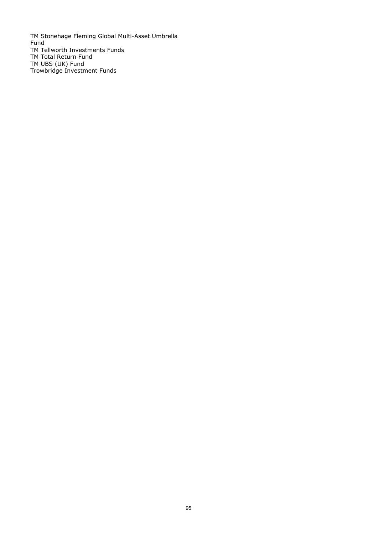TM Stonehage Fleming Global Multi-Asset Umbrella Fund TM Tellworth Investments Funds TM Total Return Fund TM UBS (UK) Fund Trowbridge Investment Funds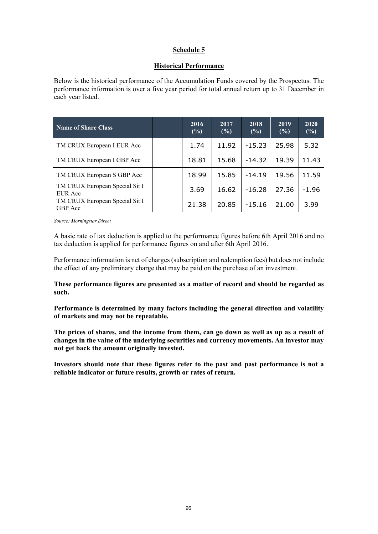## **Historical Performance**

Below is the historical performance of the Accumulation Funds covered by the Prospectus. The performance information is over a five year period for total annual return up to 31 December in each year listed.

| <b>Name of Share Class</b>                | 2016<br>(%) | 2017<br>(%) | 2018<br>(%) | 2019<br>(%) | 2020<br>(%) |
|-------------------------------------------|-------------|-------------|-------------|-------------|-------------|
| TM CRUX European I EUR Acc                | 1.74        | 11.92       | $-15.23$    | 25.98       | 5.32        |
| TM CRUX European I GBP Acc                | 18.81       | 15.68       | $-14.32$    | 19.39       | 11.43       |
| TM CRUX European S GBP Acc                | 18.99       | 15.85       | $-14.19$    | 19.56       | 11.59       |
| TM CRUX European Special Sit I<br>EUR Acc | 3.69        | 16.62       | $-16.28$    | 27.36       | $-1.96$     |
| TM CRUX European Special Sit I<br>GBP Acc | 21.38       | 20.85       | $-15.16$    | 21.00       | 3.99        |

*Source: Morningstar Direct* 

A basic rate of tax deduction is applied to the performance figures before 6th April 2016 and no tax deduction is applied for performance figures on and after 6th April 2016.

Performance information is net of charges (subscription and redemption fees) but does not include the effect of any preliminary charge that may be paid on the purchase of an investment.

**These performance figures are presented as a matter of record and should be regarded as such.** 

**Performance is determined by many factors including the general direction and volatility of markets and may not be repeatable.** 

**The prices of shares, and the income from them, can go down as well as up as a result of changes in the value of the underlying securities and currency movements. An investor may not get back the amount originally invested.** 

**Investors should note that these figures refer to the past and past performance is not a reliable indicator or future results, growth or rates of return.**